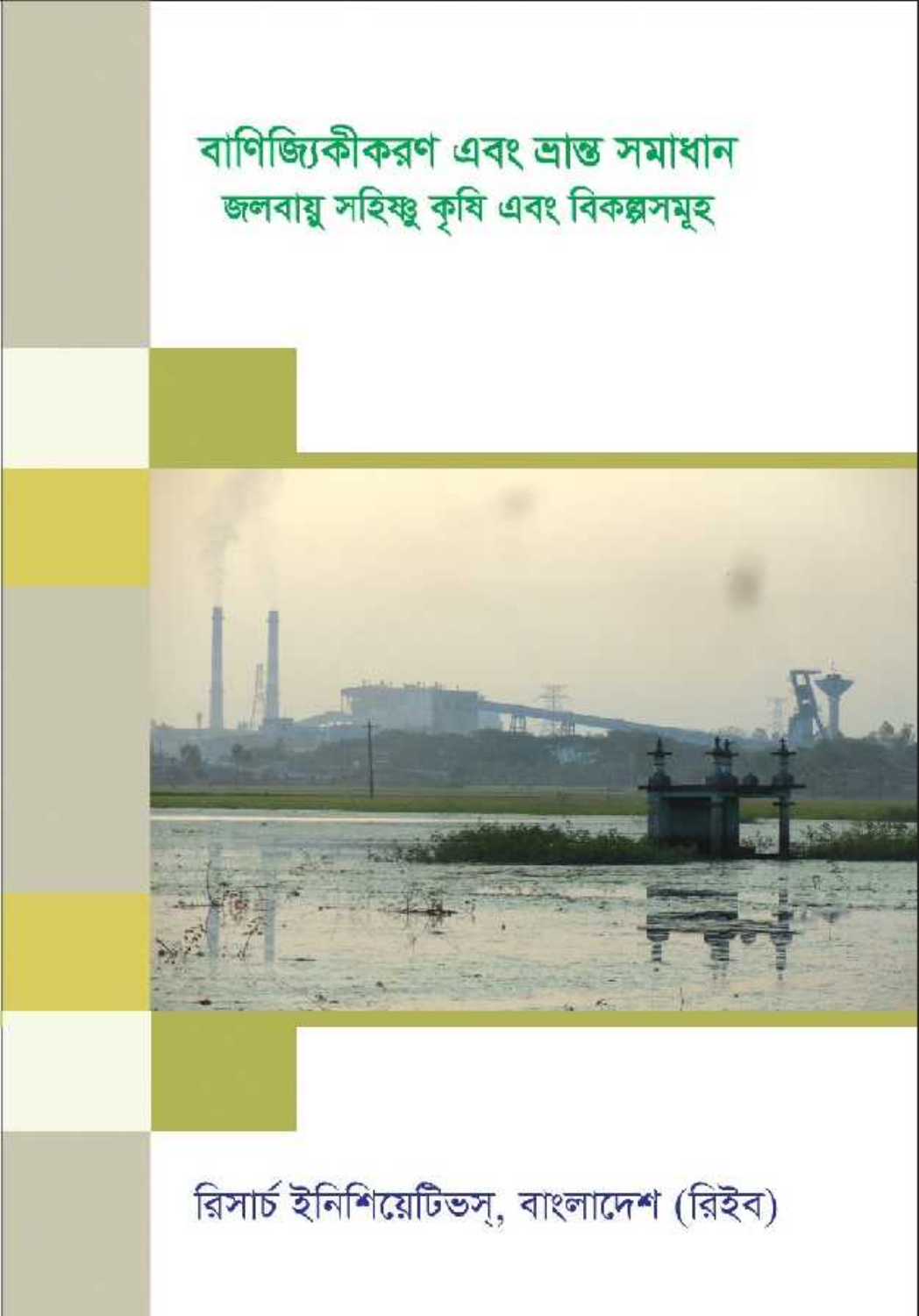# রিসার্চ ইনিশিয়েটিভস্, বাংলাদেশ (রিইব)



বাণিজ্যিকীকরণ এবং ভ্রান্ত সমাধান জলবায়ু সহিষ্ণু কৃষি এবং বিকল্পসমূহ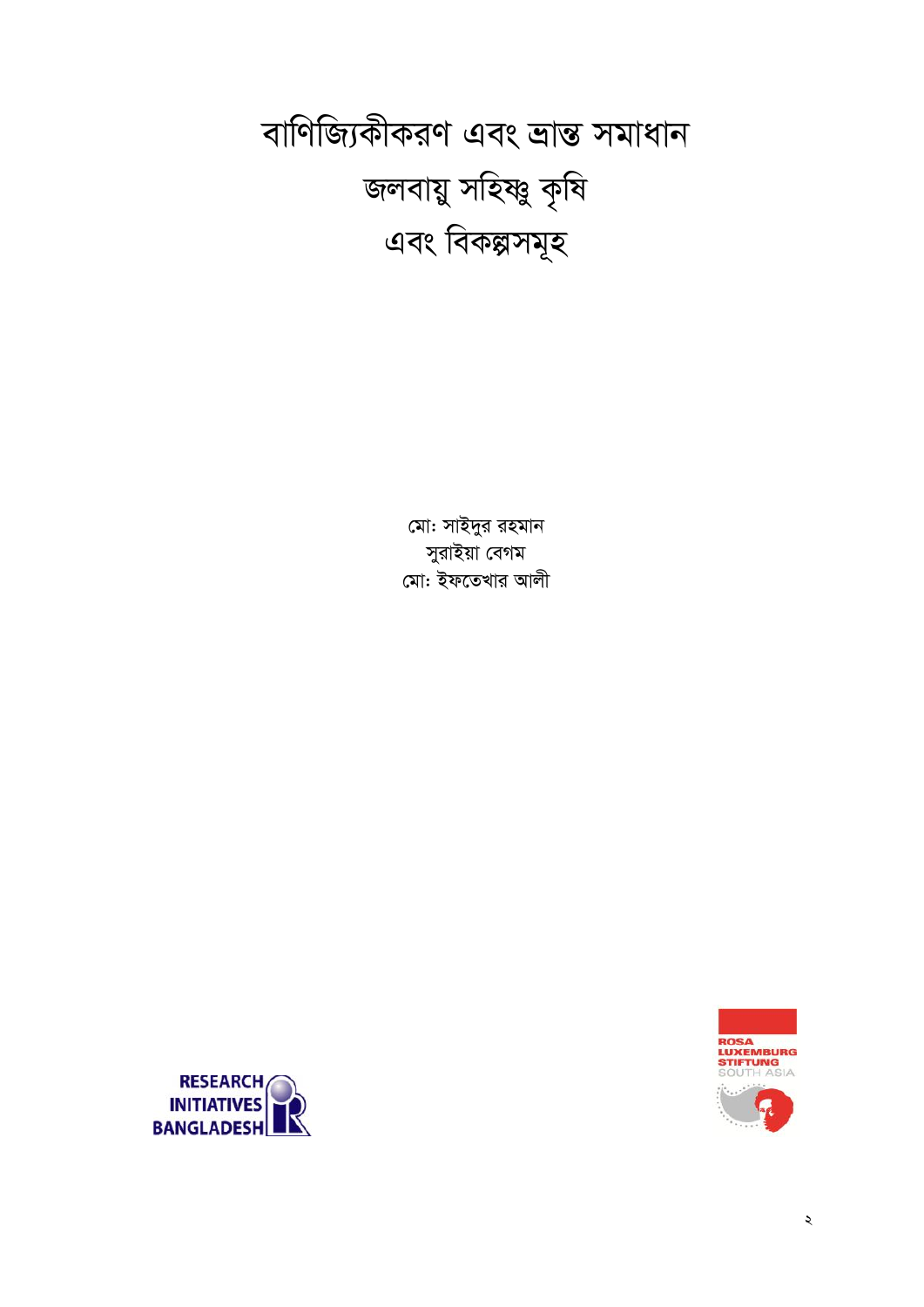বাণিজ্যিকীকরণ এবং ভ্রান্ত সমাধান জলবায়ু সহিষ্ণু কৃষি এবং বিকল্পসমূহ

> মো: সাইদুর রহমান সুরাইয়া বেগম মো: ইফতেখার আলী



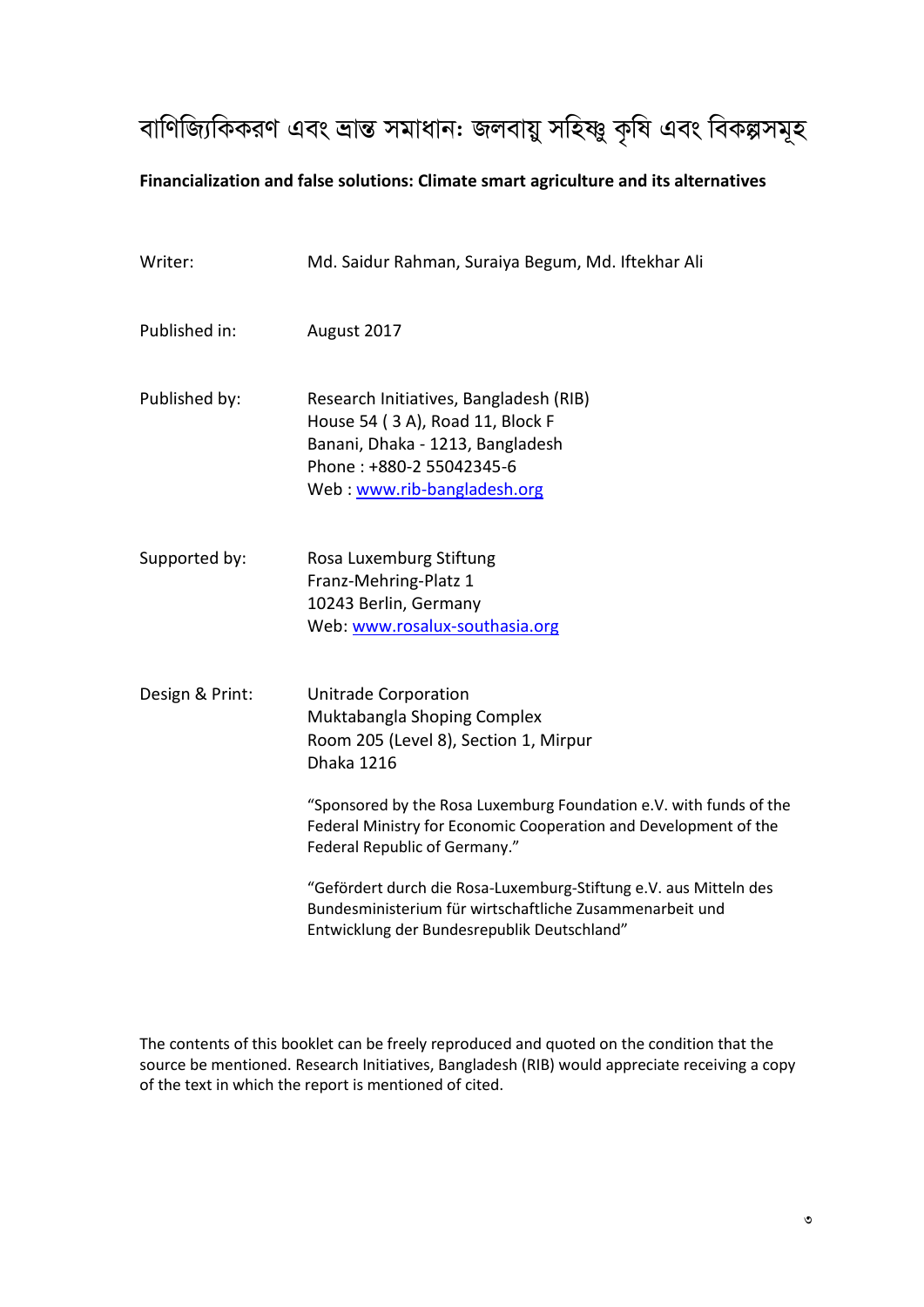# বাণিজ্যিকিকরণ এবং ভ্রান্ত সমাধান: জলবায়ু সহিষ্ণু কৃষি এবং বিকল্পসমূহ

### **Financialization and false solutions: Climate smart agriculture and its alternatives**

| Writer:         | Md. Saidur Rahman, Suraiya Begum, Md. Iftekhar Ali                                                                                                                                                                                                                                                  |
|-----------------|-----------------------------------------------------------------------------------------------------------------------------------------------------------------------------------------------------------------------------------------------------------------------------------------------------|
| Published in:   | August 2017                                                                                                                                                                                                                                                                                         |
| Published by:   | Research Initiatives, Bangladesh (RIB)<br>House 54 (3A), Road 11, Block F<br>Banani, Dhaka - 1213, Bangladesh<br>Phone: +880-2 55042345-6<br>Web: www.rib-bangladesh.org                                                                                                                            |
| Supported by:   | Rosa Luxemburg Stiftung<br>Franz-Mehring-Platz 1<br>10243 Berlin, Germany<br>Web: www.rosalux-southasia.org                                                                                                                                                                                         |
| Design & Print: | <b>Unitrade Corporation</b><br>Muktabangla Shoping Complex<br>Room 205 (Level 8), Section 1, Mirpur<br><b>Dhaka 1216</b><br>"Sponsored by the Rosa Luxemburg Foundation e.V. with funds of the<br>Federal Ministry for Economic Cooperation and Development of the<br>Federal Republic of Germany." |
|                 | "Gefördert durch die Rosa-Luxemburg-Stiftung e.V. aus Mitteln des<br>Bundesministerium für wirtschaftliche Zusammenarbeit und<br>Entwicklung der Bundesrepublik Deutschland"                                                                                                                        |

The contents of this booklet can be freely reproduced and quoted on the condition that the source be mentioned. Research Initiatives, Bangladesh (RIB) would appreciate receiving a copy of the text in which the report is mentioned of cited.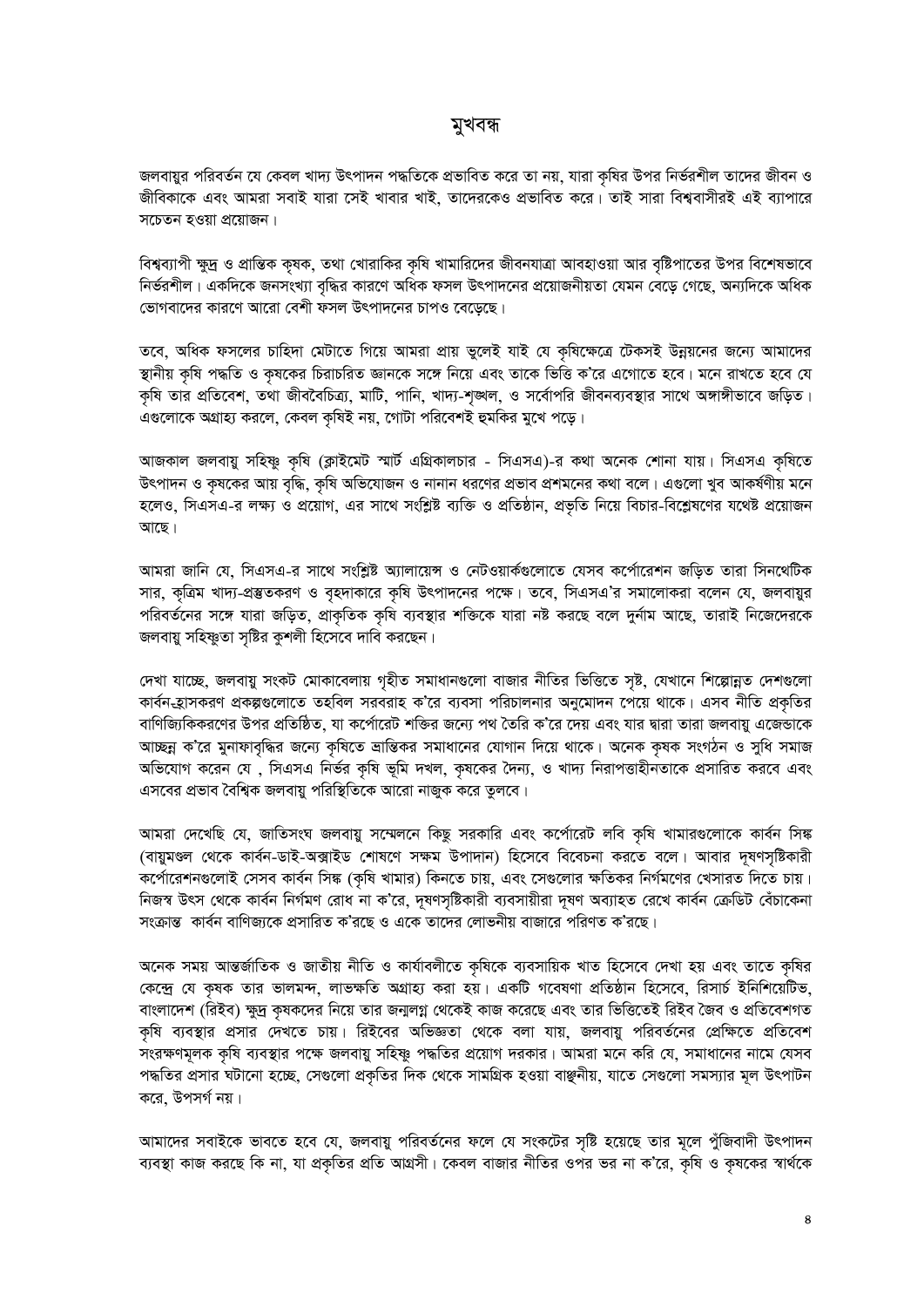### মুখবন্ধ

জলবায়ুর পরিবর্তন যে কেবল খাদ্য উৎপাদন পদ্ধতিকে প্রভাবিত করে তা নয়, যারা কৃষির উপর নির্ভরশীল তাদের জীবন ও জীবিকাকে এবং আমরা সবাই যারা সেই খাবার খাই, তাদেরকেও প্রভাবিত করে। তাই সারা বিশ্ববাসীরই এই ব্যাপারে সচেতন হওয়া প্রয়োজন।

বিশ্বব্যাপী ক্ষুদ্র ও প্রান্তিক কৃষক, তথা খোরাকির কৃষি খামারিদের জীবনযাত্রা আবহাওয়া আর বৃষ্টিপাতের উপর বিশেষভাবে নির্ভরশীল। একদিকে জনসংখ্যা বৃদ্ধির কারণে অধিক ফসল উৎপাদনের প্রয়োজনীয়তা যেমন বেড়ে গেছে, অন্যদিকে অধিক ভোগবাদের কারণে আরো বেশী ফসল উৎপাদনের চাপও বেড়েছে।

তবে, অধিক ফসলের চাহিদা মেটাতে গিয়ে আমরা প্রায় ভুলেই যাই যে কৃষিক্ষেত্রে টেকসই উন্নয়নের জন্যে আমাদের স্থানীয় কৃষি পদ্ধতি ও কৃষকের চিরাচরিত জ্ঞানকে সঙ্গে নিয়ে এবং তাকে ভিত্তি ক'রে এগোতে হবে। মনে রাখতে হবে যে কৃষি তার প্রতিবেশ, তথা জীববৈচিত্র্য, মাটি, পানি, খাদ্য-শৃঙ্খল, ও সর্বোপরি জীবনব্যবস্থার সাথে অঙ্গাঙ্গীভাবে জড়িত। এগুলোকে অগ্রাহ্য করলে, কেবল কৃষিই নয়, গোটা পরিবেশই হুমকির মুখে পড়ে।

আজকাল জলবায়ু সহিষ্ণু কৃষি (ক্লাইমেট স্মার্ট এগ্রিকালচার - সিএসএ)-র কথা অনেক শোনা যায়। সিএসএ কৃষিতে উৎপাদন ও কৃষকের আয় বৃদ্ধি, কৃষি অভিযোজন ও নানান ধরণের প্রভাব প্রশমনের কথা বলে। এগুলো খুব আকর্ষণীয় মনে হলেও, সিএসএ-র লক্ষ্য ও প্রয়োগ, এর সাথে সংশ্লিষ্ট ব্যক্তি ও প্রতিষ্ঠান, প্রভৃতি নিয়ে বিচার-বিশ্লেষণের যথেষ্ট প্রয়োজন আছে।

আমরা জানি যে, সিএসএ-র সাথে সংশ্লিষ্ট অ্যালায়েন্স ও নেটওয়ার্কগুলোতে যেসব কর্পোরেশন জড়িত তারা সিনথেটিক সার, কৃত্রিম খাদ্য-প্রস্তুতকরণ ও বৃহদাকারে কৃষি উৎপাদনের পক্ষে। তবে, সিএসএ'র সমালোকরা বলেন যে, জলবায়ুর পরিবর্তনের সঙ্গে যারা জড়িত, প্রাকৃতিক কৃষি ব্যবস্থার শক্তিকে যারা নষ্ট করছে বলে দুর্নাম আছে, তারাই নিজেদেরকে জলবায়ু সহিষ্ণুতা সৃষ্টির কুশলী হিসেবে দাবি করছেন।

দেখা যাচ্ছে, জলবায়ু সংকট মোকাবেলায় গৃহীত সমাধানগুলো বাজার নীতির ভিত্তিতে সৃষ্ট, যেখানে শিল্পোন্নত দেশগুলো কার্বন-হ্রাসকরণ প্রকল্পগুলোতে তহবিল সরবরাহ ক'রে ব্যবসা পরিচালনার অনুমোদন পেয়ে থাকে। এসব নীতি প্রকৃতির বাণিজ্যিকিকরণের উপর প্রতিষ্ঠিত, যা কর্পোরেট শক্তির জন্যে পথ তৈরি ক'রে দেয় এবং যার দ্বারা তারা জলবায়ু এজেন্ডাকে আচ্ছন্ন ক'রে মুনাফাবৃদ্ধির জন্যে কৃষিতে ভ্রান্তিকর সমাধানের যোগান দিয়ে থাকে। অনেক কৃষক সংগঠন ও সুধি সমাজ অভিযোগ করেন যে , সিএসএ নির্ভর কৃষি ভূমি দখল, কৃষকের দৈন্য, ও খাদ্য নিরাপত্তাহীনতাকে প্রসারিত করবে এবং এসবের প্রভাব বৈশ্বিক জলবায়ু পরিস্থিতিকে আরো নাজুক করে তুলবে।

আমরা দেখেছি যে, জাতিসংঘ জলবায়ু সম্মেলনে কিছু সরকারি এবং কর্পোরেট লবি কৃষি খামারগুলোকে কার্বন সিঙ্ক (বায়ুমণ্ডল থেকে কার্বন-ডাই-অক্সাইড শোষণে সক্ষম উপাদান) হিসেবে বিবেচনা করতে বলে। আবার দূষণসৃষ্টিকারী কর্পোরেশনগুলোই সেসব কার্বন সিঙ্ক (কৃষি খামার) কিনতে চায়, এবং সেগুলোর ক্ষতিকর নির্গমণের খেসারত দিতে চায়। নিজস্ব উৎস থেকে কার্বন নির্গমণ রোধ না ক'রে, দূষণসৃষ্টিকারী ব্যবসায়ীরা দূষণ অব্যাহত রেখে কার্বন ক্রেডিট বেঁচাকেনা সংক্রান্ত কার্বন বাণিজ্যকে প্রসারিত ক'রছে ও একে তাদের লোভনীয় বাজারে পরিণত ক'রছে।

অনেক সময় আন্তর্জাতিক ও জাতীয় নীতি ও কার্যাবলীতে কৃষিকে ব্যবসায়িক খাত হিসেবে দেখা হয় এবং তাতে কৃষির কেন্দ্রে যে কৃষক তার ভালমন্দ, লাভক্ষতি অগ্রাহ্য করা হয়। একটি গবেষণা প্রতিষ্ঠান হিসেবে, রিসার্চ ইনিশিয়েটিভ, বাংলাদেশ (রিইব) ক্ষুদ্র কৃষকদের নিয়ে তার জন্মলগ্ন থেকেই কাজ করেছে এবং তার ভিত্তিতেই রিইব জৈব ও প্রতিবেশগত কৃষি ব্যবস্থার প্রসার দেখতে চায়। রিইবের অভিজ্ঞতা থেকে বলা যায়, জলবায়ু পরিবর্তনের প্রেক্ষিতে প্রতিবেশ সংরক্ষণমূলক কৃষি ব্যবস্থার পক্ষে জলবায়ু সহিষ্ণু পদ্ধতির প্রয়োগ দরকার। আমরা মনে করি যে, সমাধানের নামে যেসব পদ্ধতির প্রসার ঘটানো হচ্ছে, সেগুলো প্রকৃতির দিক থেকে সামগ্রিক হওয়া বাঞ্ছনীয়, যাতে সেগুলো সমস্যার মূল উৎপাটন করে, উপসর্গ নয়।

আমাদের সবাইকে ভাবতে হবে যে, জলবায়ু পরিবর্তনের ফলে যে সংকটের সৃষ্টি হয়েছে তার মূলে পুঁজিবাদী উৎপাদন ব্যবস্থা কাজ করছে কি না, যা প্রকৃতির প্রতি আগ্রসী। কেবল বাজার নীতির ওপর ভর না ক'রে, কৃষি ও কৃষকের স্বার্থকে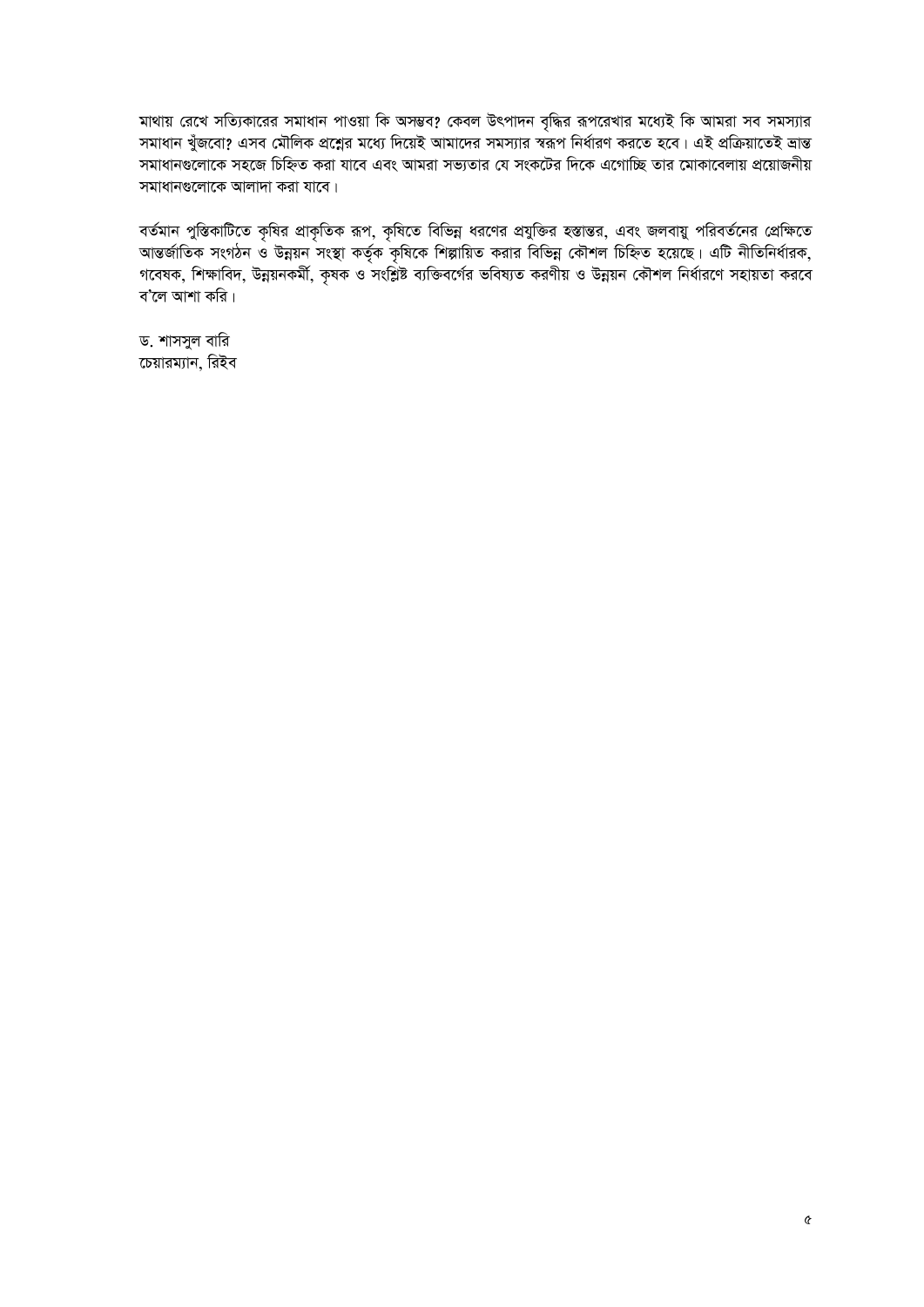মাথায় রেখে সত্যিকারের সমাধান পাওয়া কি অসম্ভব? কেবল উৎপাদন বৃদ্ধির রূপরেখার মধ্যেই কি আমরা সব সমস্যার সমাধান খুঁজবো? এসব মৌলিক প্রশ্নের মধ্যে দিয়েই আমাদের সমস্যার স্বরূপ নির্ধারণ করতে হবে। এই প্রক্রিয়াতেই ভ্রান্ত সমাধানগুলোকে সহজে চিহ্নিত করা যাবে এবং আমরা সভ্যতার যে সংকটের দিকে এগোচ্ছি তার মোকাবেলায় প্রয়োজনীয় সমাধানগুলোকে আলাদা করা যাবে।

বর্তমান পুস্তিকাটিতে কৃষির প্রাকৃতিক রূপ, কৃষিতে বিভিন্ন ধরণের প্রযুক্তির হস্তান্তর, এবং জলবায়ু পরিবর্তনের প্রেক্ষিতে আন্তর্জাতিক সংগঠন ও উন্নয়ন সংস্থা কর্তৃক কৃষিকে শিল্পায়িত করার বিভিন্ন কৌশল চিহ্নিত হয়েছে। এটি নীতিনির্ধারক, গবেষক, শিক্ষাবিদ, উন্নয়নকৰ্মী, কৃষক ও সংশ্লিষ্ট ব্যক্তিবর্গের ভবিষ্যত করণীয় ও উন্নয়ন কৌশল নির্ধারণে সহায়তা করবে ব'লে আশা করি।

ড. শাসসুল বারি চেয়ারম্যান, রিইব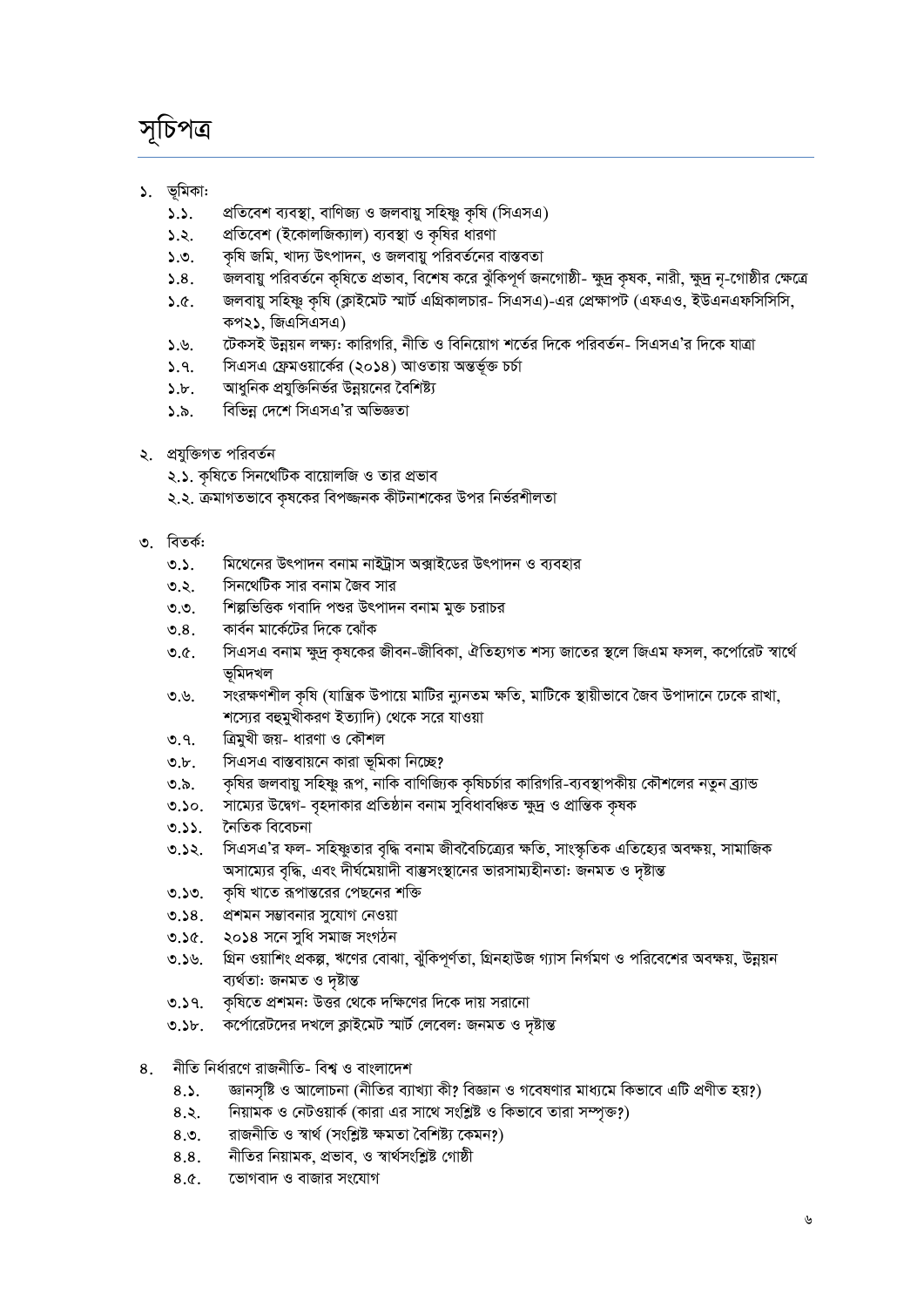# সূচিপত্ৰ

- ১. ভূমিকা:
	- প্রতিবেশ ব্যবস্থা, বাণিজ্য ও জলবায়ু সহিষ্ণু কৃষি (সিএসএ)  $5.5.$
	- প্রতিবেশ (ইকোলজিক্যাল) ব্যবস্থা ও কৃষির ধারণা  $5.5.$
	- কৃষি জমি, খাদ্য উৎপাদন, ও জলবায়ু পরিবর্তনের বাস্তবতা  $5.9.$
	- জলবায়ু পরিবর্তনে কৃষিতে প্রভাব, বিশেষ করে ঝুঁকিপূর্ণ জনগোষ্ঠী- ক্ষুদ্র কৃষক, নারী, ক্ষুদ্র নৃ-গোষ্ঠীর ক্ষেত্রে  $5.8.$
	- জলবায়ু সহিষ্ণু কৃষি (ক্লাইমেট স্মার্ট এগ্রিকালচার- সিএসএ)-এর প্রেক্ষাপট (এফএও, ইউএনএফসিসিসি,  $5.6.$ কপ২১. জিএসিএসএ)
	- টেকসই উন্নয়ন লক্ষ্য: কারিগরি, নীতি ও বিনিয়োগ শর্তের দিকে পরিবর্তন- সিএসএ'র দিকে যাত্রা  $5.9.$
	- সিএসএ ফ্রেমওয়ার্কের (২০১৪) আওতায় অন্তর্ভুক্ত চর্চা  $5.9.$
	- আধুনিক প্রযুক্তিনির্ভর উন্নয়নের বৈশিষ্ট্য  $\delta$ .b.
	- বিভিন্ন দেশে সিএসএ'র অভিজ্ঞতা  $\lambda \delta$ .
- ২. প্রযুক্তিগত পরিবর্তন
	- ২.১. কৃষিতে সিনথেটিক বায়োলজি ও তার প্রভাব
	- ২.২. ক্রমাগতভাবে কৃষকের বিপজ্জনক কীটনাশকের উপর নির্ভরশীলতা
- ৩ বিতর্ক:
	- $0.5$ . মিথেনের উৎপাদন বনাম নাইট্রাস অক্সাইডের উৎপাদন ও ব্যবহার
	- সিনথেটিক সার বনাম জৈব সার ত.২.
	- শিল্পভিত্তিক গবাদি পশুর উৎপাদন বনাম মুক্ত চরাচর  $\mathcal{O}$ .
	- কার্বন মার্কেটের দিকে ঝোঁক  $\mathcal{O}.8$ .
	- সিএসএ বনাম ক্ষুদ্র কৃষকের জীবন-জীবিকা, ঐতিহ্যগত শস্য জাতের স্থলে জিএম ফসল, কর্পোরেট স্বার্থে  $\mathcal{O}$ . ভূমিদখল
	- সংরক্ষণশীল কৃষি (যান্ত্রিক উপায়ে মাটির ন্যুনতম ক্ষতি, মাটিকে স্থায়ীভাবে জৈব উপাদানে ঢেকে রাখা, ত.৬. শস্যের বহুমুখীকরণ ইত্যাদি) থেকে সরে যাওয়া
	- ত্রিমুখী জয়- ধারণা ও কৌশল ৩.৭.
	- সিএসএ বাস্তবায়নে কারা ভূমিকা নিচ্ছে?  $\mathcal{L}$ .
	- কৃষির জলবায়ু সহিষ্ণু রূপ, নাকি বাণিজ্যিক কৃষিচর্চার কারিগরি-ব্যবস্থাপকীয় কৌশলের নতুন ব্র্যান্ড ৩.৯.
	- সাম্যের উদ্বেগ- বৃহদাকার প্রতিষ্ঠান বনাম সুবিধাবঞ্চিত ক্ষুদ্র ও প্রান্তিক কৃষক  $0.50.$
	- নৈতিক বিবেচনা  $0.55.$
	- সিএসএ'র ফল- সহিষ্ণুতার বৃদ্ধি বনাম জীববৈচিত্র্যের ক্ষতি, সাংস্কৃতিক এতিহ্যের অবক্ষয়, সামাজিক  $0.52.$ অসাম্যের বৃদ্ধি, এবং দীর্ঘমেয়াদী বাম্ভসংস্থানের ভারসাম্যহীনতা: জনমত ও দৃষ্টান্ত
	- কৃষি খাতে রূপান্তরের পেছনের শক্তি  $0.50.$
	- প্রশমন সম্ভাবনার সুযোগ নেওয়া  $0.38.$
	- ২০১৪ সনে সুধি সমাজ সংগঠন  $36<sup>o</sup>$
	- গ্রিন ওয়াশিং প্রকল্প, ঋণের বোঝা, ঝুঁকিপূর্ণতা, গ্রিনহাউজ গ্যাস নির্গমণ ও পরিবেশের অবক্ষয়, উন্নয়ন  $9.59$ ব্যৰ্থতা: জনমত ও দষ্টান্ত
	- কৃষিতে প্রশমন: উত্তর থেকে দক্ষিণের দিকে দায় সরানো  $0.59.$
	- কর্পোরেটদের দখলে ক্লাইমেট স্মার্ট লেবেল: জনমত ও দৃষ্টান্ত  $9.3b.$
- নীতি নিৰ্ধারণে রাজনীতি- বিশ্ব ও বাংলাদেশ  $8<sub>1</sub>$ 
	- জ্ঞানসৃষ্টি ও আলোচনা (নীতির ব্যাখ্যা কী? বিজ্ঞান ও গবেষণার মাধ্যমে কিভাবে এটি প্রণীত হয়?)  $8.5.$
	- $8.3.$ নিয়ামক ও নেটওয়ার্ক (কারা এর সাথে সংশ্লিষ্ট ও কিভাবে তারা সম্পত্ত?)
	- রাজনীতি ও স্বার্থ (সংশ্লিষ্ট ক্ষমতা বৈশিষ্ট্য কেমন?)  $8.9.$
	- নীতির নিয়ামক, প্রভাব, ও স্বার্থসংশ্লিষ্ট গোষ্ঠী 8.8.
	- ভোগবাদ ও বাজার সংযোগ  $8.0<sub>1</sub>$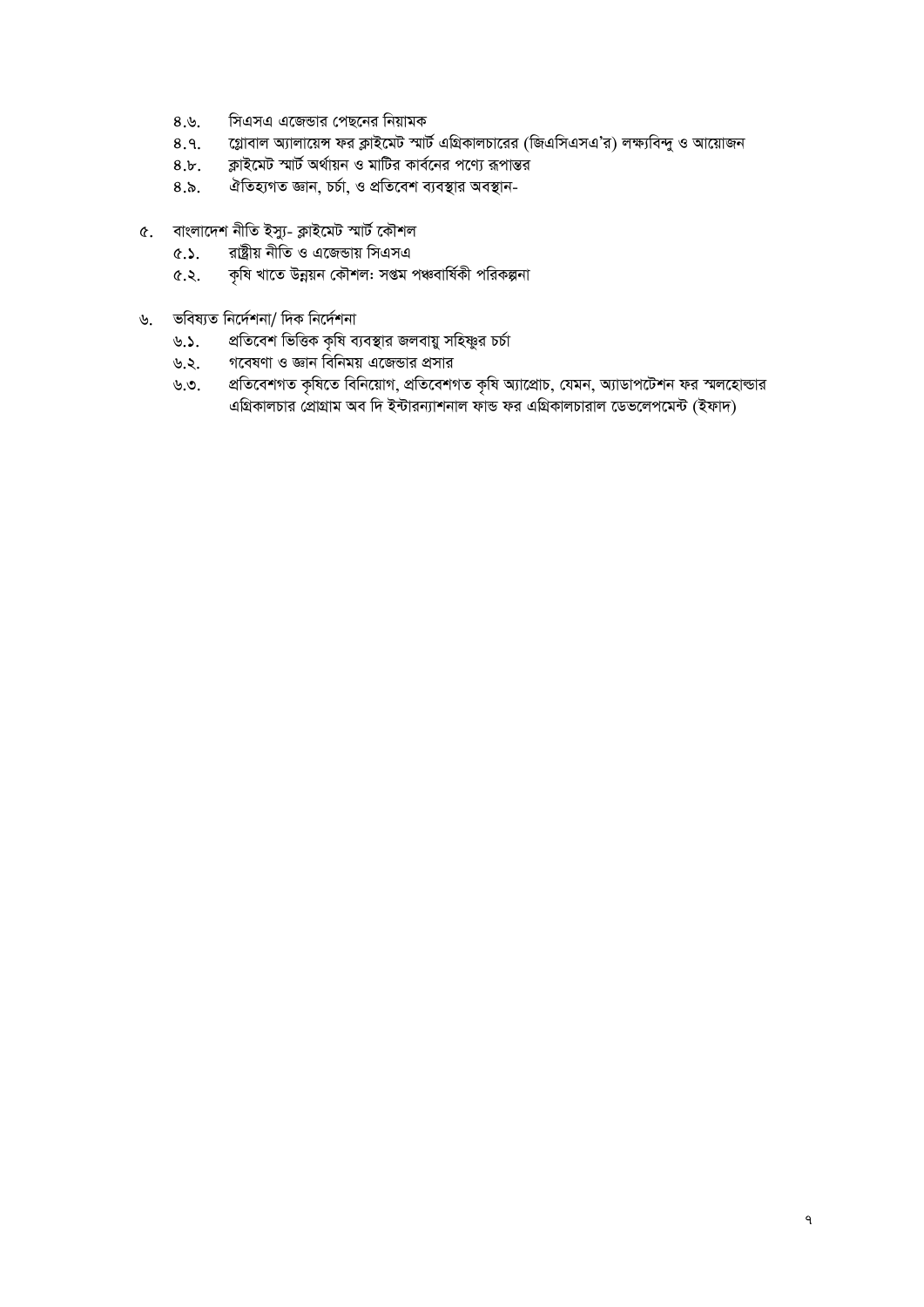- সিএসএ এজেন্ডার পেছনের নিয়ামক  $8.8.$
- গ্লোবাল অ্যালায়েন্স ফর ক্লাইমেট স্মার্ট এগ্রিকালচারের (জিএসিএসএ'র) লক্ষ্যবিন্দু ও আয়োজন  $8.9.$
- ক্লাইমেট স্মার্ট অর্থায়ন ও মাটির কার্বনের পণ্যে রূপান্তর  $8.b$ .
- ঐতিহ্যগত জ্ঞান, চৰ্চা, ও প্ৰতিবেশ ব্যবস্থার অবস্থান- $8.5.$
- ৫. বাংলাদেশ নীতি ইস্যু- ক্লাইমেট স্মার্ট কৌশল
	- রাষ্ট্রীয় নীতি ও এজেডায় সিএসএ  $6.5.$
	- কৃষি খাতে উন্নয়ন কৌশল: সপ্তম পঞ্চবাৰ্ষিকী পরিকল্পনা ৫.২.
- ভবিষ্যত নিৰ্দেশনা/ দিক নিৰ্দেশনা  $\mathcal{U}_1$ 
	- প্রতিবেশ ভিত্তিক কৃষি ব্যবস্থার জলবায়ু সহিষ্ণুর চর্চা ৬.১.
	- গবেষণা ও জ্ঞান বিনিময় এজেন্ডার প্রসার ৬.২.
	- প্রতিবেশগত কৃষিতে বিনিয়োগ, প্রতিবেশগত কৃষি অ্যাপ্রোচ, যেমন, অ্যাডাপটেশন ফর স্মলহোল্ডার ৬.৩. এগ্রিকালচার প্রোগ্রাম অব দি ইন্টারন্যাশনাল ফান্ড ফর এগ্রিকালচারাল ডেভলেপমেন্ট (ইফাদ)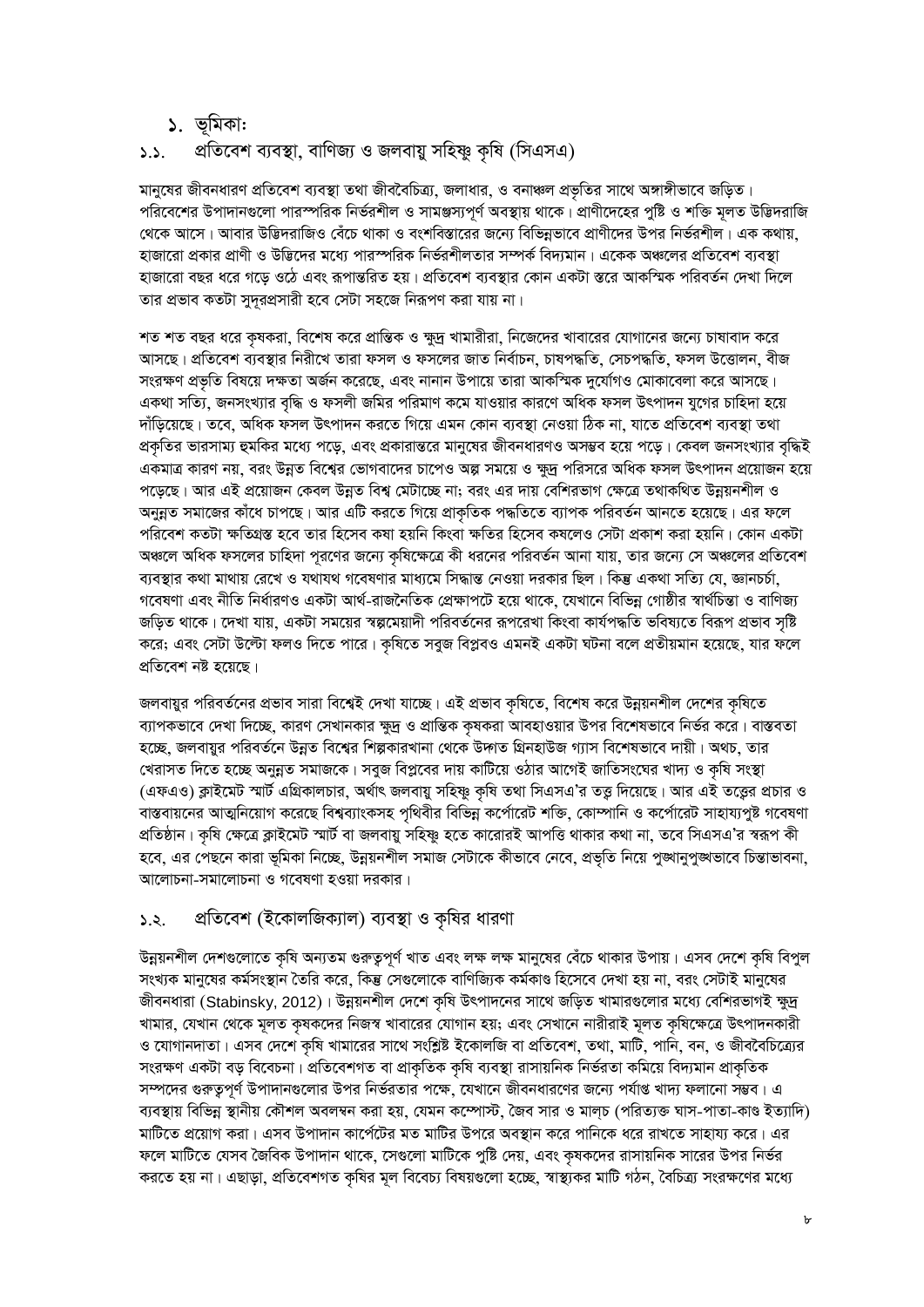### ১. ভূমিকা:

#### প্রতিবেশ ব্যবস্থা, বাণিজ্য ও জলবায়ু সহিষ্ণু কৃষি (সিএসএ)  $5.5.$

মানুষের জীবনধারণ প্রতিবেশ ব্যবস্থা তথা জীববৈচিত্র্য, জলাধার, ও বনাঞ্চল প্রভৃতির সাথে অঙ্গাঙ্গীভাবে জড়িত। পরিবেশের উপাদানগুলো পারস্পরিক নির্ভরশীল ও সামঞ্জস্যপূর্ণ অবস্থায় থাকে। প্রাণীদেহের পুষ্টি ও শক্তি মূলত উদ্ভিদরাজি থেকে আসে। আবার উদ্ভিদরাজিও বেঁচে থাকা ও বংশবিস্তারের জন্যে বিভিন্নভাবে প্রাণীদের উপর নির্ভরশীল। এক কথায়, হাজারো প্রকার প্রাণী ও উদ্ভিদের মধ্যে পারস্পরিক নির্ভরশীলতার সম্পর্ক বিদ্যমান। একেক অঞ্চলের প্রতিবেশ ব্যবস্থা হাজারো বছর ধরে গড়ে ওঠে এবং রূপান্তরিত হয়। প্রতিবেশ ব্যবস্থার কোন একটা স্তরে আকস্মিক পরিবর্তন দেখা দিলে তার প্রভাব কতটা সুদূরপ্রসারী হবে সেটা সহজে নিরূপণ করা যায় না।

শত শত বছর ধরে কৃষকরা, বিশেষ করে প্রান্তিক ও ক্ষুদ্র খামারীরা, নিজেদের খাবারের যোগানের জন্যে চাষাবাদ করে আসছে। প্রতিবেশ ব্যবস্থার নিরীখে তারা ফসল ও ফসলের জাত নির্বাচন, চাষপদ্ধতি, সেচপদ্ধতি, ফসল উত্তোলন, বীজ সংরক্ষণ প্রভৃতি বিষয়ে দক্ষতা অর্জন করেছে, এবং নানান উপায়ে তারা আকস্মিক দুর্যোগও মোকাবেলা করে আসছে। একথা সত্যি, জনসংখ্যার বৃদ্ধি ও ফসলী জমির পরিমাণ কমে যাওয়ার কারণে অধিক ফসল উৎপাদন যুগের চাহিদা হয়ে দাঁড়িয়েছে। তবে, অধিক ফসল উৎপাদন করতে গিয়ে এমন কোন ব্যবস্থা নেওয়া ঠিক না, যাতে প্রতিবেশ ব্যবস্থা তথা প্রকৃতির ভারসাম্য হুমকির মধ্যে পড়ে, এবং প্রকারান্তরে মানুষের জীবনধারণও অসম্ভব হয়ে পড়ে। কেবল জনসংখ্যার বৃদ্ধিই একমাত্র কারণ নয়, বরং উন্নত বিশ্বের ভোগবাদের চাপেও অল্প সময়ে ও ক্ষুদ্র পরিসরে অধিক ফসল উৎপাদন প্রয়োজন হয়ে পড়েছে। আর এই প্রয়োজন কেবল উন্নত বিশ্ব মেটাচ্ছে না; বরং এর দায় বেশিরভাগ ক্ষেত্রে তথাকথিত উন্নয়নশীল ও অনুন্নত সমাজের কাঁধে চাপছে। আর এটি করতে গিয়ে প্রাকৃতিক পদ্ধতিতে ব্যাপক পরিবর্তন আনতে হয়েছে। এর ফলে পরিবেশ কতটা ক্ষতিগ্রস্ত হবে তার হিসেব কষা হয়নি কিংবা ক্ষতির হিসেব কষলেও সেটা প্রকাশ করা হয়নি। কোন একটা অঞ্চলে অধিক ফসলের চাহিদা পূরণের জন্যে কৃষিক্ষেত্রে কী ধরনের পরিবর্তন আনা যায়, তার জন্যে সে অঞ্চলের প্রতিবেশ ব্যবস্থার কথা মাথায় রেখে ও যথাযথ গবেষণার মাধ্যমে সিদ্ধান্ত নেওয়া দরকার ছিল। কিন্তু একথা সত্যি যে, জ্ঞানচর্চা গবেষণা এবং নীতি নির্ধারণও একটা আর্থ-রাজনৈতিক প্রেক্ষাপটে হয়ে থাকে, যেখানে বিভিন্ন গোষ্ঠীর স্বার্থচিন্তা ও বাণিজ্য জড়িত থাকে। দেখা যায়, একটা সময়ের স্বল্পমেয়াদী পরিবর্তনের রূপরেখা কিংবা কার্যপদ্ধতি ভবিষ্যতে বিরূপ প্রভাব সৃষ্টি করে; এবং সেটা উল্টো ফলও দিতে পারে। কৃষিতে সবুজ বিপ্লবও এমনই একটা ঘটনা বলে প্রতীয়মান হয়েছে, যার ফলে প্ৰতিবেশ নষ্ট হয়েছে।

জলবায়ুর পরিবর্তনের প্রভাব সারা বিশ্বেই দেখা যাচ্ছে। এই প্রভাব কৃষিতে, বিশেষ করে উন্নয়নশীল দেশের কৃষিতে ব্যাপকভাবে দেখা দিচ্ছে, কারণ সেখানকার ক্ষুদ্র ও প্রান্তিক কৃষকরা আবহাওয়ার উপর বিশেষভাবে নির্ভর করে। বাস্তবতা হচ্ছে, জলবায়ুর পরিবর্তনে উন্নত বিশ্বের শিল্পকারখানা থেকে উদ্গত গ্রিনহাউজ গ্যাস বিশেষভাবে দায়ী। অথচ, তার খেরাসত দিতে হচ্ছে অনুন্নত সমাজকে। সবুজ বিপ্লবের দায় কাটিয়ে ওঠার আগেই জাতিসংঘের খাদ্য ও কৃষি সংস্থা (এফএও) ক্লাইমেট স্মার্ট এগ্রিকালচার, অর্থাৎ জলবায়ু সহিষ্ণু কৃষি তথা সিএসএ'র তত্তু দিয়েছে। আর এই তত্ত্বের প্রচার ও বাস্তবায়নের আত্মনিয়োগ করেছে বিশ্বব্যাংকসহ পৃথিবীর বিভিন্ন কর্পোরেট শক্তি, কোম্পানি ও কর্পোরেট সাহায্যপুষ্ট গবেষণা প্রতিষ্ঠান। কৃষি ক্ষেত্রে ক্লাইমেট স্মার্ট বা জলবায়ু সহিষ্ণু হতে কারোরই আপত্তি থাকার কথা না, তবে সিএসএ'র স্বরূপ কী হবে, এর পেছনে কারা ভূমিকা নিচ্ছে, উন্নয়নশীল সমাজ সেটাকে কীভাবে নেবে, প্রভৃতি নিয়ে পুঙ্গানুপুঙ্গভাবে চিন্তাভাবনা, আলোচনা-সমালোচনা ও গবেষণা হওয়া দরকার।

#### প্রতিবেশ (ইকোলজিক্যাল) ব্যবস্থা ও কৃষির ধারণা  $5.5.$

উন্নয়নশীল দেশগুলোতে কৃষি অন্যতম গুরুত্বপূর্ণ খাত এবং লক্ষ লক্ষ মানুষের বেঁচে থাকার উপায়। এসব দেশে কৃষি বিপুল সংখ্যক মানুষের কর্মসংস্থান তৈরি করে, কিন্তু সেগুলোকে বাণিজ্যিক কর্মকাণ্ড হিসেবে দেখা হয় না, বরং সেটাই মানুষের জীবনধারা (Stabinsky, 2012)। উন্নয়নশীল দেশে কৃষি উৎপাদনের সাথে জড়িত খামারগুলোর মধ্যে বেশিরভাগই ক্ষুদ্র খামার, যেখান থেকে মূলত কৃষকদের নিজস্ব খাবারের যোগান হয়; এবং সেখানে নারীরাই মূলত কৃষিক্ষেত্রে উৎপাদনকারী ও যোগানদাতা। এসব দেশে কৃষি খামারের সাথে সংশ্লিষ্ট ইকোলজি বা প্রতিবেশ, তথা, মাটি, পানি, বন, ও জীববৈচিত্র্যের সংরক্ষণ একটা বড় বিবেচনা। প্রতিবেশগত বা প্রাকৃতিক কৃষি ব্যবস্থা রাসায়নিক নির্ভরতা কমিয়ে বিদ্যমান প্রাকৃতিক সম্পদের গুরুতুপূর্ণ উপাদানগুলোর উপর নির্ভরতার পক্ষে, যেখানে জীবনধারণের জন্যে পর্যাপ্ত খাদ্য ফলানো সম্ভব। এ ব্যবস্থায় বিভিন্ন স্থানীয় কৌশল অবলম্বন করা হয়, যেমন কম্পোস্ট, জৈব সার ও মালচ (পরিত্যক্ত ঘাস-পাতা-কাণ্ড ইত্যাদি) মাটিতে প্রয়োগ করা। এসব উপাদান কার্পেটের মত মাটির উপরে অবস্থান করে পানিকে ধরে রাখতে সাহায্য করে। এর ফলে মাটিতে যেসব জৈবিক উপাদান থাকে, সেগুলো মাটিকে পুষ্টি দেয়, এবং কৃষকদের রাসায়নিক সারের উপর নির্ভর করতে হয় না। এছাড়া, প্রতিবেশগত কৃষির মূল বিবেচ্য বিষয়গুলো হচ্ছে, স্বাস্থ্যকর মাটি গঠন, বৈচিত্র্য সংরক্ষণের মধ্যে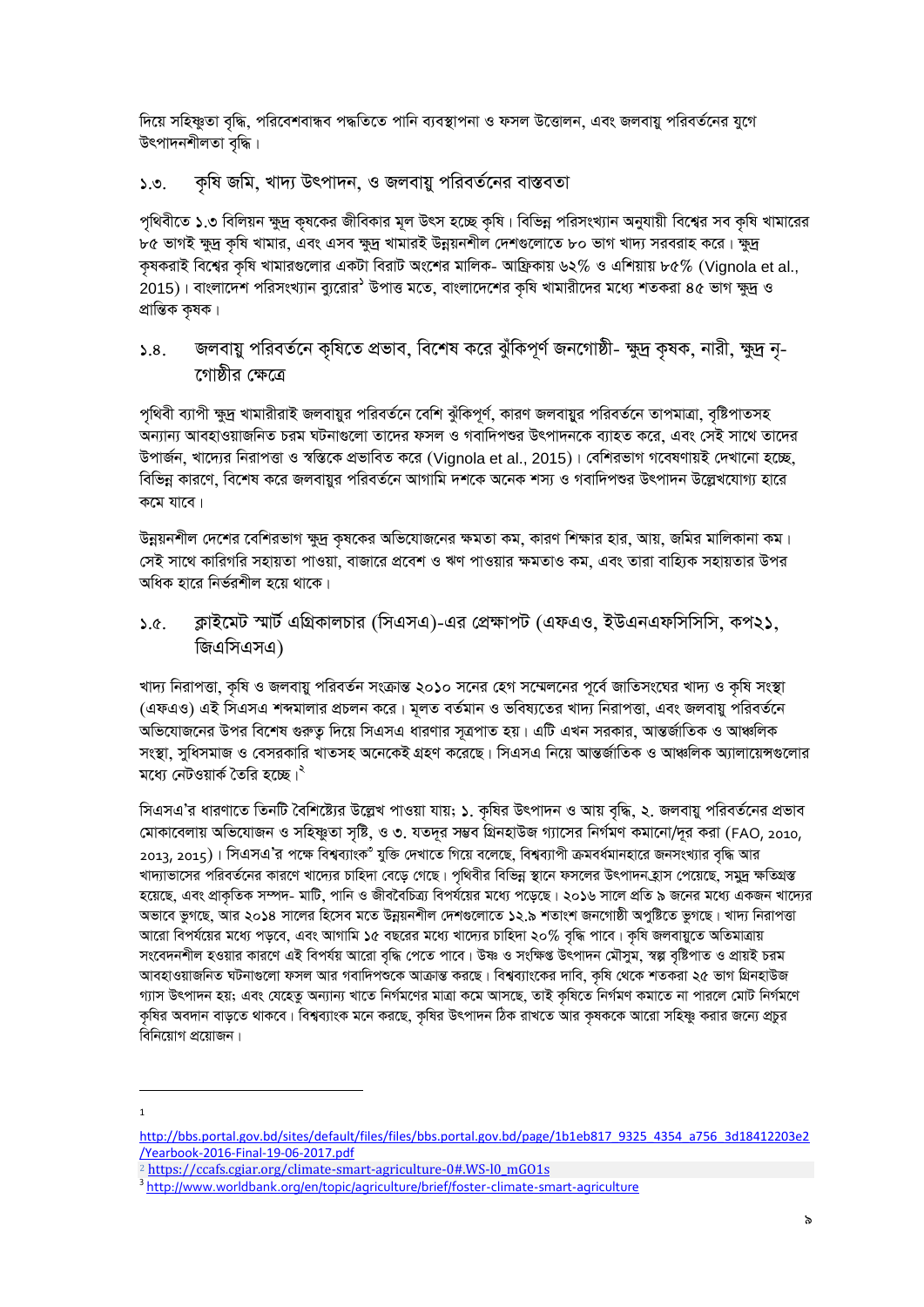দিয়ে সহিষ্ণুতা বৃদ্ধি, পরিবেশবান্ধব পদ্ধতিতে পানি ব্যবস্থাপনা ও ফসল উত্তোলন, এবং জলবায়ু পরিবর্তনের যুগে উৎপাদনশীলতা বৃদ্ধি।

#### কৃষি জমি, খাদ্য উৎপাদন, ও জলবায়ু পরিবর্তনের বাস্তবতা  $5.9.$

পৃথিবীতে ১.৩ বিলিয়ন ক্ষুদ্র কৃষকের জীবিকার মূল উৎস হচ্ছে কৃষি। বিভিন্ন পরিসংখ্যান অনুযায়ী বিশ্বের সব কৃষি খামারের ৮৫ ভাগই ক্ষুদ্র কৃষি খামার, এবং এসব ক্ষুদ্র খামারই উন্নয়নশীল দেশগুলোতে ৮০ ভাগ খাদ্য সরবরাহ করে। ক্ষুদ্র কৃষকরাই বিশ্বের কৃষি খামারগুলোর একটা বিরাট অংশের মালিক- আফ্রিকায় ৬২% ও এশিয়ায় ৮৫% (Vignola et al., 2015)। বাংলাদেশ পরিসংখ্যান ব্যুরোর<sup>১</sup> উপাত্ত মতে, বাংলাদেশের কৃষি খামারীদের মধ্যে শতকরা ৪৫ ভাগ ক্ষুদ্র ও প্ৰান্তিক কৃষক।

### জলবায়ু পরিবর্তনে কৃষিতে প্রভাব, বিশেষ করে ঝুঁকিপূর্ণ জনগোষ্ঠী- ক্ষুদ্র কৃষক, নারী, ক্ষুদ্র নৃ- $5.8.$ গোষ্ঠীর ক্ষেত্রে

পৃথিবী ব্যাপী ক্ষুদ্র খামারীরাই জলবায়ুর পরিবর্তনে বেশি ঝুঁকিপূর্ণ, কারণ জলবায়ুর পরিবর্তনে তাপমাত্রা, বৃষ্টিপাতসহ অন্যান্য আবহাওয়াজনিত চরম ঘটনাগুলো তাদের ফসল ও গবাদিপশুর উৎপাদনকে ব্যাহত করে, এবং সেই সাথে তাদের উপার্জন, খাদ্যের নিরাপত্তা ও স্বস্তিকে প্রভাবিত করে (Vignola et al., 2015)। বেশিরভাগ গবেষণায়ই দেখানো হচ্ছে, বিভিন্ন কারণে, বিশেষ করে জলবায়ুর পরিবর্তনে আগামি দশকে অনেক শস্য ও গবাদিপশুর উৎপাদন উল্লেখযোগ্য হারে কমে যাবে।

উন্নয়নশীল দেশের বেশিরভাগ ক্ষুদ্র কৃষকের অভিযোজনের ক্ষমতা কম, কারণ শিক্ষার হার, আয়, জমির মালিকানা কম। সেই সাথে কারিগরি সহায়তা পাওয়া, বাজারে প্রবেশ ও ঋণ পাওয়ার ক্ষমতাও কম, এবং তারা বাহ্যিক সহায়তার উপর অধিক হারে নির্ভরশীল হয়ে থাকে।

ক্লাইমেট স্মার্ট এগ্রিকালচার (সিএসএ)-এর প্রেক্ষাপট (এফএও, ইউএনএফসিসিসি, কপ২১,  $5a$ জিএসিএসএ)

খাদ্য নিরাপত্তা, কৃষি ও জলবায়ু পরিবর্তন সংক্রান্ত ২০১০ সনের হেগ সম্মেলনের পূর্বে জাতিসংঘের খাদ্য ও কৃষি সংস্থা (এফএও) এই সিএসএ শব্দমালার প্রচলন করে। মূলত বর্তমান ও ভবিষ্যতের খাদ্য নিরাপত্তা, এবং জলবায়ু পরিবর্তনে অভিযোজনের উপর বিশেষ গুরুত্ব দিয়ে সিএসএ ধারণার সূত্রপাত হয়। এটি এখন সরকার, আন্তর্জাতিক ও আঞ্চলিক সংস্থা, সুধিসমাজ ও বেসরকারি খাতসহ অনেকেই গ্রহণ করেছে। সিএসএ নিয়ে আন্তর্জাতিক ও আঞ্চলিক অ্যালায়েন্সগুলোর মধ্যে নেটওয়ার্ক তৈরি হচ্ছে।<sup>২</sup>

সিএসএ'র ধারণাতে তিনটি বৈশিষ্ট্যের উল্লেখ পাওয়া যায়; ১. কৃষির উৎপাদন ও আয় বৃদ্ধি, ২. জলবায়ু পরিবর্তনের প্রভাব মোকাবেলায় অভিযোজন ও সহিষ্ণুতা সৃষ্টি, ও ৩. যতদূর সম্ভব গ্রিনহাউজ গ্যাসের নির্গমণ কমানো/দূর করা (FAO, 2010, 2013, 2015)। সিএসএ'র পক্ষে বিশ্বব্যাংক<sup>৩</sup> যুক্তি দেখাতে গিয়ে বলেছে, বিশ্বব্যাপী ক্রমবর্ধমানহারে জনসংখ্যার বন্ধি আর খাদ্যাভাসের পরিবর্তনের কারণে খাদ্যের চাহিদা বেড়ে গেছে। পৃথিবীর বিভিন্ন স্থানে ফসলের উৎপাদন হ্রাস পেয়েছে, সমুদ্র ক্ষতিগ্রস্ত হয়েছে, এবং প্রাকৃতিক সম্পদ- মাটি, পানি ও জীববৈচিত্র্য বিপর্যয়ের মধ্যে পড়েছে। ২০১৬ সালে প্রতি ৯ জনের মধ্যে একজন খাদ্যের অভাবে ভুগছে, আর ২০১৪ সালের হিসেব মতে উন্নয়নশীল দেশগুলোতে ১২.৯ শতাংশ জনগোষ্ঠী অপুষ্টিতে ভুগছে। খাদ্য নিরাপত্তা আরো বিপর্যয়ের মধ্যে পড়বে, এবং আগামি ১৫ বছরের মধ্যে খাদ্যের চাহিদা ২০% বৃদ্ধি পাবে। কৃষি জলবায়ুতে অতিমাত্রায় সংবেদনশীল হওয়ার কারণে এই বিপর্যয় আরো বৃদ্ধি পেতে পাবে। উষ্ণ ও সংক্ষিপ্ত উৎপাদন মৌসুম, স্বল্প বৃষ্টিপাত ও প্রায়ই চরম আবহাওয়াজনিত ঘটনাগুলো ফসল আর গবাদিপশুকে আক্রান্ত করছে। বিশ্বব্যাংকের দাবি, কৃষি থেকে শতকরা ২৫ ভাগ গ্রিনহাউজ গ্যাস উৎপাদন হয়; এবং যেহেতু অন্যান্য খাতে নিৰ্গমণের মাত্রা কমে আসছে, তাই কৃষিতে নিৰ্গমণ কমাতে না পারলে মোট নিৰ্গমণে কৃষির অবদান বাড়তে থাকবে। বিশ্বব্যাংক মনে করছে, কৃষির উৎপাদন ঠিক রাখতে আর কৃষককে আরো সহিষ্ণু করার জন্যে প্রচুর বিনিয়োগ প্রয়োজন।

http://bbs.portal.gov.bd/sites/default/files/files/bbs.portal.gov.bd/page/1b1eb817 9325 4354 a756 3d18412203e2 /Yearbook-2016-Final-19-06-2017.pdf

<sup>&</sup>lt;sup>2</sup> https://ccafs.cgiar.org/climate-smart-agriculture-0#.WS-l0\_mGO1s

<sup>&</sup>lt;sup>3</sup> http://www.worldbank.org/en/topic/agriculture/brief/foster-climate-smart-agriculture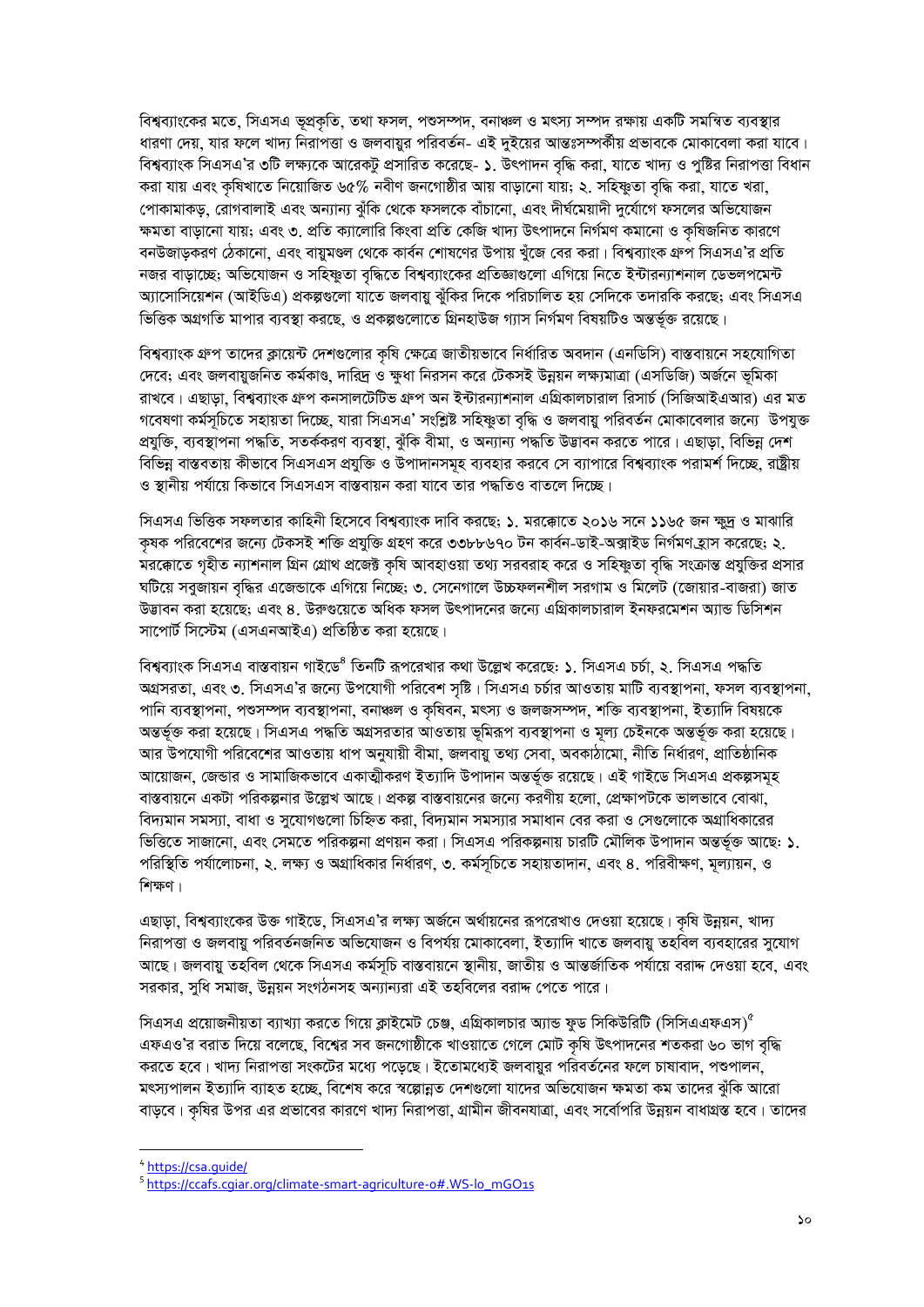বিশ্বব্যাংকের মতে, সিএসএ ভূপ্রকৃতি, তথা ফসল, পশুসম্পদ, বনাঞ্চল ও মৎস্য সম্পদ রক্ষায় একটি সমন্বিত ব্যবস্থার ধারণা দেয়, যার ফলে খাদ্য নিরাপত্তা ও জলবায়ুর পরিবর্তন- এই দুইয়ের আন্তঃসম্পর্কীয় প্রভাবকে মোকাবেলা করা যাবে। বিশ্বব্যাংক সিএসএ'র ৩টি লক্ষ্যকে আরেকটু প্রসারিত করেছে- ১. উৎপাদন বদ্ধি করা, যাতে খাদ্য ও পুষ্টির নিরাপত্তা বিধান করা যায় এবং কৃষিখাতে নিয়োজিত ৬৫% নবীণ জনগোষ্ঠীর আয় বাড়ানো যায়; ২. সহিষ্ণুতা বৃদ্ধি করা, যাতে খরা, পোকামাকড়, রোগবালাই এবং অন্যান্য ঝুঁকি থেকে ফসলকে বাঁচানো, এবং দীর্ঘমেয়াদী দুর্যোগে ফসলের অভিযোজন ক্ষমতা বাডানো যায়; এবং ৩. প্রতি ক্যালোরি কিংবা প্রতি কেজি খাদ্য উৎপাদনে নির্গমণ কমানো ও কষিজনিত কারণে বনউজাডকরণ ঠেকানো, এবং বায়মণ্ডল থেকে কার্বন শোষণের উপায় খঁজে বের করা। বিশ্বব্যাংক গ্রুপ সিএসএ'র প্রতি নজর বাড়াচ্ছে; অভিযোজন ও সহিষ্ণুতা বদ্ধিতে বিশ্বব্যাংকের প্রতিজ্ঞাগুলো এগিয়ে নিতে ইন্টারন্যাশনাল ডেভলপমেন্ট অ্যাসোসিয়েশন (আইডিএ) প্রকল্পগুলো যাতে জলবায়ু ঝুঁকির দিকে পরিচালিত হয় সেদিকে তদারকি করছে; এবং সিএসএ ভিত্তিক অগ্রগতি মাপার ব্যবস্থা করছে। ও প্রকল্পগুলোতে গ্রিনহাউজ গ্যাস নির্গমণ বিষয়টিও অন্তর্ভক্ত রয়েছে।

বিশ্বব্যাংক গ্রুপ তাদের ক্লায়েন্ট দেশগুলোর কৃষি ক্ষেত্রে জাতীয়ভাবে নির্ধারিত অবদান (এনডিসি) বাস্তবায়নে সহযোগিতা দেবে; এবং জলবায়ুজনিত কর্মকাণ্ড, দারিদ্র ও ক্ষুধা নিরসন করে টেকসই উন্নয়ন লক্ষ্যমাত্রা (এসডিজি) অর্জনে ভূমিকা রাখবে। এছাড়া, বিশ্বব্যাংক গ্রুপ কনসালটেটিভ গ্রুপ অন ইন্টারন্যাশনাল এগ্রিকালচারাল রিসার্চ (সিজিআইএআর) এর মত গবেষণা কর্মসূচিতে সহায়তা দিচ্ছে, যারা সিএসএ' সংশ্লিষ্ট সহিষ্ণুতা বৃদ্ধি ও জলবায়ু পরিবর্তন মোকাবেলার জন্যে উপযুক্ত প্রযুক্তি, ব্যবস্থাপনা পদ্ধতি, সতর্ককরণ ব্যবস্থা, ঝুঁকি বীমা, ও অন্যান্য পদ্ধতি উদ্ভাবন করতে পারে। এছাড়া, বিভিন্ন দেশ বিভিন্ন বাস্তবতায় কীভাবে সিএসএস প্রযুক্তি ও উপাদানসমূহ ব্যবহার করবে সে ব্যাপারে বিশ্বব্যাংক পরামর্শ দিচ্ছে, রাষ্ট্রীয় ও স্থানীয় পর্যায়ে কিভাবে সিএসএস বাস্তবায়ন করা যাবে তার পদ্ধতিও বাতলে দিচ্ছে।

সিএসএ ভিত্তিক সফলতার কাহিনী হিসেবে বিশ্বব্যাংক দাবি করছে: ১. মরক্কোতে ২০১৬ সনে ১১৬৫ জন ক্ষদ ও মাঝারি কৃষক পরিবেশের জন্যে টেকসই শক্তি প্রযুক্তি গ্রহণ করে ৩৩৮৮৬৭০ টন কার্বন-ডাই-অক্সাইড নির্গমণ হ্রাস করেছে; ২. মরক্কোতে গৃহীত ন্যাশনাল গ্রিন গ্রোথ প্রজেক্ট কৃষি আবহাওয়া তথ্য সরবরাহ করে ও সহিষ্ণুতা বৃদ্ধি সংক্রান্ত প্রযুক্তির প্রসার ঘটিয়ে সবজায়ন বদ্ধির এজেডাকে এগিয়ে নিচ্ছে: ৩. সেনেগালে উচ্চফলনশীল সরগাম ও মিলেট (জোয়ার-বাজরা) জাত উদ্ভাবন করা হয়েছে: এবং ৪. উরুগুয়েতে অধিক ফসল উৎপাদনের জন্যে এগ্রিকালচারাল ইনফরমেশন অ্যান্ড ডিসিশন সাপোর্ট সিস্টেম (এসএনআইএ) প্রতিষ্ঠিত করা হয়েছে।

বিশ্বব্যাংক সিএসএ বাস্তবায়ন গাইডে ভিনটি রূপরেখার কথা উল্লেখ করেছে: ১. সিএসএ চর্চা, ২. সিএসএ পদ্ধতি অগ্রসরতা, এবং ৩. সিএসএ'র জন্যে উপযোগী পরিবেশ সৃষ্টি। সিএসএ চর্চার আওতায় মাটি ব্যবস্থাপনা, ফসল ব্যবস্থাপনা, পানি ব্যবস্থাপনা, পশুসম্পদ ব্যবস্থাপনা, বনাঞ্চল ও কৃষিবন, মৎস্য ও জলজসম্পদ, শক্তি ব্যবস্থাপনা, ইত্যাদি বিষয়কে অন্তর্ভূক্ত করা হয়েছে। সিএসএ পদ্ধতি অগ্রসরতার আওতায় ভূমিরূপ ব্যবস্থাপনা ও মূল্য চেইনকে অন্তর্ভূক্ত করা হয়েছে। আর উপযোগী পরিবেশের আওতায় ধাপ অনুযায়ী বীমা, জলবায়ু তথ্য সেবা, অবকাঠামো, নীতি নির্ধারণ, প্রাতিষ্ঠানিক আয়োজন, জেন্ডার ও সামাজিকভাবে একাত্মীকরণ ইত্যাদি উপাদান অন্তর্ভুক্ত রয়েছে। এই গাইডে সিএসএ প্রকল্পসমূহ বাস্তবায়নে একটা পরিকল্পনার উল্লেখ আছে। প্রকল্প বাস্তবায়নের জন্যে করণীয় হলো, প্রেক্ষাপটকে ভালভাবে বোঝা, বিদ্যমান সমস্যা, বাধা ও সুযোগগুলো চিহ্নিত করা, বিদ্যমান সমস্যার সমাধান বের করা ও সেগুলোকে অগ্রাধিকারের ভিত্তিতে সাজানো, এবং সেমতে পরিকল্পনা প্রণয়ন করা। সিএসএ পরিকল্পনায় চারটি মৌলিক উপাদান অন্তর্ভুক্ত আছে: ১. পরিস্থিতি পর্যালোচনা, ২. লক্ষ্য ও অগ্রাধিকার নির্ধারণ, ৩. কর্মসূচিতে সহায়তাদান, এবং ৪. পরিবীক্ষণ, মূল্যায়ন, ও শিক্ষণ।

এছাড়া, বিশ্বব্যাংকের উক্ত গাইডে, সিএসএ'র লক্ষ্য অর্জনে অর্থায়নের রূপরেখাও দেওয়া হয়েছে। কৃষি উন্নয়ন, খাদ্য নিরাপত্তা ও জলবায় পরিবর্তনজনিত অভিযোজন ও বিপর্যয় মোকাবেলা, ইত্যাদি খাতে জলবায় তহবিল ব্যবহারের সুযোগ আছে। জলবায়ু তহবিল থেকে সিএসএ কর্মসূচি বাস্তবায়নে স্থানীয়, জাতীয় ও আন্তর্জাতিক পর্যায়ে বরাদ্দ দেওয়া হবে, এবং সরকার, সুধি সমাজ, উন্নয়ন সংগঠনসহ অন্যান্যরা এই তহবিলের বরাদ্দ পেতে পারে।

সিএসএ প্রয়োজনীয়তা ব্যাখ্যা করতে গিয়ে ক্লাইমেট চেঞ্জ, এগ্রিকালচার অ্যান্ড ফুড সিকিউরিটি (সিসিএএফএস) $^{\rm c}$ এফএও'র বরাত দিয়ে বলেছে, বিশ্বের সব জনগোষ্ঠীকে খাওয়াতে গেলে মোট কৃষি উৎপাদনের শতকরা ৬০ ভাগ বৃদ্ধি করতে হবে। খাদ্য নিরাপত্তা সংকটের মধ্যে পড়েছে। ইতোমধ্যেই জলবায়ুর পরিবর্তনের ফলে চাষাবাদ, পশুপালন, মৎস্যপালন ইত্যাদি ব্যাহত হচ্ছে, বিশেষ করে স্বল্পোন্নত দেশগুলো যাদের অভিযোজন ক্ষমতা কম তাদের ঝুঁকি আরো বাড়বে। কৃষির উপর এর প্রভাবের কারণে খাদ্য নিরাপত্তা, গ্রামীন জীবনযাত্রা, এবং সর্বোপরি উন্নয়ন বাধাগ্রস্ত হবে। তাদের

<sup>4</sup> https://csa.guide/

<sup>&</sup>lt;sup>5</sup> https://ccafs.cgiar.org/climate-smart-agriculture-o#.WS-lo\_mGO1s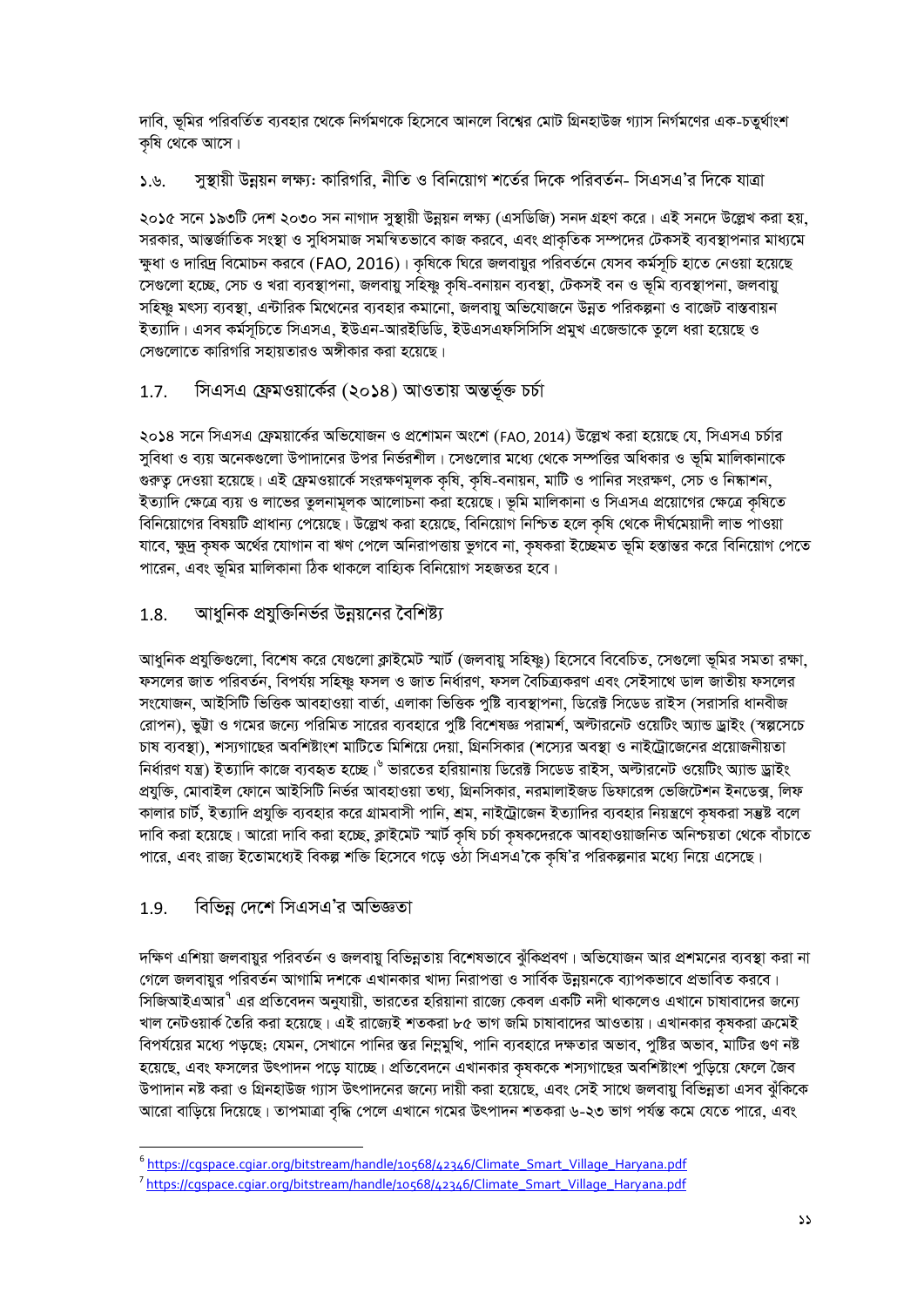দাবি, ভূমির পরিবর্তিত ব্যবহার থেকে নির্গমণকে হিসেবে আনলে বিশ্বের মোট গ্রিনহাউজ গ্যাস নির্গমণের এক-চতুর্থাংশ কৃষি থেকে আসে।

সন্থায়ী উন্নয়ন লক্ষ্য: কারিগরি, নীতি ও বিনিয়োগ শর্তের দিকে পরিবর্তন- সিএসএ'র দিকে যাত্রা  $5.9.$ 

২০১৫ সনে ১৯৩টি দেশ ২০৩০ সন নাগাদ সুস্থায়ী উন্নয়ন লক্ষ্য (এসডিজি) সনদ গ্রহণ করে। এই সনদে উল্লেখ করা হয়, সরকার, আন্তর্জাতিক সংস্থা ও সুধিসমাজ সমন্বিতভাবে কাজ করবে, এবং প্রাকৃতিক সম্পদের টেকসই ব্যবস্থাপনার মাধ্যমে ক্ষুধা ও দারিদ্র বিমোচন করবে (FAO, 2016)। কৃষিকে ঘিরে জলবায়ুর পরিবর্তনে যেসব কর্মসূচি হাতে নেওয়া হয়েছে সেগুলো হচ্ছে, সেচ ও খরা ব্যবস্থাপনা, জলবায়ু সহিষ্ণু কষি-বনায়ন ব্যবস্থা, টেকসই বন ও ভূমি ব্যবস্থাপনা, জলবায়ু সহিষ্ণু মৎস্য ব্যবস্থা, এন্টারিক মিথেনের ব্যবহার কমানো, জলবায়ু অভিযোজনে উন্নত পরিকল্পনা ও বাজেট বাস্তবায়ন ইত্যাদি। এসব কর্মসূচিতে সিএসএ, ইউএন-আরইডিডি, ইউএসএফসিসিসি প্রমুখ এজেন্ডাকে তুলে ধরা হয়েছে ও সেগুলোতে কাৱিগৱি সহায়তাৱও অঙ্গীকাৱ কৰা হয়েছে।

#### সিএসএ ফ্রেমওয়ার্কের (২০১৪) আওতায় অন্তর্ভূক্ত চর্চা  $1.7.$

২০১৪ সনে সিএসএ ফেময়ার্কের অভিযোজন ও প্রশোমন অংশে (FAO, 2014) উল্লেখ করা হয়েছে যে, সিএসএ চর্চার সুবিধা ও ব্যয় অনেকগুলো উপাদানের উপর নির্ভরশীল। সেগুলোর মধ্যে থেকে সম্পত্তির অধিকার ও ভূমি মালিকানাকে গুরুত্ব দেওয়া হয়েছে। এই ফ্রেমওয়ার্কে সংরক্ষণমূলক কৃষি, কৃষি-বনায়ন, মাটি ও পানির সংরক্ষণ, সেচ ও নিষ্কাশন, ইত্যাদি ক্ষেত্রে ব্যয় ও লাভের তুলনামূলক আলোচনা করা হয়েছে। ভূমি মালিকানা ও সিএসএ প্রয়োগের ক্ষেত্রে কৃষিতে বিনিয়োগের বিষয়টি প্রাধান্য পেয়েছে। উল্লেখ করা হয়েছে, বিনিয়োগ নিশ্চিত হলে কৃষি থেকে দীর্ঘমেয়াদী লাভ পাওয়া যাবে, ক্ষুদ্র কৃষক অর্থের যোগান বা ঋণ পেলে অনিরাপত্তায় ভুগবে না, কৃষকরা ইচ্ছেমত ভূমি হস্তান্তর করে বিনিয়োগ পেতে পারেন, এবং ভূমির মালিকানা ঠিক থাকলে বাহ্যিক বিনিয়োগ সহজতর হবে।

#### আধুনিক প্রযুক্তিনির্ভর উন্নয়নের বৈশিষ্ট্য 1.8.

আধুনিক প্রযুক্তিগুলো, বিশেষ করে যেগুলো ক্লাইমেট স্মার্ট (জলবায়ু সহিষ্ণু) হিসেবে বিবেচিত, সেগুলো ভূমির সমতা রক্ষা, ফসলের জাত পরিবর্তন, বিপর্যয় সহিষ্ণু ফসল ও জাত নির্ধারণ, ফসল বৈচিত্র্যকরণ এবং সেইসাথে ডাল জাতীয় ফসলের সংযোজন, আইসিটি ভিত্তিক আবহাওয়া বার্তা, এলাকা ভিত্তিক পুষ্টি ব্যবস্থাপনা, ডিরেক্ট সিডেড রাইস (সরাসরি ধানবীজ রোপন), ভূট্টা ও গমের জন্যে পরিমিত সারের ব্যবহারে পুষ্টি বিশেষজ্ঞ পরামর্শ, অল্টারনেট ওয়েটিং অ্যান্ড ড্রাইং (স্বল্পসেচে চাষ ব্যবস্থা), শস্যগাছের অবশিষ্টাংশ মাটিতে মিশিয়ে দেয়া, গ্রিনসিকার (শস্যের অবস্থা ও নাইট্রোজেনের প্রয়োজনীয়তা নির্ধারণ যন্ত্র) ইত্যাদি কাজে ব্যবহৃত হচ্ছে।<sup>৬</sup> ভারতের হরিয়ানায় ডিরেক্ট সিডেড রাইস, অল্টারনেট ওয়েটিং অ্যান্ড ড্রাইং প্রযুক্তি, মোবাইল ফোনে আইসিটি নির্ভর আবহাওয়া তথ্য, গ্রিনসিকার, নরমালাইজড ডিফারেন্স ভেজিটেশন ইনডেক্স, লিফ কালার চার্ট, ইত্যাদি প্রযুক্তি ব্যবহার করে গ্রামবাসী পানি, শ্রম, নাইট্রোজেন ইত্যাদির ব্যবহার নিয়ন্ত্রণে কৃষকরা সম্ভষ্ট বলে দাবি করা হয়েছে। আরো দাবি করা হচ্ছে, ক্লাইমেট স্মার্ট কৃষি চর্চা কৃষকদেরকে আবহাওয়াজনিত অনিশ্চয়তা থেকে বাঁচাতে পারে, এবং রাজ্য ইতোমধ্যেই বিকল্প শক্তি হিসেবে গড়ে ওঠা সিএসএ'কে কৃষি'র পরিকল্পনার মধ্যে নিয়ে এসেছে।

#### বিভিন্ন দেশে সিএসএ'র অভিজ্ঞতা 1.9.

দক্ষিণ এশিয়া জলবায়ুর পরিবর্তন ও জলবায়ু বিভিন্নতায় বিশেষভাবে ঝুঁকিপ্রবণ। অভিযোজন আর প্রশমনের ব্যবস্থা করা না গেলে জলবায়র পরিবর্তন আগামি দশকে এখানকার খাদ্য নিরাপত্তা ও সার্বিক উন্নয়নকে ব্যাপকভাবে প্রভাবিত করবে। সিজিআইএআর<sup>৭</sup> এর প্রতিবেদন অনুযায়ী, ভারতের হরিয়ানা রাজ্যে কেবল একটি নদী থাকলেও এখানে চাষাবাদের জন্যে খাল নেটওয়ার্ক তৈরি করা হয়েছে। এই রাজ্যেই শতকরা ৮৫ ভাগ জমি চাষাবাদের আওতায়। এখানকার কষকরা ক্রমেই বিপর্যয়ের মধ্যে পডছে; যেমন, সেখানে পানির স্তর নিম্নমুখি, পানি ব্যবহারে দক্ষতার অভাব, পুষ্টির অভাব, মাটির গুণ নষ্ট হয়েছে, এবং ফসলের উৎপাদন পডে যাচ্ছে। প্রতিবেদনে এখানকার কষককে শস্যগাছের অবশিষ্টাংশ পডিয়ে ফেলে জৈব উপাদান নষ্ট করা ও গ্রিনহাউজ গ্যাস উৎপাদনের জন্যে দায়ী করা হয়েছে, এবং সেই সাথে জলবায়ু বিভিন্নতা এসব ঝুঁকিকে আরো বাড়িয়ে দিয়েছে। তাপমাত্রা বৃদ্ধি পেলে এখানে গমের উৎপাদন শতকরা ৬-২৩ ভাগ পর্যন্ত কমে যেতে পারে, এবং

<sup>&</sup>lt;sup>6</sup>https://caspace.cajar.org/bitstream/handle/10568/42346/Climate Smart Village Harvana.pdf

<sup>&</sup>lt;sup>7</sup>https://cqspace.cqiar.org/bitstream/handle/10568/42346/Climate\_Smart\_Village\_Haryana.pdf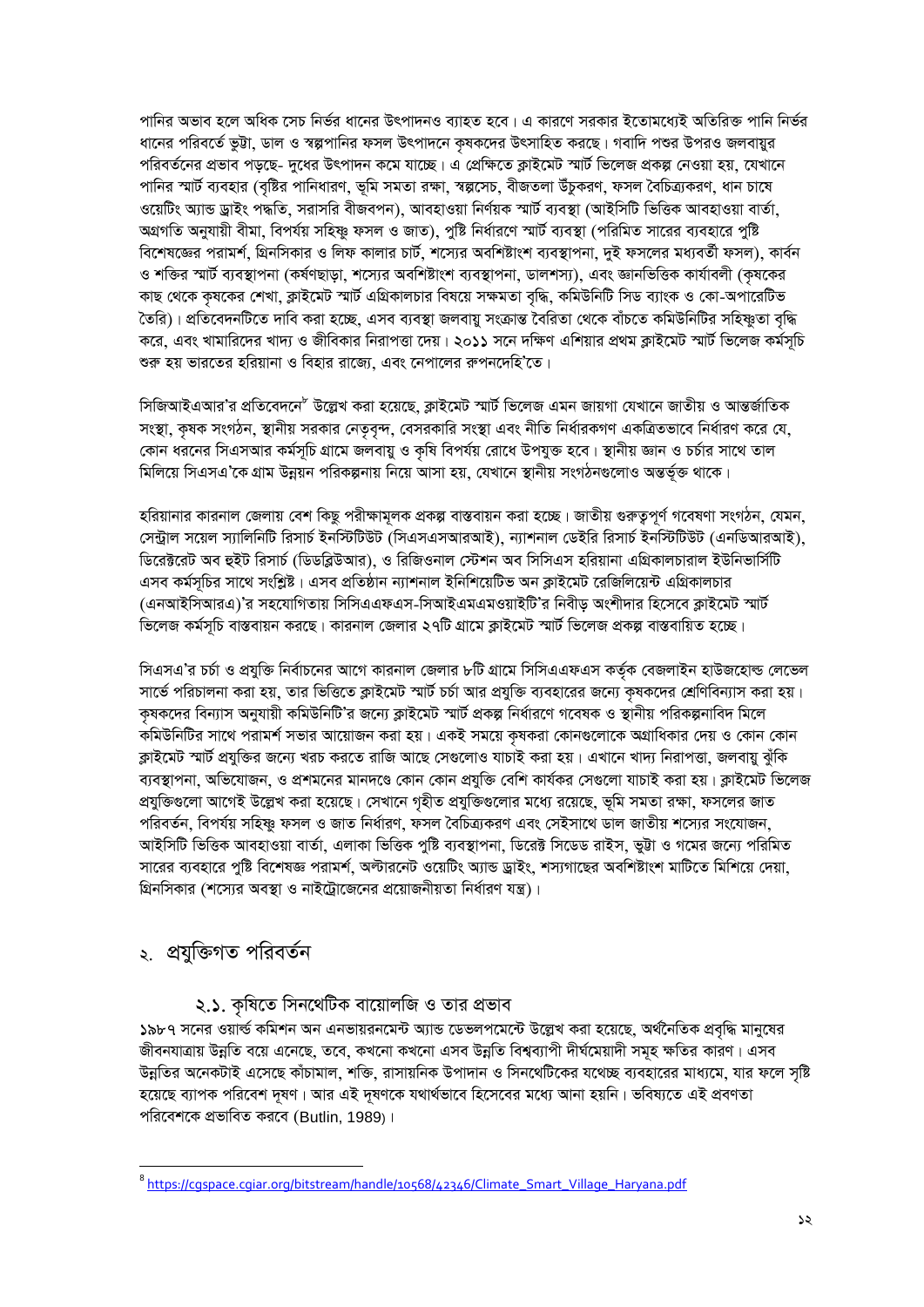পানির অভাব হলে অধিক সেচ নির্ভর ধানের উৎপাদনও ব্যাহত হবে। এ কারণে সরকার ইতোমধ্যেই অতিরিক্ত পানি নির্ভর ধানের পরিবর্তে ভূট্টা, ডাল ও স্বল্পপানির ফসল উৎপাদনে কৃষকদের উৎসাহিত করছে। গবাদি পশুর উপরও জলবায়ুর পরিবর্তনের প্রভাব পডছে- দধের উৎপাদন কমে যাচ্ছে। এ প্রেক্ষিতে ক্রাইমেট স্মার্ট ভিলেজ প্রকল্প নেওয়া হয়, যেখানে পানির স্মার্ট ব্যবহার (বৃষ্টির পানিধারণ, ভূমি সমতা রক্ষা, স্বল্পসেচ, বীজতলা উঁচুকরণ, ফসল বৈচিত্র্যকরণ, ধান চাষে ওয়েটিং অ্যান্ড ড্রাইং পদ্ধতি, সরাসরি বীজবপন), আবহাওয়া নির্ণয়ক স্মার্ট ব্যবস্থা (আইসিটি ভিত্তিক আবহাওয়া বার্তা, অগ্রগতি অনুযায়ী বীমা, বিপর্যয় সহিষ্ণু ফসল ও জাত), পৃষ্টি নির্ধারণে স্মার্ট ব্যবস্থা (পরিমিত সারের ব্যবহারে পুষ্টি বিশেষজ্ঞের পরামর্শ, গ্রিনসিকার ও লিফ কালার চার্ট, শস্যের অবশিষ্টাংশ ব্যবস্থাপনা, দই ফসলের মধ্যবর্তী ফসল), কার্বন ও শক্তির স্মার্ট ব্যবস্থাপনা (কর্ষণছাড়া, শস্যের অবশিষ্টাংশ ব্যবস্থাপনা, ডালশস্য), এবং জ্ঞানভিত্তিক কার্যাবলী (কষকের কাছ থেকে কৃষকের শেখা, ক্লাইমেট স্মার্ট এগ্রিকালচার বিষয়ে সক্ষমতা বৃদ্ধি, কমিউনিটি সিড ব্যাংক ও কো-অপারেটিভ তৈরি)। প্রতিবেদনটিতে দাবি করা হচ্ছে, এসব ব্যবস্থা জলবায় সংক্রান্ত বৈরিতা থেকে বাঁচতে কমিউনিটির সহিষ্ণতা বদ্ধি করে, এবং খামারিদের খাদ্য ও জীবিকার নিরাপত্তা দেয়। ২০১১ সনে দক্ষিণ এশিয়ার প্রথম ক্লাইমেট স্মার্ট ভিলেজ কর্মসচি শুরু হয় ভারতের হরিয়ানা ও বিহার রাজ্যে, এবং নেপালের রুপনদেহি'তে।

সিজিআইএআর'র প্রতিবেদনে<sup>৮</sup> উল্লেখ করা হয়েছে, ক্লাইমেট স্মার্ট ভিলেজ এমন জায়গা যেখানে জাতীয় ও আন্তর্জাতিক সংস্থা, কৃষক সংগঠন, স্থানীয় সরকার নেতৃবৃন্দ, বেসরকারি সংস্থা এবং নীতি নির্ধারকগণ একত্রিতভাবে নির্ধারণ করে যে, কোন ধরনের সিএসআর কর্মসূচি গ্রামে জলবায়ু ও কষি বিপর্যয় রোধে উপযুক্ত হবে। স্থানীয় জ্ঞান ও চর্চার সাথে তাল মিলিয়ে সিএসএ'কে গ্রাম উন্নয়ন পরিকল্পনায় নিয়ে আসা হয়, যেখানে স্থানীয় সংগঠনগুলোও অন্তর্ভুক্ত থাকে।

হরিয়ানার কারনাল জেলায় বেশ কিছু পরীক্ষামূলক প্রকল্প বাস্তবায়ন করা হচ্ছে। জাতীয় গুরুতুপূর্ণ গবেষণা সংগঠন, যেমন, সেন্ট্রাল সয়েল স্যালিনিটি রিসার্চ ইনস্টিটিউট (সিএসএসআরআই), ন্যাশনাল ডেইরি রিসার্চ ইনস্টিটিউট (এনডিআরআই), ডিরেক্টরেট অব হুইট রিসার্চ (ডিডব্লিউআর), ও রিজিওনাল স্টেশন অব সিসিএস হরিয়ানা এগ্রিকালচারাল ইউনিভার্সিটি এসব কর্মসূচির সাথে সংশ্লিষ্ট। এসব প্রতিষ্ঠান ন্যাশনাল ইনিশিয়েটিভ অন ক্লাইমেট রেজিলিয়েন্ট এগ্রিকালচার (এনআইসিআরএ)'র সহযোগিতায় সিসিএএফএস-সিআইএমএমওয়াইটি'র নিবীড় অংশীদার হিসেবে ক্লাইমেট স্মার্ট ভিলেজ কর্মসচি বাস্তবায়ন করছে। কারনাল জেলার ২৭টি গ্রামে ক্রাইমেট স্মার্ট ভিলেজ প্রকল্প বাস্তবায়িত হচ্ছে।

সিএসএ'র চর্চা ও প্রযুক্তি নির্বাচনের আগে কারনাল জেলার ৮টি গ্রামে সিসিএএফএস কর্তৃক বেজলাইন হাউজহোল্ড লেভেল সার্ভে পরিচালনা করা হয়, তার ভিত্তিতে ক্লাইমেট স্মার্ট চর্চা আর প্রযুক্তি ব্যবহারের জন্যে কষকদের শ্রেণিবিন্যাস করা হয়। কষকদের বিন্যাস অনুযায়ী কমিউনিটি'র জন্যে ক্রাইমেট স্মার্ট প্রকল্প নির্ধারণে গবেষক ও স্থানীয় পরিকল্পনাবিদ মিলে কমিউনিটির সাথে পরামর্শ সভার আয়োজন করা হয়। একই সময়ে কষকরা কোনগুলোকে অগ্রাধিকার দেয় ও কোন কোন ক্রাইমেট স্মার্ট প্রযক্তির জন্যে খরচ করতে রাজি আছে সেগুলোও যাচাই করা হয়। এখানে খাদ্য নিরাপত্তা, জলবায় ঝঁকি ব্যবস্থাপনা, অভিযোজন, ও প্রশমনের মানদণ্ডে কোন কোন প্রযুক্তি বেশি কার্যকর সেগুলো যাচাই করা হয়। ক্লাইমেট ভিলেজ প্রযুক্তিগুলো আগেই উল্লেখ করা হয়েছে। সেখানে গৃহীত প্রযুক্তিগুলোর মধ্যে রয়েছে, ভূমি সমতা রক্ষা, ফসলের জাত পরিবর্তন, বিপর্যয় সহিষ্ণু ফসল ও জাত নির্ধারণ, ফসল বৈচিত্র্যকরণ এবং সেইসাথে ডাল জাতীয় শস্যের সংযোজন, আইসিটি ভিত্তিক আবহাওয়া বার্তা, এলাকা ভিত্তিক পৃষ্টি ব্যবস্থাপনা, ডিরেক্ট সিডেড রাইস, ভট্টা ও গমের জন্যে পরিমিত সারের ব্যবহারে পুষ্টি বিশেষজ্ঞ পরামর্শ, অল্টারনেট ওয়েটিং অ্যান্ড ড্রাইং, শস্যগাছের অবশিষ্টাংশ মাটিতে মিশিয়ে দেয়া, গ্রিনসিকার (শস্যের অবস্থা ও নাইট্রোজেনের প্রয়োজনীয়তা নির্ধারণ যন্ত্র)।

## ২. প্রযুক্তিগত পরিবর্তন

২.১. কৃষিতে সিনথেটিক বায়োলজি ও তার প্রভাব

১৯৮৭ সনের ওয়ার্ল্ড কমিশন অন এনভায়রনমেন্ট অ্যান্ড ডেভলপমেন্টে উল্লেখ করা হয়েছে, অর্থনৈতিক প্রবৃদ্ধি মানুষের জীবনযাত্রায় উন্নতি বয়ে এনেছে, তবে, কখনো কখনো এসব উন্নতি বিশ্বব্যাপী দীর্ঘমেয়াদী সমূহ ক্ষতির কারণ। এসব উন্নতির অনেকটাই এসেছে কাঁচামাল, শক্তি, রাসায়নিক উপাদান ও সিনথেটিকের যথেচ্ছ ব্যবহারের মাধ্যমে, যার ফলে সৃষ্টি হয়েছে ব্যাপক পরিবেশ দূষণ। আর এই দূষণকে যথার্থভাবে হিসেবের মধ্যে আনা হয়নি। ভবিষ্যতে এই প্রবণতা পরিবেশকে প্রভাবিত করবে (Butlin, 1989)।

<sup>&</sup>lt;sup>8</sup>https://cqspace.cqiar.orq/bitstream/handle/10568/42346/Climate\_Smart\_Village\_Haryana.pdf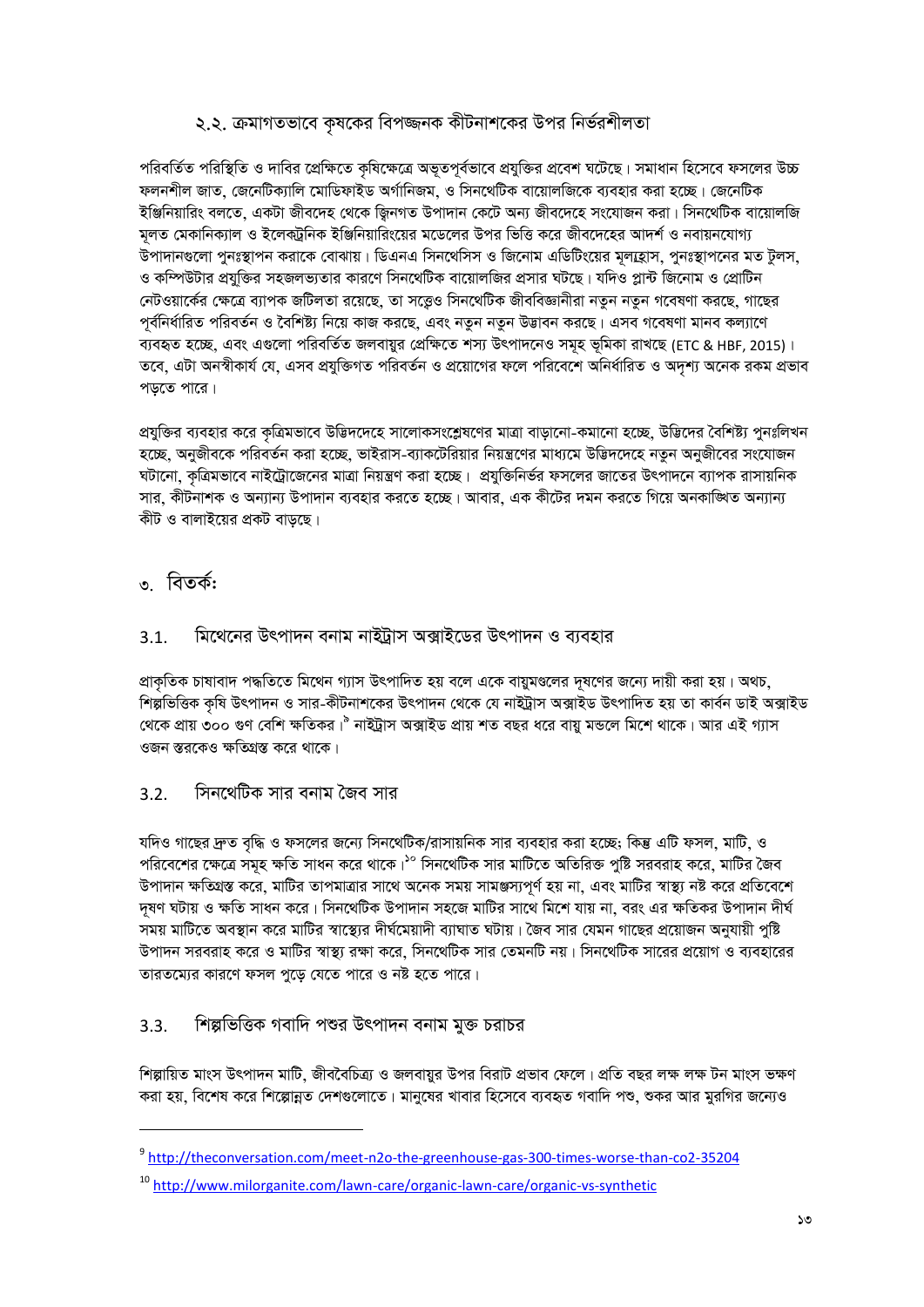### ২.২. ক্রমাগতভাবে কৃষকের বিপজ্জনক কীটনাশকের উপর নির্ভরশীলতা

পরিবর্তিত পরিস্থিতি ও দাবির প্রেক্ষিতে কৃষিক্ষেত্রে অভূতপূর্বভাবে প্রযুক্তির প্রবেশ ঘটেছে। সমাধান হিসেবে ফসলের উচ্চ ফলনশীল জাত, জেনেটিক্যালি মোডিফাইড অৰ্গানিজম, ও সিনথেটিক বায়োলজিকে ব্যবহার করা হচ্ছে। জেনেটিক ইঞ্জিনিয়ারিং বলতে, একটা জীবদেহ থেকে জ্বিনগত উপাদান কেটে অন্য জীবদেহে সংযোজন করা। সিনথেটিক বায়োলজি মলত মেকানিক্যাল ও ইলেকট্রনিক ইঞ্জিনিয়ারিংয়ের মডেলের উপর ভিত্তি করে জীবদেহের আদর্শ ও নবায়নযোগ্য উপাদানগুলো পুনঃস্থাপন করাকে বোঝায়। ডিএনএ সিনথেসিস ও জিনোম এডিটিংয়ের মূল্যহ্রাস, পুনঃস্থাপনের মত টুলস, ও কম্পিউটার প্রযুক্তির সহজলভ্যতার কারণে সিনথেটিক বায়োলজির প্রসার ঘটছে। যদিও প্লান্ট জিনোম ও প্রোটিন নেটওয়ার্কের ক্ষেত্রে ব্যাপক জটিলতা রয়েছে, তা সত্তেও সিনথেটিক জীববিজ্ঞানীরা নতুন নতুন গবেষণা করছে, গাছের পূর্বনির্ধারিত পরিবর্তন ও বৈশিষ্ট্য নিয়ে কাজ করছে, এবং নতুন নতুন উদ্ভাবন করছে। এসব গবেষণা মানব কল্যাণে ব্যবহৃত হচ্ছে, এবং এণ্ডলো পরিবর্তিত জলবায়ুর প্রেক্ষিতে শস্য উৎপাদনেও সমূহ ভূমিকা রাখছে (ETC & HBF, 2015)। তবে, এটা অনস্বীকার্য যে, এসব প্রযুক্তিগত পরিবর্তন ও প্রয়োগের ফলে পরিবেশে অনির্ধারিত ও অদশ্য অনেক রকম প্রভাব পডতে পারে।

প্রযুক্তির ব্যবহার করে কৃত্রিমভাবে উদ্ভিদদেহে সালোকসংশ্লেষণের মাত্রা বাড়ানো-কমানো হচ্ছে, উদ্ভিদের বৈশিষ্ট্য পুনঃলিখন হচ্ছে, অনুজীবকে পরিবর্তন করা হচ্ছে, ভাইরাস-ব্যাকটেরিয়ার নিয়ন্ত্রণের মাধ্যমে উদ্ভিদদেহে নতুন অনুজীবের সংযোজন ঘটানো, কৃত্রিমভাবে নাইট্রোজেনের মাত্রা নিয়ন্ত্রণ করা হচ্ছে। প্রযুক্তিনির্ভর ফসলের জাতের উৎপাদনে ব্যাপক রাসায়নিক সার, কীটনাশক ও অন্যান্য উপাদান ব্যবহার করতে হচ্ছে। আবার, এক কীটের দমন করতে গিয়ে অনকাঙ্গিত অন্যান্য কীট ও বালাইয়ের প্রকট বাডছে।

## ৩ বিতর্ক:

#### মিথেনের উৎপাদন বনাম নাইট্রাস অক্সাইডের উৎপাদন ও ব্যবহার  $3.1.$

প্রাকৃতিক চাষাবাদ পদ্ধতিতে মিথেন গ্যাস উৎপাদিত হয় বলে একে বায়ুমণ্ডলের দূষণের জন্যে দায়ী করা হয়। অথচ, শিল্পভিত্তিক কৃষি উৎপাদন ও সার-কীটনাশকের উৎপাদন থেকে যে নাইট্রাস অক্সাইড উৎপাদিত হয় তা কার্বন ডাই অক্সাইড থেকে প্রায় ৩০০ গুণ বেশি ক্ষতিকর।<sup>৯</sup> নাইট্রাস অক্সাইড প্রায় শত বছর ধরে বায়ু মন্ডলে মিশে থাকে। আর এই গ্যাস ওজন স্তরকেও ক্ষতিগ্রস্ত করে থাকে।

#### সিনথেটিক সার বনাম জৈব সার  $3.2.$

যদিও গাছের দ্রুত বৃদ্ধি ও ফসলের জন্যে সিনথেটিক/রাসায়নিক সার ব্যবহার করা হচ্ছে; কিন্তু এটি ফসল, মাটি, ও পরিবেশের ক্ষেত্রে সমূহ ক্ষতি সাধন করে থাকে।<sup>১০</sup> সিনথেটিক সার মাটিতে অতিরিক্ত পুষ্টি সরবরাহ করে, মাটির জৈব উপাদান ক্ষতিগ্রস্ত করে, মাটির তাপমাত্রার সাথে অনেক সময় সামঞ্জস্যপূর্ণ হয় না, এবং মাটির স্বাস্থ্য নষ্ট করে প্রতিবেশে দূষণ ঘটায় ও ক্ষতি সাধন করে। সিনথেটিক উপাদান সহজে মাটির সাথে মিশে যায় না, বরং এর ক্ষতিকর উপাদান দীর্ঘ সময় মাটিতে অবস্থান করে মাটির স্বাস্থ্যের দীর্ঘমেয়াদী ব্যাঘাত ঘটায়। জৈব সার যেমন গাছের প্রয়োজন অনুযায়ী পুষ্টি উপাদন সরবরাহ করে ও মাটির স্বাস্থ্য রক্ষা করে, সিনথেটিক সার তেমনটি নয়। সিনথেটিক সারের প্রয়োগ ও ব্যবহারের তারতম্যের কারণে ফসল পুডে যেতে পারে ও নষ্ট হতে পারে।

#### শিল্পভিত্তিক গবাদি পশুর উৎপাদন বনাম মুক্ত চরাচর  $3.3.$

শিল্পায়িত মাংস উৎপাদন মাটি, জীববৈচিত্র্য ও জলবায়ুর উপর বিরাট প্রভাব ফেলে। প্রতি বছর লক্ষ লক্ষ টন মাংস ভক্ষণ করা হয়, বিশেষ করে শিল্পোন্নত দেশগুলোতে। মানুষের খাবার হিসেবে ব্যবহৃত গবাদি পশু, শুকর আর মুরগির জন্যেও

<sup>&</sup>lt;sup>9</sup> http://theconversation.com/meet-n2o-the-greenhouse-gas-300-times-worse-than-co2-35204

<sup>&</sup>lt;sup>10</sup> http://www.milorganite.com/lawn-care/organic-lawn-care/organic-vs-synthetic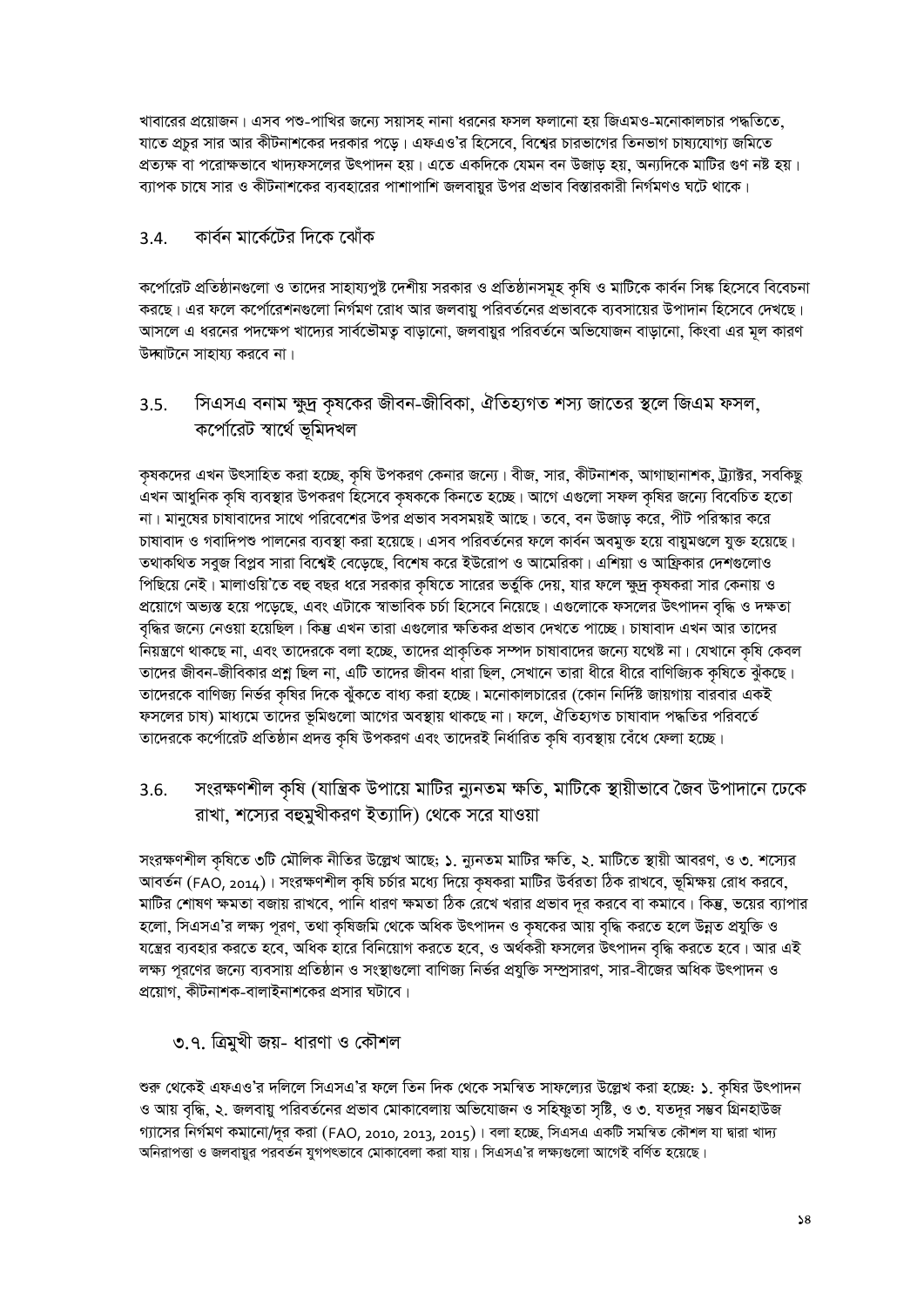খাবারের প্রয়োজন। এসব পশু-পাখির জন্যে সয়াসহ নানা ধরনের ফসল ফলানো হয় জিএমও-মনোকালচার পদ্ধতিতে, যাতে প্রচুর সার আর কীটনাশকের দরকার পড়ে। এফএও'র হিসেবে, বিশ্বের চারভাগের তিনভাগ চাষ্যযোগ্য জমিতে প্রত্যক্ষ বা পরোক্ষভাবে খাদ্যফসলের উৎপাদন হয়। এতে একদিকে যেমন বন উজাড হয়, অন্যদিকে মাটির গুণ নষ্ট হয়। ব্যাপক চাষে সার ও কীটনাশকের ব্যবহারের পাশাপাশি জলবায়র উপর প্রভাব বিস্তারকারী নির্গমণও ঘটে থাকে।

#### কাৰ্বন মাৰ্কেটের দিকে ঝোঁক  $3.4.$

কর্পোরেট প্রতিষ্ঠানগুলো ও তাদের সাহায্যপুষ্ট দেশীয় সরকার ও প্রতিষ্ঠানসমূহ কৃষি ও মাটিকে কার্বন সিঙ্ক হিসেবে বিবেচনা করছে। এর ফলে কর্পোরেশনগুলো নির্গমণ রোধ আর জলবায়ু পরিবর্তনের প্রভাবকে ব্যবসায়ের উপাদান হিসেবে দেখছে। আসলে এ ধরনের পদক্ষেপ খাদ্যের সার্বভৌমত বাড়ানো, জলবায়ুর পরিবর্তনে অভিযোজন বাড়ানো, কিংবা এর মূল কারণ উদ্ঘাটনে সাহায্য করবে না।

সিএসএ বনাম ক্ষুদ্র কৃষকের জীবন-জীবিকা, ঐতিহ্যগত শস্য জাতের স্থলে জিএম ফসল,  $3.5.$ কৰ্পোৱেট স্বাৰ্থে ভূমিদখল

কৃষকদের এখন উৎসাহিত করা হচ্ছে, কৃষি উপকরণ কেনার জন্যে। বীজ, সার, কীটনাশক, আগাছানাশক, ট্র্যাক্টর, সবকিছু এখন আধুনিক কৃষি ব্যবস্থার উপকরণ হিসেবে কৃষককে কিনতে হচ্ছে। আগে এগুলো সফল কৃষির জন্যে বিবেচিত হতো না। মানুষের চাষাবাদের সাথে পরিবেশের উপর প্রভাব সবসময়ই আছে। তবে, বন উজাড় করে, পীট পরিস্কার করে চাষাবাদ ও গবাদিপশু পালনের ব্যবস্থা করা হয়েছে। এসব পরিবর্তনের ফলে কার্বন অবমুক্ত হয়ে বায়ুমণ্ডলে যুক্ত হয়েছে। তথাকথিত সবুজ বিপ্লব সারা বিশ্বেই বেড়েছে, বিশেষ করে ইউরোপ ও আমেরিকা। এশিয়া ও আফ্রিকার দেশগুলোও পিছিয়ে নেই। মালাওয়ি'তে বহু বছর ধরে সরকার কৃষিতে সারের ভর্তুকি দেয়, যার ফলে ক্ষুদ্র কৃষকরা সার কেনায় ও প্রয়োগে অভ্যস্ত হয়ে পড়েছে, এবং এটাকে স্বাভাবিক চর্চা হিসেবে নিয়েছে। এগুলোকে ফসলের উৎপাদন বৃদ্ধি ও দক্ষতা বৃদ্ধির জন্যে নেওয়া হয়েছিল। কিন্তু এখন তারা এগুলোর ক্ষতিকর প্রভাব দেখতে পাচ্ছে। চাষাবাদ এখন আর তাদের নিয়ন্ত্রণে থাকছে না, এবং তাদেরকে বলা হচ্ছে, তাদের প্রাকৃতিক সম্পদ চাষাবাদের জন্যে যথেষ্ট না। যেখানে কৃষি কেবল তাদের জীবন-জীবিকার প্রশ্ন ছিল না, এটি তাদের জীবন ধারা ছিল, সেখানে তারা ধীরে ধীরে বাণিজ্যিক কৃষিতে ঝুঁকছে। তাদেরকে বাণিজ্য নির্ভর কৃষির দিকে ঝুঁকতে বাধ্য করা হচ্ছে। মনোকালচারের (কোন নির্দিষ্ট জায়গায় বারবার একই ফসলের চাষ) মাধ্যমে তাদের ভূমিগুলো আগের অবস্থায় থাকছে না। ফলে, ঐতিহ্যগত চাষাবাদ পদ্ধতির পরিবর্তে তাদেরকে কর্পোরেট প্রতিষ্ঠান প্রদত্ত কৃষি উপকরণ এবং তাদেরই নির্ধারিত কৃষি ব্যবস্থায় বেঁধে ফেলা হচ্ছে।

সংরক্ষণশীল কৃষি (যান্ত্রিক উপায়ে মাটির ন্যুনতম ক্ষতি, মাটিকে স্থায়ীভাবে জৈব উপাদানে ঢেকে  $3.6.$ রাখা, শস্যের বহুমুখীকরণ ইত্যাদি) থেকে সরে যাওয়া

সংরক্ষণশীল কৃষিতে ৩টি মৌলিক নীতির উল্লেখ আছে; ১. ন্যুনতম মাটির ক্ষতি, ২. মাটিতে স্থায়ী আবরণ, ও ৩. শস্যের আবর্তন (FAO, 2014)। সংরক্ষণশীল কৃষি চর্চার মধ্যে দিয়ে কৃষকরা মাটির উর্বরতা ঠিক রাখবে, ভূমিক্ষয় রোধ করবে, মাটির শোষণ ক্ষমতা বজায় রাখবে, পানি ধারণ ক্ষমতা ঠিক রেখে খরার প্রভাব দূর করবে বা কমাবে। কিন্তু, ভয়ের ব্যাপার হলো, সিএসএ'র লক্ষ্য পূরণ, তথা কৃষিজমি থেকে অধিক উৎপাদন ও কৃষকের আয় বৃদ্ধি করতে হলে উন্নত প্রযুক্তি ও যন্ত্রের ব্যবহার করতে হবে, অধিক হারে বিনিয়োগ করতে হবে, ও অর্থকরী ফসলের উৎপাদন বৃদ্ধি করতে হবে। আর এই লক্ষ্য পূরণের জন্যে ব্যবসায় প্রতিষ্ঠান ও সংস্থাগুলো বাণিজ্য নির্ভর প্রযুক্তি সম্প্রসারণ, সার-বীজের অধিক উৎপাদন ও প্রয়োগ, কীটনাশক-বালাইনাশকের প্রসার ঘটাবে।

৩.৭. ত্রিমুখী জয়- ধারণা ও কৌশল

শুরু থেকেই এফএও'র দলিলে সিএসএ'র ফলে তিন দিক থেকে সমন্বিত সাফল্যের উল্লেখ করা হচ্ছে: ১. কৃষির উৎপাদন ও আয় বৃদ্ধি, ২. জলবায়ু পরিবর্তনের প্রভাব মোকাবেলায় অভিযোজন ও সহিষ্ণুতা সৃষ্টি, ও ৩. যতদূর সম্ভব গ্রিনহাউজ গ্যাসের নির্গমণ কমানো/দূর করা (FAO, 2010, 2013, 2015)। বলা হচ্ছে, সিএসএ একটি সমন্বিত কৌশল যা দ্বারা খাদ্য অনিরাপত্তা ও জলবায়ুর পরবর্তন যুগপৎভাবে মোকাবেলা করা যায়। সিএসএ'র লক্ষ্যগুলো আগেই বর্ণিত হয়েছে।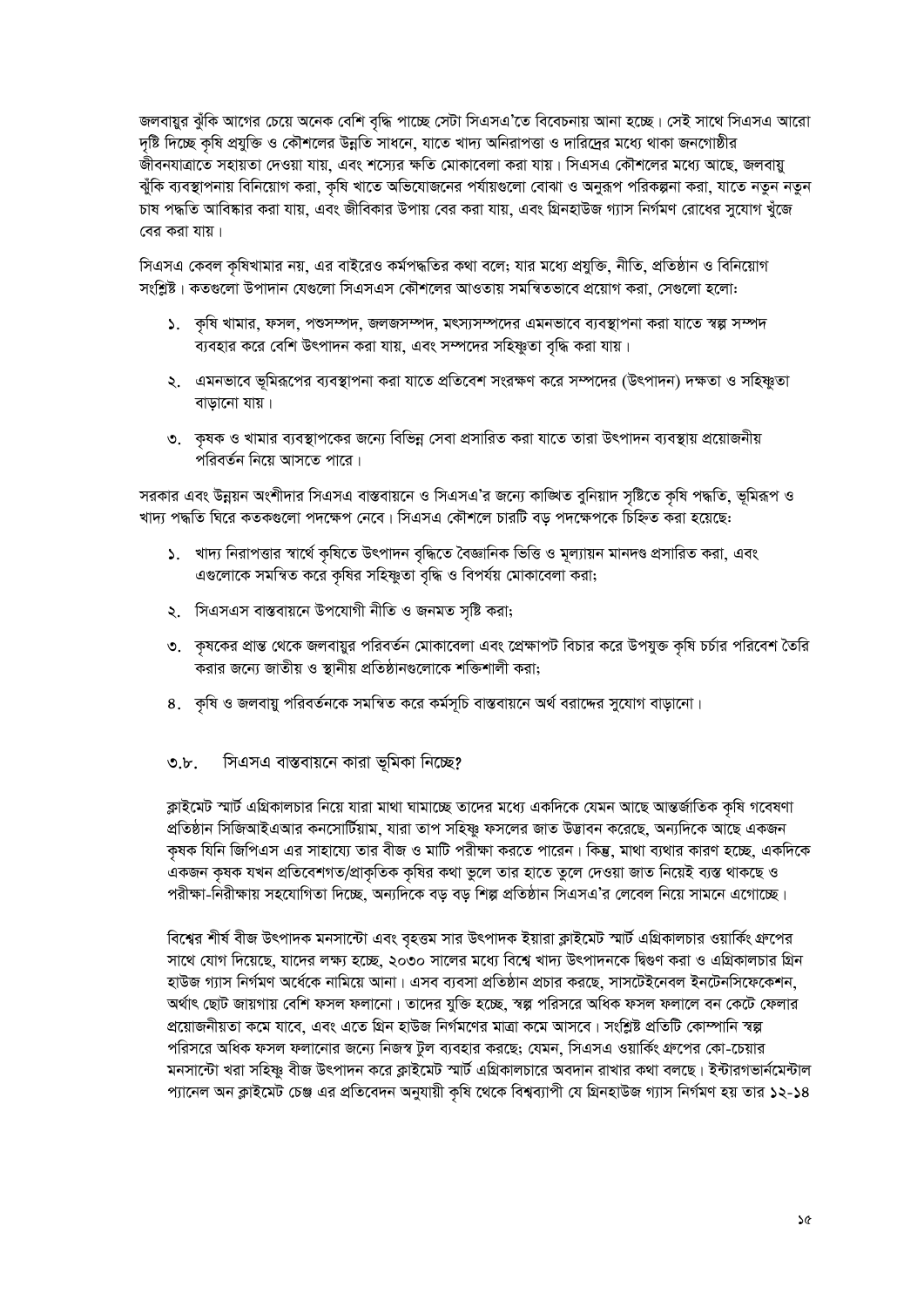জলবায়ুর ঝুঁকি আগের চেয়ে অনেক বেশি বৃদ্ধি পাচ্ছে সেটা সিএসএ'তে বিবেচনায় আনা হচ্ছে। সেই সাথে সিএসএ আরো দৃষ্টি দিচ্ছে কৃষি প্রযুক্তি ও কৌশলের উন্নতি সাধনে, যাতে খাদ্য অনিরাপত্তা ও দারিদ্রের মধ্যে থাকা জনগোষ্ঠীর জীবনযাত্রাতে সহায়তা দেওয়া যায়, এবং শস্যের ক্ষতি মোকাবেলা করা যায়। সিএসএ কৌশলের মধ্যে আছে, জলবায়ু ঝুঁকি ব্যবস্থাপনায় বিনিয়োগ করা, কৃষি খাতে অভিযোজনের পর্যায়গুলো বোঝা ও অনুরূপ পরিকল্পনা করা, যাতে নতুন নতুন চাষ পদ্ধতি আবিষ্কার করা যায়, এবং জীবিকার উপায় বের করা যায়, এবং গ্রিনহাউজ গ্যাস নির্গমণ রোধের সুযোগ খুঁজে বের করা যায়।

সিএসএ কেবল কৃষিখামার নয়, এর বাইরেও কর্মপদ্ধতির কথা বলে; যার মধ্যে প্রযুক্তি, নীতি, প্রতিষ্ঠান ও বিনিয়োগ সংশ্লিষ্ট। কতগুলো উপাদান যেগুলো সিএসএস কৌশলের আওতায় সমন্বিতভাবে প্রয়োগ করা, সেগুলো হলো:

- ১. কৃষি খামার, ফসল, পশুসম্পদ, জলজসম্পদ, মৎস্যসম্পদের এমনভাবে ব্যবস্থাপনা করা যাতে স্বল্প সম্পদ ব্যবহার করে বেশি উৎপাদন করা যায়, এবং সম্পদের সহিষ্ণুতা বৃদ্ধি করা যায়।
- ২. এমনভাবে ভূমিরূপের ব্যবস্থাপনা করা যাতে প্রতিবেশ সংরক্ষণ করে সম্পদের (উৎপাদন) দক্ষতা ও সহিষ্ণুতা বাডানো যায়।
- ৩. কৃষক ও খামার ব্যবস্থাপকের জন্যে বিভিন্ন সেবা প্রসারিত করা যাতে তারা উৎপাদন ব্যবস্থায় প্রয়োজনীয় পরিবর্তন নিয়ে আসতে পারে।

সরকার এবং উন্নয়ন অংশীদার সিএসএ বাস্তবায়নে ও সিএসএ'র জন্যে কাঙ্গিত বুনিয়াদ সৃষ্টিতে কৃষি পদ্ধতি, ভূমিরূপ ও খাদ্য পদ্ধতি ঘিরে কতকগুলো পদক্ষেপ নেবে। সিএসএ কৌশলে চারটি বড় পদক্ষেপকে চিহ্নিত করা হয়েছে:

- ১. খাদ্য নিরাপত্তার স্বার্থে কৃষিতে উৎপাদন বৃদ্ধিতে বৈজ্ঞানিক ভিত্তি ও মূল্যায়ন মানদণ্ড প্রসারিত করা, এবং এগুলোকে সমন্বিত করে কৃষির সহিষ্ণুতা বৃদ্ধি ও বিপর্যয় মোকাবেলা করা;
- ২. সিএসএস বাস্তবায়নে উপযোগী নীতি ও জনমত সৃষ্টি করা;
- ৩. কৃষকের প্রান্ত থেকে জলবায়ুর পরিবর্তন মোকাবেলা এবং প্রেক্ষাপট বিচার করে উপযুক্ত কৃষি চর্চার পরিবেশ তৈরি করার জন্যে জাতীয় ও স্থানীয় প্রতিষ্ঠানগুলোকে শক্তিশালী করা;
- ৪. কৃষি ও জলবায়ু পরিবর্তনকে সমন্বিত করে কর্মসূচি বাস্তবায়নে অর্থ বরাদ্দের সুযোগ বাড়ানো।
- সিএসএ বাস্তবায়নে কারা ভূমিকা নিচ্ছে?  $\mathcal{O}.b$ .

ক্লাইমেট স্মার্ট এগ্রিকালচার নিয়ে যারা মাথা ঘামাচ্ছে তাদের মধ্যে একদিকে যেমন আছে আন্তর্জাতিক কৃষি গবেষণা প্রতিষ্ঠান সিজিআইএআর কনসোর্টিয়াম, যারা তাপ সহিষ্ণু ফসলের জাত উদ্ভাবন করেছে, অন্যদিকে আছে একজন কৃষক যিনি জিপিএস এর সাহায্যে তার বীজ ও মাটি পরীক্ষা করতে পারেন। কিন্তু, মাথা ব্যথার কারণ হচ্ছে, একদিকে একজন কৃষক যখন প্রতিবেশগত/প্রাকৃতিক কৃষির কথা ভুলে তার হাতে তুলে দেওয়া জাত নিয়েই ব্যস্ত থাকছে ও পরীক্ষা-নিরীক্ষায় সহযোগিতা দিচ্ছে, অন্যদিকে বড় বড় শিল্প প্রতিষ্ঠান সিএসএ'র লেবেল নিয়ে সামনে এগোচ্ছে।

বিশ্বের শীর্ষ বীজ উৎপাদক মনসান্টো এবং বৃহত্তম সার উৎপাদক ইয়ারা ক্লাইমেট স্মার্ট এগ্রিকালচার ওয়ার্কিং গ্রুপের সাথে যোগ দিয়েছে, যাদের লক্ষ্য হচ্ছে, ২০৩০ সালের মধ্যে বিশ্বে খাদ্য উৎপাদনকে দ্বিগুণ করা ও এগ্রিকালচার গ্রিন হাউজ গ্যাস নির্গমণ অর্ধেকে নামিয়ে আনা। এসব ব্যবসা প্রতিষ্ঠান প্রচার করছে, সাসটেইনেবল ইনটেনসিফেকেশন, অৰ্থাৎ ছোট জায়গায় বেশি ফসল ফলানো। তাদের যুক্তি হচ্ছে, স্বল্প পরিসরে অধিক ফসল ফলালে বন কেটে ফেলার প্রয়োজনীয়তা কমে যাবে, এবং এতে গ্রিন হাউজ নির্গমণের মাত্রা কমে আসবে। সংশ্লিষ্ট প্রতিটি কোম্পানি স্বল্প পরিসরে অধিক ফসল ফলানোর জন্যে নিজস্ব টুল ব্যবহার করছে; যেমন, সিএসএ ওয়ার্কিং গ্রুপের কো-চেয়ার মনসান্টো খরা সহিষ্ণু বীজ উৎপাদন করে ক্লাইমেট স্মার্ট এগ্রিকালচারে অবদান রাখার কথা বলছে। ইন্টারগভার্নমেন্টাল প্যানেল অন ক্লাইমেট চেঞ্জ এর প্রতিবেদন অনুযায়ী কৃষি থেকে বিশ্বব্যাপী যে গ্রিনহাউজ গ্যাস নির্গমণ হয় তার ১২-১৪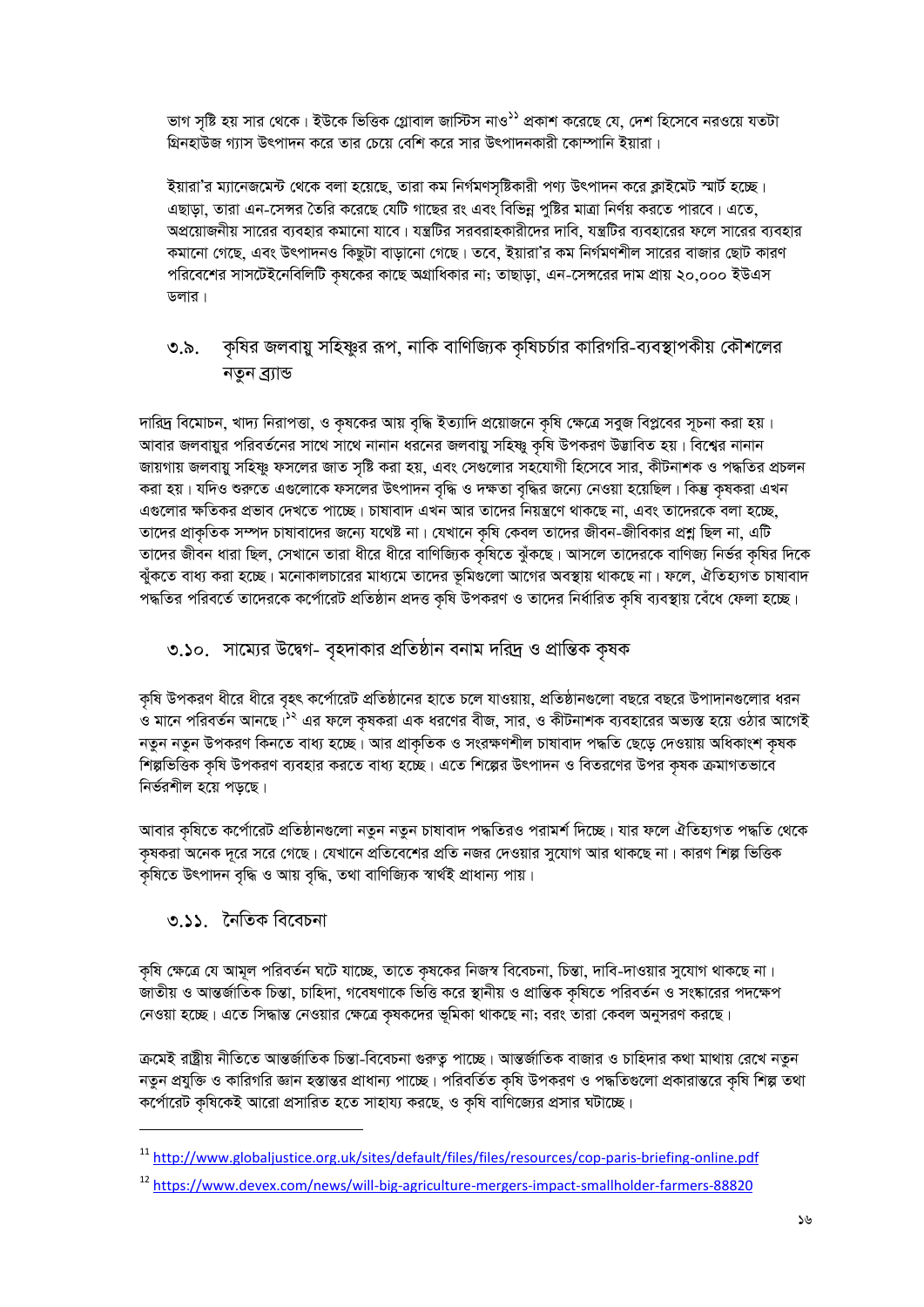ভাগ সৃষ্টি হয় সার থেকে। ইউকে ভিত্তিক গ্লোবাল জাস্টিস নাও<sup>১১</sup> প্রকাশ করেছে যে, দেশ হিসেবে নরওয়ে যতটা গ্রিনহাউজ গ্যাস উৎপাদন করে তার চেয়ে বেশি করে সার উৎপাদনকারী কোম্পানি ইয়ারা।

ইয়ারা'র ম্যানেজমেন্ট থেকে বলা হয়েছে, তারা কম নির্গমণসৃষ্টিকারী পণ্য উৎপাদন করে ক্লাইমেট স্মার্ট হচ্ছে। এছাড়া, তারা এন-সেন্সর তৈরি করেছে যেটি গাছের রং এবং বিভিন্ন পুষ্টির মাত্রা নির্ণয় করতে পারবে। এতে, অপ্রয়োজনীয় সারের ব্যবহার কমানো যাবে। যন্ত্রটির সরবরাহকারীদের দাবি, যন্ত্রটির ব্যবহারের ফলে সারের ব্যবহার কমানো গেছে, এবং উৎপাদনও কিছুটা বাড়ানো গেছে। তবে, ইয়ারা'র কম নির্গমণশীল সারের বাজার ছোট কারণ পরিবেশের সাসটেইনেবিলিটি কৃষকের কাছে অগ্রাধিকার না; তাছাড়া, এন-সেন্সরের দাম প্রায় ২০,০০০ ইউএস ডলার।

### ৩.৯. কৃষির জলবায়ু সহিষ্ণুর রূপ, নাকি বাণিজ্যিক কৃষিচর্চার কারিগরি-ব্যবস্থাপকীয় কৌশলের নতুন ব্ৰ্যান্ড

দারিদ্র বিমোচন, খাদ্য নিরাপত্তা, ও কৃষকের আয় বৃদ্ধি ইত্যাদি প্রয়োজনে কৃষি ক্ষেত্রে সবুজ বিপ্লবের সূচনা করা হয়। আবার জলবায়ুর পরিবর্তনের সাথে সাথে নানান ধরনের জলবায়ু সহিষ্ণু কৃষি উপকরণ উড্ডাবিত হয়। বিশ্বের নানান জায়গায় জলবায়ু সহিষ্ণু ফসলের জাত সৃষ্টি করা হয়, এবং সেগুলোর সহযোগী হিসেবে সার, কীটনাশক ও পদ্ধতির প্রচলন করা হয়। যদিও শুরুতে এগুলোকে ফসলের উৎপাদন বৃদ্ধি ও দক্ষতা বৃদ্ধির জন্যে নেওয়া হয়েছিল। কিন্তু কৃষকরা এখন এগুলোর ক্ষতিকর প্রভাব দেখতে পাচ্ছে। চাষাবাদ এখন আর তাদের নিয়ন্ত্রণে থাকছে না, এবং তাদেরকে বলা হচ্ছে, তাদের প্রাকৃতিক সম্পদ চাষাবাদের জন্যে যথেষ্ট না। যেখানে কৃষি কেবল তাদের জীবন-জীবিকার প্রশ্ন ছিল না, এটি তাদের জীবন ধারা ছিল, সেখানে তারা ধীরে ধীরে বাণিজ্যিক কৃষিতে ঝুঁকছে। আসলে তাদেরকে বাণিজ্য নির্ভর কৃষির দিকে ঝুঁকতে বাধ্য করা হচ্ছে। মনোকালচারের মাধ্যমে তাদের ভূমিগুলো আগের অবস্থায় থাকছে না। ফলে, ঐতিহ্যগত চাষাবাদ পদ্ধতির পরিবর্তে তাদেরকে কর্পোরেট প্রতিষ্ঠান প্রদত্ত কৃষি উপকরণ ও তাদের নির্ধারিত কৃষি ব্যবস্থায় বেঁধে ফেলা হচ্ছে।

### ৩.১০. সাম্যের উদ্বেগ- বৃহদাকার প্রতিষ্ঠান বনাম দরিদ্র ও প্রান্তিক কৃষক

কৃষি উপকরণ ধীরে ধীরে বৃহৎ কর্পোরেট প্রতিষ্ঠানের হাতে চলে যাওয়ায়, প্রতিষ্ঠানগুলো বছরে বছরে উপাদানগুলোর ধরন ও মানে পরিবর্তন আনছে।<sup>১২</sup> এর ফলে কৃষকরা এক ধরণের বীজ, সার, ও কীটনাশক ব্যবহারের অভ্যস্ত হয়ে ওঠার আগেই নতুন নতুন উপকরণ কিনতে বাধ্য হচ্ছে। আর প্রাকৃতিক ও সংরক্ষণশীল চাষাবাদ পদ্ধতি ছেড়ে দেওয়ায় অধিকাংশ কৃষক শিল্পভিত্তিক কৃষি উপকরণ ব্যবহার করতে বাধ্য হচ্ছে। এতে শিল্পের উৎপাদন ও বিতরণের উপর কৃষক ক্রমাগতভাবে নিৰ্ভরশীল হয়ে পডছে।

আবার কৃষিতে কর্পোরেট প্রতিষ্ঠানগুলো নতুন নতুন চাষাবাদ পদ্ধতিরও পরামর্শ দিচ্ছে। যার ফলে ঐতিহ্যগত পদ্ধতি থেকে কৃষকরা অনেক দূরে সরে গেছে। যেখানে প্রতিবেশের প্রতি নজর দেওয়ার সুযোগ আর থাকছে না। কারণ শিল্প ভিত্তিক কৃষিতে উৎপাদন বৃদ্ধি ও আয় বৃদ্ধি, তথা বাণিজ্যিক স্বাৰ্থই প্ৰাধান্য পায়।

### ৩.১১. নৈতিক বিবেচনা

কৃষি ক্ষেত্রে যে আমূল পরিবর্তন ঘটে যাচ্ছে, তাতে কৃষকের নিজস্ব বিবেচনা, চিন্তা, দাবি-দাওয়ার সুযোগ থাকছে না। জাতীয় ও আন্তর্জাতিক চিন্তা, চাহিদা, গবেষণাকে ভিত্তি করে স্থানীয় ও প্রান্তিক কৃষিতে পরিবর্তন ও সংষ্কারের পদক্ষেপ নেওয়া হচ্ছে। এতে সিদ্ধান্ত নেওয়ার ক্ষেত্রে কৃষকদের ভূমিকা থাকছে না; বরং তারা কেবল অনুসরণ করছে।

ক্রমেই রাষ্ট্রীয় নীতিতে আন্তর্জাতিক চিন্তা-বিবেচনা গুরুতু পাচ্ছে। আন্তর্জাতিক বাজার ও চাহিদার কথা মাথায় রেখে নতুন নতুন প্রযুক্তি ও কারিগরি জ্ঞান হস্তান্তর প্রাধান্য পাচ্ছে। পরিবর্তিত কৃষি উপকরণ ও পদ্ধতিগুলো প্রকারান্তরে কৃষি শিল্প তথা কর্পোরেট কৃষিকেই আরো প্রসারিত হতে সাহায্য করছে, ও কৃষি বাণিজ্যের প্রসার ঘটাচ্ছে।

<sup>&</sup>lt;sup>11</sup>http://www.globaljustice.org.uk/sites/default/files/files/resources/cop-paris-briefing-online.pdf

<sup>&</sup>lt;sup>12</sup> https://www.devex.com/news/will-big-agriculture-mergers-impact-smallholder-farmers-88820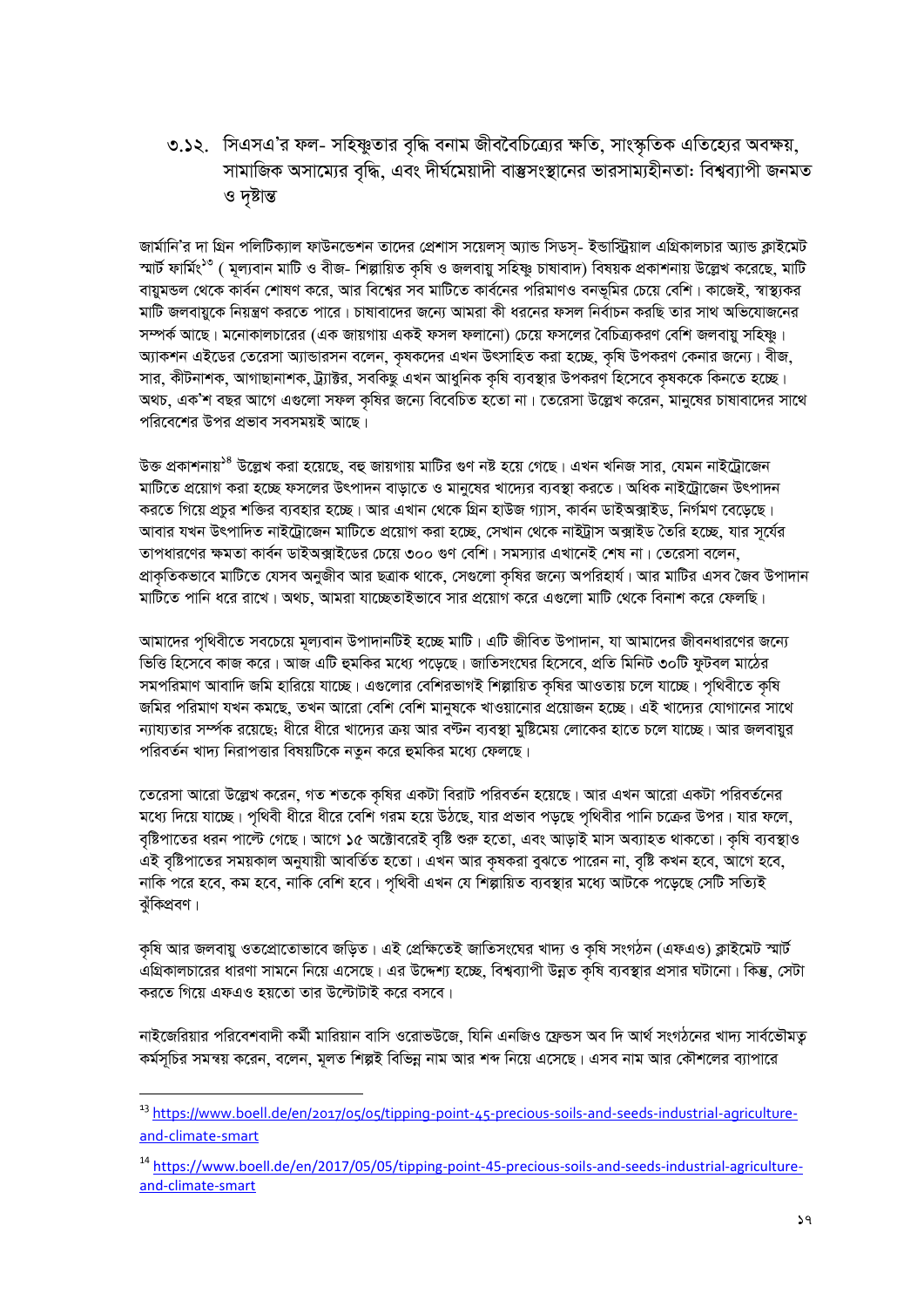৩.১২. সিএসএ'র ফল- সহিষ্ণুতার বৃদ্ধি বনাম জীববৈচিত্র্যের ক্ষতি, সাংস্কৃতিক এতিহ্যের অবক্ষয়, সামাজিক অসাম্যের বৃদ্ধি, এবং দীর্ঘমেয়াদী বাস্তুসংস্থানের ভারসাম্যহীনতা: বিশ্বব্যাপী জনমত ও দৃষ্টান্ত

জার্মানি'র দা গ্রিন পলিটিক্যাল ফাউনন্ডেশন তাদের প্রেশাস সয়েলস অ্যান্ড সিডস- ইন্ডাস্ট্রিয়াল এগ্রিকালচার অ্যান্ড ক্লাইমেট স্মার্ট ফার্মিং<sup>১৩</sup> ( মূল্যবান মাটি ও বীজ- শিল্পায়িত কৃষি ও জলবায়ু সহিষ্ণু চাষাবাদ) বিষয়ক প্রকাশনায় উল্লেখ করেছে, মাটি বায়ুমন্ডল থেকে কার্বন শোষণ করে, আর বিশ্বের সব মাটিতে কার্বনের পরিমাণও বনভূমির চেয়ে বেশি। কাজেই, স্বাস্থ্যকর মাটি জলবায়ুকে নিয়ন্ত্রণ করতে পারে। চাষাবাদের জন্যে আমরা কী ধরনের ফসল নির্বাচন করছি তার সাথ অভিযোজনের সম্পর্ক আছে। মনোকালচারের (এক জায়গায় একই ফসল ফলানো) চেয়ে ফসলের বৈচিত্র্যকরণ বেশি জলবায় সহিষ্ণ্য। অ্যাকশন এইডের তেরেসা অ্যান্ডারসন বলেন, কৃষকদের এখন উৎসাহিত করা হচ্ছে, কৃষি উপকরণ কেনার জন্যে। বীজ, সার, কীটনাশক, আগাছানাশক, ট্র্যাক্টর, সবকিছু এখন আধুনিক কৃষি ব্যবস্থার উপকরণ হিসেবে কৃষককে কিনতে হচ্ছে। অথচ, এক'শ বছর আগে এগুলো সফল কৃষির জন্যে বিবেচিত হতো না। তেরেসা উল্লেখ করেন. মানুষের চাষাবাদের সাথে পরিবেশের উপর প্রভাব সবসময়ই আছে।

উক্ত প্রকাশনায়<sup>১৪</sup> উল্লেখ করা হয়েছে, বহু জায়গায় মাটির গুণ নষ্ট হয়ে গেছে। এখন খনিজ সার, যেমন নাইট্রোজেন মাটিতে প্রয়োগ করা হচ্ছে ফসলের উৎপাদন বাড়াতে ও মানুষের খাদ্যের ব্যবস্থা করতে। অধিক নাইট্রোজেন উৎপাদন করতে গিয়ে প্রচুর শক্তির ব্যবহার হচ্ছে। আর এখান থেকে ঘিন হাউজ গ্যাস, কার্বন ডাইঅক্সাইড, নির্গমণ বেড়েছে। আবার যখন উৎপাদিত নাইট্রোজেন মাটিতে প্রয়োগ করা হচ্ছে, সেখান থেকে নাইট্রাস অক্সাইড তৈরি হচ্ছে, যার সর্যের তাপধারণের ক্ষমতা কার্বন ডাইঅক্সাইডের চেয়ে ৩০০ গুণ বেশি। সমস্যার এখানেই শেষ না। তেরেসা বলেন, প্রাকৃতিকভাবে মাটিতে যেসব অনুজীব আর ছত্রাক থাকে, সেগুলো কৃষির জন্যে অপরিহার্য। আর মাটির এসব জৈব উপাদান মাটিতে পানি ধরে রাখে। অথচ, আমরা যাচ্ছেতাইভাবে সার প্রয়োগ করে এগুলো মাটি থেকে বিনাশ করে ফেলছি।

আমাদের পৃথিবীতে সবচেয়ে মূল্যবান উপাদানটিই হচ্ছে মাটি। এটি জীবিত উপাদান, যা আমাদের জীবনধারণের জন্যে ভিত্তি হিসেবে কাজ করে। আজ এটি হুমকির মধ্যে পড়েছে। জাতিসংঘের হিসেবে, প্রতি মিনিট ৩০টি ফুটবল মাঠের সমপরিমাণ আবাদি জমি হারিয়ে যাচ্ছে। এগুলোর বেশিরভাগই শিল্পায়িত কৃষির আওতায় চলে যাচ্ছে। পৃথিবীতে কৃষি জমির পরিমাণ যখন কমছে, তখন আরো বেশি বেশি মানুষকে খাওয়ানোর প্রয়োজন হচ্ছে। এই খাদ্যের যোগানের সাথে ন্যায্যতার সর্ম্পক রয়েছে; ধীরে ধীরে খাদ্যের ক্রয় আর বণ্টন ব্যবস্থা মুষ্টিমেয় লোকের হাতে চলে যাচ্ছে। আর জলবায়ুর পরিবর্তন খাদ্য নিরাপত্তার বিষয়টিকে নতুন করে হুমকির মধ্যে ফেলছে।

তেরেসা আরো উল্লেখ করেন, গত শতকে কৃষির একটা বিরাট পরিবর্তন হয়েছে। আর এখন আরো একটা পরিবর্তনের মধ্যে দিয়ে যাচ্ছে। পৃথিবী ধীরে ধীরে বেশি গরম হয়ে উঠছে, যার প্রভাব পড়ছে পৃথিবীর পানি চক্রের উপর। যার ফলে, বৃষ্টিপাতের ধরন পাল্টে গেছে। আগে ১৫ অক্টোবরেই বৃষ্টি শুরু হতো, এবং আড়াই মাস অব্যাহত থাকতো। কৃষি ব্যবস্থাও এই বষ্টিপাতের সময়কাল অনুযায়ী আবর্তিত হতো। এখন আর কষকরা বুঝতে পারেন না, বষ্টি কখন হবে, আগে হবে, নাকি পরে হবে, কম হবে, নাকি বেশি হবে। পৃথিবী এখন যে শিল্পায়িত ব্যবস্থার মধ্যে আটকে পড়েছে সেটি সত্যিই ঝুঁকিপ্ৰবণ।

কৃষি আর জলবায়ু ওতপ্রোতোভাবে জড়িত। এই প্রেক্ষিতেই জাতিসংঘের খাদ্য ও কৃষি সংগঠন (এফএও) ক্লাইমেট স্মার্ট .<br>এগ্রিকালচারের ধারণা সামনে নিয়ে এসেছে। এর উদ্দেশ্য হচ্ছে, বিশ্বব্যাপী উন্নত কৃষি ব্যবস্থার প্রসার ঘটানো। কিন্তু, সেটা করতে গিয়ে এফএও হয়তো তার উল্টোটাই করে বসবে।

নাইজেরিয়ার পরিবেশবাদী কর্মী মারিয়ান বাসি ওরোভউজে, যিনি এনজিও ফ্রেন্ডস অব দি আর্থ সংগঠনের খাদ্য সার্বভৌমতু কর্মসূচির সমন্বয় করেন, বলেন, মূলত শিল্পই বিভিন্ন নাম আর শব্দ নিয়ে এসেছে। এসব নাম আর কৌশলের ব্যাপারে

<sup>13</sup> https://www.boell.de/en/2017/05/05/tipping-point-45-precious-soils-and-seeds-industrial-agricultureand-climate-smart

<sup>&</sup>lt;sup>14</sup> https://www.boell.de/en/2017/05/05/tipping-point-45-precious-soils-and-seeds-industrial-agricultureand-climate-smart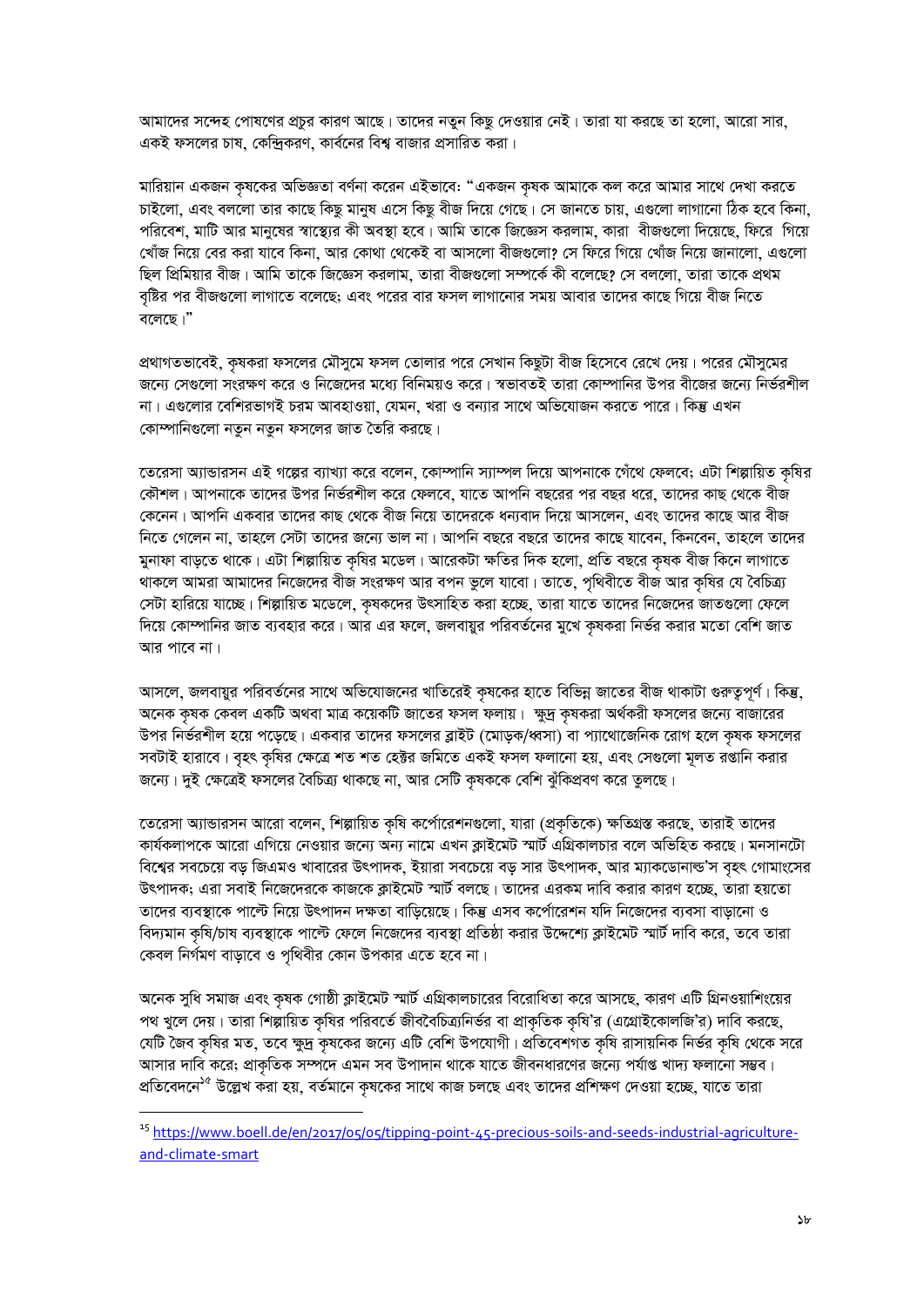আমাদের সন্দেহ পোষণের প্রচুর কারণ আছে। তাদের নতুন কিছু দেওয়ার নেই। তারা যা করছে তা হলো, আরো সার, একই ফসলের চাষ, কেন্দ্রিকরণ, কার্বনের বিশ্ব বাজার প্রসারিত করা।

মারিয়ান একজন কৃষকের অভিজ্ঞতা বর্ণনা করেন এইভাবে: "একজন কৃষক আমাকে কল করে আমার সাথে দেখা করতে চাইলো, এবং বললো তার কাছে কিছু মানুষ এসে কিছু বীজ দিয়ে গেছে। সে জানতে চায়, এগুলো লাগানো ঠিক হবে কিনা, পরিবেশ, মাটি আর মানুষের স্বাস্থ্যের কী অবস্থা হবে। আমি তাকে জিজ্ঞেস করলাম, কারা বীজগুলো দিয়েছে, ফিরে গিয়ে খোঁজ নিয়ে বের করা যাবে কিনা, আর কোথা থেকেই বা আসলো বীজগুলো? সে ফিরে গিয়ে খোঁজ নিয়ে জানালো, এগুলো ছিল প্রিমিয়ার বীজ। আমি তাকে জিজ্ঞেস করলাম, তারা বীজগুলো সম্পর্কে কী বলেছে? সে বললো, তারা তাকে প্রথম বৃষ্টির পর বীজগুলো লাগাতে বলেছে; এবং পরের বার ফসল লাগানোর সময় আবার তাদের কাছে গিয়ে বীজ নিতে বলেছে।"

প্রথাগতভাবেই, কৃষকরা ফসলের মৌসুমে ফসল তোলার পরে সেখান কিছুটা বীজ হিসেবে রেখে দেয়। পরের মৌসুমের জন্যে সেগুলো সংরক্ষণ করে ও নিজেদের মধ্যে বিনিময়ও করে। স্বভাবতই তারা কোম্পানির উপর বীজের জন্যে নির্ভরশীল না। এগুলোর বেশিরভাগই চরম আবহাওয়া, যেমন, খরা ও বন্যার সাথে অভিযোজন করতে পারে। কিন্তু এখন কোম্পানিগুলো নতুন নতুন ফসলের জাত তৈরি করছে।

তেরেসা অ্যান্ডারসন এই গল্পের ব্যাখ্যা করে বলেন, কোম্পানি স্যাম্পল দিয়ে আপনাকে গেঁথে ফেলবে; এটা শিল্পায়িত কষির কৌশল। আপনাকে তাদের উপর নির্ভরশীল করে ফেলবে, যাতে আপনি বছরের পর বছর ধরে, তাদের কাছ থেকে বীজ কেনেন। আপনি একবার তাদের কাছ থেকে বীজ নিয়ে তাদেরকে ধন্যবাদ দিয়ে আসলেন, এবং তাদের কাছে আর বীজ নিতে গেলেন না, তাহলে সেটা তাদের জন্যে ভাল না। আপনি বছরে বছরে তাদের কাছে যাবেন, কিনবেন, তাহলে তাদের মুনাফা বাড়তে থাকে। এটা শিল্পায়িত কৃষির মডেল। আরেকটা ক্ষতির দিক হলো, প্রতি বছরে কৃষক বীজ কিনে লাগাতে থাকলে আমরা আমাদের নিজেদের বীজ সংরক্ষণ আর বপন ভুলে যাবো। তাতে, পৃথিবীতে বীজ আর কৃষির যে বৈচিত্র্য সেটা হারিয়ে যাচ্ছে। শিল্পায়িত মডেলে, কৃষকদের উৎসাহিত করা হচ্ছে, তারা যাতে তাদের নিজেদের জাতগুলো ফেলে দিয়ে কোম্পানির জাত ব্যবহার করে। আর এর ফলে, জলবায়ুর পরিবর্তনের মুখে কৃষকরা নির্ভর করার মতো বেশি জাত আর পাবে না।

আসলে, জলবায়ুর পরিবর্তনের সাথে অভিযোজনের খাতিরেই কৃষকের হাতে বিভিন্ন জাতের বীজ থাকাটা গুরুত্বপূর্ণ। কিন্তু, অনেক কৃষক কেবল একটি অথবা মাত্র কয়েকটি জাতের ফসল ফলায়। ক্ষুদ্র কৃষকরা অর্থকরী ফসলের জন্যে বাজারের উপর নির্ভরশীল হয়ে পড়েছে। একবার তাদের ফসলের ব্লাইট (মোড়ক/ধ্বসা) বা প্যাথোজেনিক রোগ হলে কৃষক ফসলের সবটাই হারাবে। বহৎ কষির ক্ষেত্রে শত শত হেক্টর জমিতে একই ফসল ফলানো হয়, এবং সেগুলো মূলত রপ্তানি করার জন্যে। দুই ক্ষেত্রেই ফসলের বৈচিত্র্য থাকছে না, আর সেটি কৃষককে বেশি ঝুঁকিপ্রবণ করে তুলছে।

তেরেসা অ্যান্ডারসন আরো বলেন, শিল্পায়িত কৃষি কর্পোরেশনগুলো, যারা (প্রকৃতিকে) ক্ষতিগ্রস্ত করছে, তারাই তাদের কার্যকলাপকে আরো এগিয়ে নেওয়ার জন্যে অন্য নামে এখন ক্লাইমেট স্মার্ট এগ্রিকালচার বলে অভিহিত করছে। মনসানটো বিশ্বের সবচেয়ে বড় জিএমও খাবারের উৎপাদক, ইয়ারা সবচেয়ে বড় সার উৎপাদক, আর ম্যাকডোনাল্ড'স বৃহৎ গোমাংসের উৎপাদক; এরা সবাই নিজেদেরকে কাজকে ক্লাইমেট স্মার্ট বলছে। তাদের এরকম দাবি করার কারণ হচ্ছে, তারা হয়তো তাদের ব্যবস্থাকে পাল্টে নিয়ে উৎপাদন দক্ষতা বাডিয়েছে। কিন্তু এসব কর্পোরেশন যদি নিজেদের ব্যবসা বাডানো ও বিদ্যমান কষি/চাষ ব্যবস্থাকে পাল্টে ফেলে নিজেদের ব্যবস্থা প্রতিষ্ঠা করার উদ্দেশ্যে ক্লাইমেট স্মার্ট দাবি করে, তবে তারা কেবল নির্গমণ বাড়াবে ও পৃথিবীর কোন উপকার এতে হবে না।

অনেক সুধি সমাজ এবং কৃষক গোষ্ঠী ক্লাইমেট স্মার্ট এগ্রিকালচারের বিরোধিতা করে আসছে, কারণ এটি গ্রিনওয়াশিংয়ের পথ খুলে দেয়। তারা শিল্পায়িত কৃষির পরিবর্তে জীববৈচিত্র্যনির্ভর বা প্রাকৃতিক কৃষি'র (এগ্রোইকোলজি'র) দাবি করছে, যেটি জৈব কৃষির মত, তবে ক্ষুদ্র কৃষকের জন্যে এটি বেশি উপযোগী। প্রতিবেশগত কৃষি রাসায়নিক নির্ভর কৃষি থেকে সরে আসার দাবি করে; প্রাকৃতিক সম্পদে এমন সব উপাদান থাকে যাতে জীবনধারণের জন্যে পর্যাপ্ত খাদ্য ফলানো সম্ভব। প্রতিবেদনে<sup>১৫</sup> উল্লেখ করা হয়, বর্তমানে কৃষকের সাথে কাজ চলছে এবং তাদের প্রশিক্ষণ দেওয়া হচ্ছে, যাতে তারা

<sup>&</sup>lt;sup>15</sup> https://www.boell.de/en/2017/05/05/tipping-point-45-precious-soils-and-seeds-industrial-agricultureand-climate-smart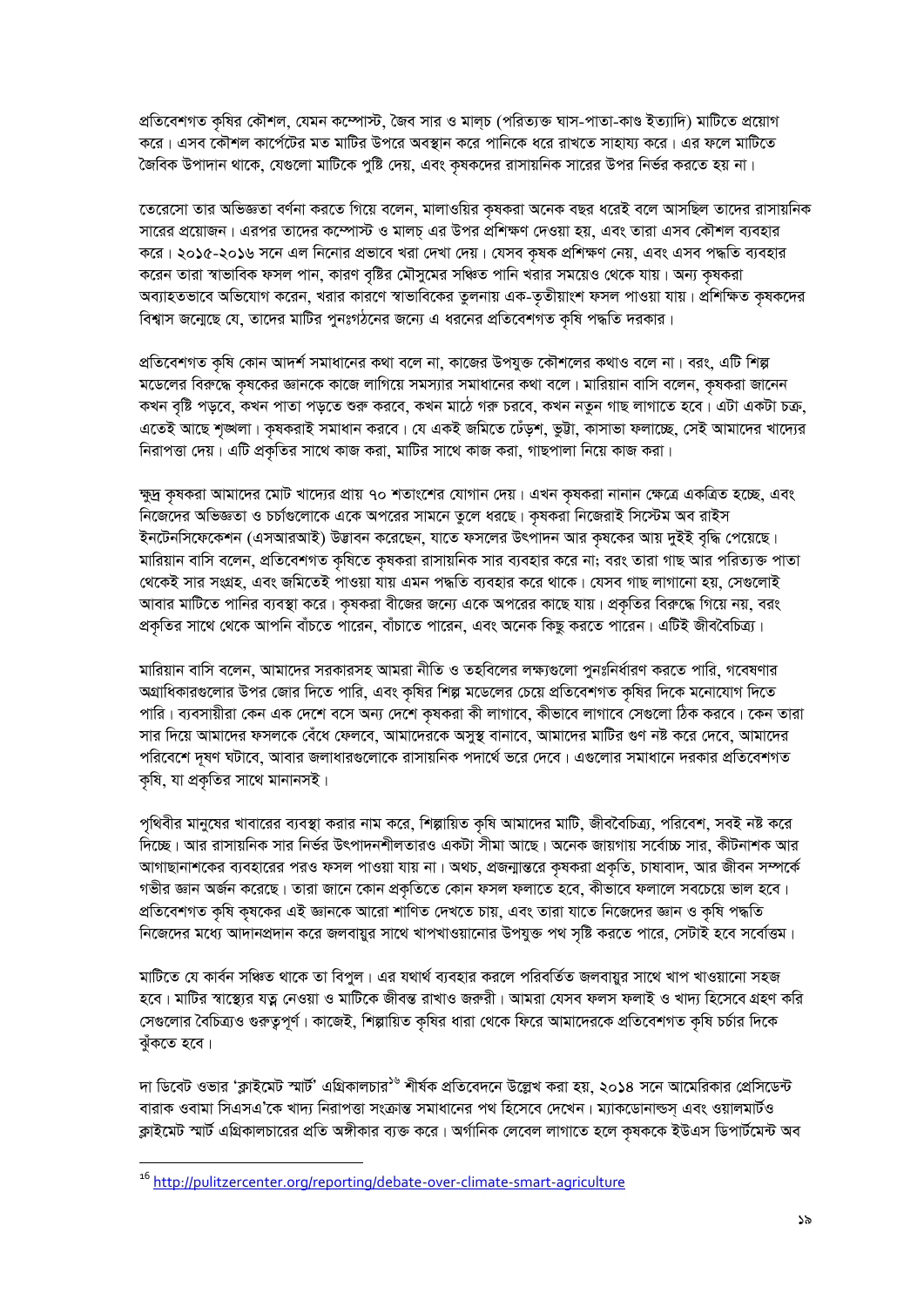প্রতিবেশগত কৃষির কৌশল, যেমন কম্পোস্ট, জৈব সার ও মাল্চ (পরিত্যক্ত ঘাস-পাতা-কাণ্ড ইত্যাদি) মাটিতে প্রয়োগ করে। এসব কৌশল কার্পেটের মত মাটির উপরে অবস্থান করে পানিকে ধরে রাখতে সাহায্য করে। এর ফলে মাটিতে জৈবিক উপাদান থাকে, যেগুলো মাটিকে পুষ্টি দেয়, এবং কৃষকদের রাসায়নিক সারের উপর নির্ভর করতে হয় না।

তেরেসো তার অভিজ্ঞতা বর্ণনা করতে গিয়ে বলেন, মালাওয়ির কৃষকরা অনেক বছর ধরেই বলে আসছিল তাদের রাসায়নিক সারের প্রয়োজন। এরপর তাদের কম্পোস্ট ও মালচ্ এর উপর প্রশিক্ষণ দেওয়া হয়, এবং তারা এসব কৌশল ব্যবহার করে। ২০১৫-২০১৬ সনে এল নিনোর প্রভাবে খরা দেখা দেয়। যেসব কৃষক প্রশিক্ষণ নেয়, এবং এসব পদ্ধতি ব্যবহার করেন তারা স্বাভাবিক ফসল পান, কারণ বৃষ্টির মৌসুমের সঞ্চিত পানি খরার সময়েও থেকে যায়। অন্য কৃষকরা অব্যাহতভাবে অভিযোগ করেন, খরার কারণে স্বাভাবিকের তুলনায় এক-তৃতীয়াংশ ফসল পাওয়া যায়। প্রশিক্ষিত কৃষকদের বিশ্বাস জন্মেছে যে, তাদের মাটির পুনঃগঠনের জন্যে এ ধরনের প্রতিবেশগত কৃষি পদ্ধতি দরকার।

প্রতিবেশগত কৃষি কোন আদর্শ সমাধানের কথা বলে না, কাজের উপযুক্ত কৌশলের কথাও বলে না। বরং, এটি শিল্প মডেলের বিরুদ্ধে কৃষকের জ্ঞানকে কাজে লাগিয়ে সমস্যার সমাধানের কথা বলে। মারিয়ান বাসি বলেন, কৃষকরা জানেন কখন বৃষ্টি পড়বে, কখন পাতা পড়তে শুরু করবে, কখন মাঠে গরু চরবে, কখন নতুন গাছ লাগাতে হবে। এটা একটা চক্র, এতেই আছে শৃঙ্খলা। কৃষকরাই সমাধান করবে। যে একই জমিতে ঢেঁড়শ, ভুট্টা, কাসাভা ফলাচ্ছে, সেই আমাদের খাদ্যের নিরাপত্তা দেয়। এটি প্রকৃতির সাথে কাজ করা, মাটির সাথে কাজ করা, গাছপালা নিয়ে কাজ করা।

ক্ষুদ্র কৃষকরা আমাদের মোট খাদ্যের প্রায় ৭০ শতাংশের যোগান দেয়। এখন কৃষকরা নানান ক্ষেত্রে একত্রিত হচ্ছে, এবং নিজেদের অভিজ্ঞতা ও চর্চাগুলোকে একে অপরের সামনে তুলে ধরছে। কৃষকরা নিজেরাই সিস্টেম অব রাইস ইনটেনসিফেকেশন (এসআরআই) উদ্ভাবন করেছেন, যাতে ফসলের উৎপাদন আর কৃষকের আয় দুইই বৃদ্ধি পেয়েছে। মারিয়ান বাসি বলেন, প্রতিবেশগত কৃষিতে কৃষকরা রাসায়নিক সার ব্যবহার করে না; বরং তারা গাছ আর পরিত্যক্ত পাতা থেকেই সার সংগ্রহ, এবং জমিতেই পাওয়া যায় এমন পদ্ধতি ব্যবহার করে থাকে। যেসব গাছ লাগানো হয়, সেগুলোই আবার মাটিতে পানির ব্যবস্থা করে। কৃষকরা বীজের জন্যে একে অপরের কাছে যায়। প্রকৃতির বিরুদ্ধে গিয়ে নয়, বরং প্রকৃতির সাথে থেকে আপনি বাঁচতে পারেন, বাঁচাতে পারেন, এবং অনেক কিছু করতে পারেন। এটিই জীববৈচিত্র্য।

মারিয়ান বাসি বলেন, আমাদের সরকারসহ আমরা নীতি ও তহবিলের লক্ষ্যগুলো পুনঃনির্ধারণ করতে পারি, গবেষণার অগ্রাধিকারগুলোর উপর জোর দিতে পারি, এবং কৃষির শিল্প মডেলের চেয়ে প্রতিবেশগত কৃষির দিকে মনোযোগ দিতে পারি। ব্যবসায়ীরা কেন এক দেশে বসে অন্য দেশে কৃষকরা কী লাগাবে, কীভাবে লাগাবে সেগুলো ঠিক করবে। কেন তারা সার দিয়ে আমাদের ফসলকে বেঁধে ফেলবে, আমাদেরকে অসুস্থ বানাবে, আমাদের মাটির গুণ নষ্ট করে দেবে, আমাদের পরিবেশে দূষণ ঘটাবে, আবার জলাধারগুলোকে রাসায়নিক পদার্থে ভরে দেবে। এগুলোর সমাধানে দরকার প্রতিবেশগত কৃষি, যা প্রকৃতির সাথে মানানসই।

পৃথিবীর মানুষের খাবারের ব্যবস্থা করার নাম করে, শিল্পায়িত কৃষি আমাদের মাটি, জীববৈচিত্র্য, পরিবেশ, সবই নষ্ট করে দিচ্ছে। আর রাসায়নিক সার নির্ভর উৎপাদনশীলতারও একটা সীমা আছে। অনেক জায়গায় সর্বোচ্চ সার, কীটনাশক আর আগাছানাশকের ব্যবহারের পরও ফসল পাওয়া যায় না। অথচ, প্রজন্মান্তরে কৃষকরা প্রকৃতি, চাষাবাদ, আর জীবন সম্পর্কে গভীর জ্ঞান অর্জন করেছে। তারা জানে কোন প্রকৃতিতে কোন ফসল ফলাতে হবে, কীভাবে ফলালে সবচেয়ে ভাল হবে। প্রতিবেশগত কৃষি কৃষকের এই জ্ঞানকে আরো শাণিত দেখতে চায়, এবং তারা যাতে নিজেদের জ্ঞান ও কৃষি পদ্ধতি নিজেদের মধ্যে আদানপ্রদান করে জলবায়ুর সাথে খাপখাওয়ানোর উপযুক্ত পথ সৃষ্টি করতে পারে, সেটাই হবে সর্বোত্তম।

মাটিতে যে কার্বন সঞ্চিত থাকে তা বিপুল। এর যথার্থ ব্যবহার করলে পরিবর্তিত জলবায়ুর সাথে খাপ খাওয়ানো সহজ হবে। মাটির স্বাস্থ্যের যত্ন নেওয়া ও মাটিকে জীবন্ত রাখাও জরুরী। আমরা যেসব ফলস ফলাই ও খাদ্য হিসেবে গ্রহণ করি সেগুলোর বৈচিত্র্যও গুরুত্বপূর্ণ। কাজেই, শিল্পায়িত কৃষির ধারা থেকে ফিরে আমাদেরকে প্রতিবেশগত কৃষি চর্চার দিকে ঝুঁকতে হবে।

দা ডিবেট ওভার 'ক্লাইমেট স্মার্ট' এগ্রিকালচার<sup>১৬</sup> শীর্ষক প্রতিবেদনে উল্লেখ করা হয়, ২০১৪ সনে আমেরিকার প্রেসিডেন্ট বারাক ওবামা সিএসএ'কে খাদ্য নিরাপত্তা সংক্রান্ত সমাধানের পথ হিসেবে দেখেন। ম্যাকডোনাল্ডস্ এবং ওয়ালমার্টও ক্লাইমেট স্মার্ট এগ্রিকালচারের প্রতি অঙ্গীকার ব্যক্ত করে। অর্গানিক লেবেল লাগাতে হলে কৃষককে ইউএস ডিপার্টমেন্ট অব

<sup>&</sup>lt;sup>16</sup> http://pulitzercenter.org/reporting/debate-over-climate-smart-agriculture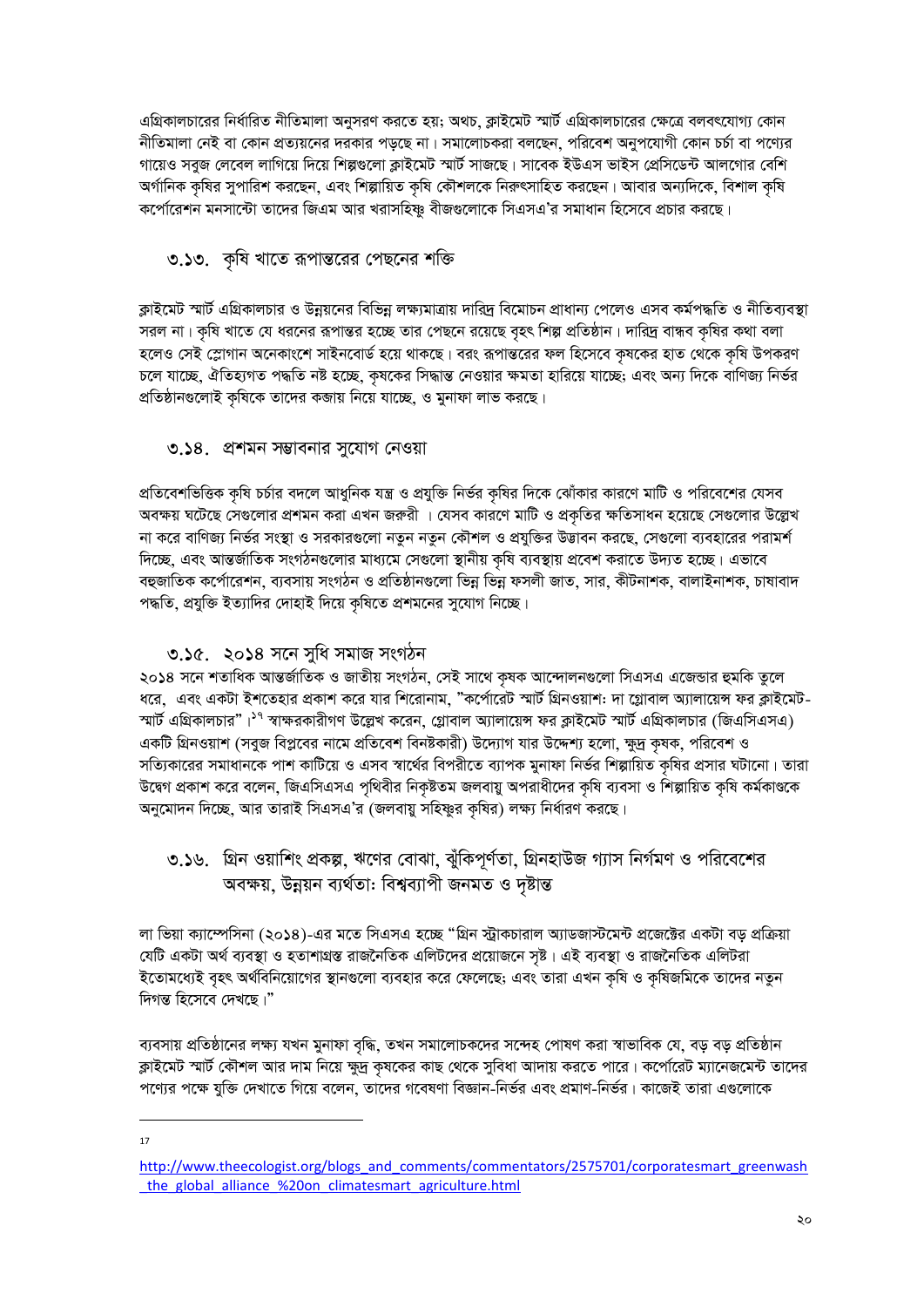এগ্রিকালচারের নির্ধারিত নীতিমালা অনুসরণ করতে হয়; অথচ, ক্লাইমেট স্মার্ট এগ্রিকালচারের ক্ষেত্রে বলবৎযোগ্য কোন নীতিমালা নেই বা কোন প্রত্যয়নের দরকার পড়ুছে না। সমালোচকরা বলছেন, পরিবেশ অনুপযোগী কোন চর্চা বা পণ্যের গায়েও সবুজ লেবেল লাগিয়ে দিয়ে শিল্পগুলো ক্লাইমেট স্মার্ট সাজছে। সাবেক ইউএস ভাইস প্রেসিডেন্ট আলগোর বেশি অর্গানিক কৃষির সুপারিশ করছেন, এবং শিল্পায়িত কৃষি কৌশলকে নিরুৎসাহিত করছেন। আবার অন্যদিকে, বিশাল কৃষি কর্পোরেশন মনসান্টো তাদের জিএম আর খরাসহিষ্ণু বীজগুলোকে সিএসএ'র সমাধান হিসেবে প্রচার করছে।

### ৩.১৩. কৃষি খাতে রূপান্তরের পেছনের শক্তি

ক্লাইমেট স্মার্ট এগ্রিকালচার ও উন্নয়নের বিভিন্ন লক্ষ্যমাত্রায় দারিদ্র বিমোচন প্রাধান্য পেলেও এসব কর্মপদ্ধতি ও নীতিব্যবস্থা সরল না। কষি খাতে যে ধরনের রূপান্তর হচ্ছে তার পেছনে রয়েছে বৃহৎ শিল্প প্রতিষ্ঠান। দারিদ্র বান্ধব কষির কথা বলা হলেও সেই স্লোগান অনেকাংশে সাইনবোর্ড হয়ে থাকছে। বরং রূপান্তরের ফল হিসেবে কৃষকের হাত থেকে কৃষি উপকরণ চলে যাচ্ছে, ঐতিহ্যগত পদ্ধতি নষ্ট হচ্ছে, কৃষকের সিদ্ধান্ত নেওয়ার ক্ষমতা হারিয়ে যাচ্ছে; এবং অন্য দিকে বাণিজ্য নির্ভর প্রতিষ্ঠানগুলোই কৃষিকে তাদের কজায় নিয়ে যাচ্ছে, ও মুনাফা লাভ করছে।

### ৩.১৪. প্রশমন সম্ভাবনার সুযোগ নেওয়া

প্রতিবেশভিত্তিক কৃষি চর্চার বদলে আধুনিক যন্ত্র ও প্রযুক্তি নির্ভর কৃষির দিকে ঝোঁকার কারণে মাটি ও পরিবেশের যেসব অবক্ষয় ঘটেছে সেগুলোর প্রশমন করা এখন জরুরী । যেসব কারণে মাটি ও প্রকৃতির ক্ষতিসাধন হয়েছে সেগুলোর উল্লেখ না করে বাণিজ্য নির্ভর সংস্থা ও সরকারগুলো নতুন নতুন কৌশল ও প্রযুক্তির উদ্ভাবন করছে, সেগুলো ব্যবহারের পরামর্শ দিচ্ছে, এবং আন্তর্জাতিক সংগঠনগুলোর মাধ্যমে সেগুলো স্থানীয় কৃষি ব্যবস্থায় প্রবেশ করাতে উদ্যত হচ্ছে। এভাবে বহুজাতিক কর্পোরেশন, ব্যবসায় সংগঠন ও প্রতিষ্ঠানগুলো ভিন্ন ভিন্ন ফসলী জাত, সার, কীটনাশক, বালাইনাশক, চাষাবাদ পদ্ধতি, প্রযুক্তি ইত্যাদির দোহাই দিয়ে কৃষিতে প্রশমনের সুযোগ নিচ্ছে।

### ৩.১৫. ২০১৪ সনে সুধি সমাজ সংগঠন

২০১৪ সনে শতাধিক আন্তর্জাতিক ও জাতীয় সংগঠন, সেই সাথে কষক আন্দোলনগুলো সিএসএ এজেন্ডার হুমকি তুলে ধরে, এবং একটা ইশতেহার প্রকাশ করে যার শিরোনাম, "কর্পোরেট স্মার্ট গ্রিনওয়াশ: দা গ্লোবাল অ্যালায়েন্স ফর ক্লাইমেট-স্মার্ট এগ্রিকালচার"।<sup>১৭</sup> স্বাক্ষরকারীগণ উল্লেখ করেন, গ্লোবাল অ্যালায়েস ফর ক্লাইমেট স্মার্ট এগ্রিকালচার (জিএসিএসএ) একটি গ্রিনওয়াশ (সবুজ বিপ্লবের নামে প্রতিবেশ বিনষ্টকারী) উদ্যোগ যার উদ্দেশ্য হলো, ক্ষুদ্র কৃষক, পরিবেশ ও সত্যিকারের সমাধানকে পাশ কাটিয়ে ও এসব স্বার্থের বিপরীতে ব্যাপক মুনাফা নির্ভর শিল্পায়িত কৃষির প্রসার ঘটানো। তারা উদ্বেগ প্রকাশ করে বলেন, জিএসিএসএ পৃথিবীর নিকৃষ্টতম জলবায়ু অপরাধীদের কৃষি ব্যবসা ও শিল্পায়িত কৃষি কর্মকাণ্ডকে অনুমোদন দিচ্ছে, আর তারাই সিএসএ'র (জলবায়ু সহিষ্ণুর কৃষির) লক্ষ্য নির্ধারণ করছে।

৩.১৬. গ্রিন ওয়াশিং প্রকল্প, ঋণের বোঝা, ঝুঁকিপূর্ণতা, গ্রিনহাউজ গ্যাস নির্গমণ ও পরিবেশের অবক্ষয়, উন্নয়ন ব্যৰ্থতা: বিশ্বব্যাপী জনমত ও দৃষ্টান্ত

লা ভিয়া ক্যাম্পেসিনা (২০১৪)-এর মতে সিএসএ হচ্ছে "গ্রিন স্ট্রাকচারাল অ্যাডজাস্টমেন্ট প্রজেক্টের একটা বড় প্রক্রিয়া যেটি একটা অর্থ ব্যবস্থা ও হতাশাগ্রস্ত রাজনৈতিক এলিটদের প্রয়োজনে সৃষ্ট। এই ব্যবস্থা ও রাজনৈতিক এলিটরা ইতোমধ্যেই বৃহৎ অর্থবিনিয়োগের স্থানগুলো ব্যবহার করে ফেলেছে; এবং তারা এখন কৃষি ও কৃষিজমিকে তাদের নতুন দিগন্ত হিসেবে দেখছে।"

ব্যবসায় প্রতিষ্ঠানের লক্ষ্য যখন মুনাফা বৃদ্ধি, তখন সমালোচকদের সন্দেহ পোষণ করা স্বাভাবিক যে, বড় বড় প্রতিষ্ঠান ক্লাইমেট স্মার্ট কৌশল আর দাম নিয়ে ক্ষুদ্র কৃষকের কাছ থেকে সুবিধা আদায় করতে পারে। কর্পোরেট ম্যানেজমেন্ট তাদের পণ্যের পক্ষে যুক্তি দেখাতে গিয়ে বলেন, তাদের গবেষণা বিজ্ঞান-নির্ভর এবং প্রমাণ-নির্ভর। কাজেই তারা এগুলোকে

17

http://www.theecologist.org/blogs\_and\_comments/commentators/2575701/corporatesmart\_greenwash the global alliance %20on climatesmart agriculture.html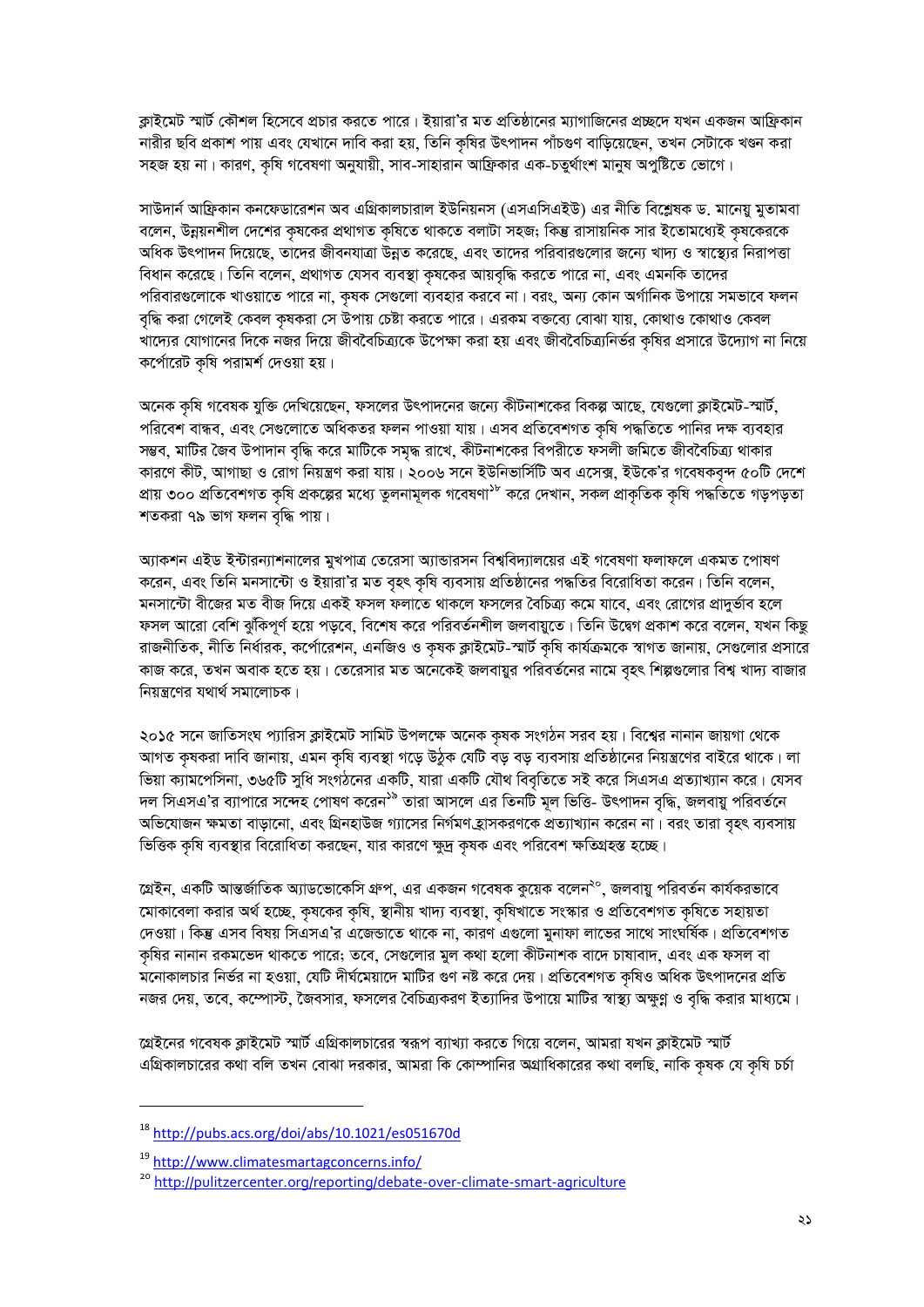ক্লাইমেট স্মার্ট কৌশল হিসেবে প্রচার করতে পারে। ইয়ারা'র মত প্রতিষ্ঠানের ম্যাগাজিনের প্রচ্ছদে যখন একজন আফ্রিকান নারীর ছবি প্রকাশ পায় এবং যেখানে দাবি করা হয়, তিনি কৃষির উৎপাদন পাঁচগুণ বাড়িয়েছেন, তখন সেটাকে খণ্ডন করা সহজ হয় না। কারণ, কষি গবেষণা অনুযায়ী, সাব-সাহারান আফ্রিকার এক-চতুর্থাংশ মানুষ অপুষ্টিতে ভোগে।

সাউদার্ন আফ্রিকান কনফেডারেশন অব এগ্রিকালচারাল ইউনিয়নস (এসএসিএইউ) এর নীতি বিশ্লেষক ড. মানেয়ু মুতামবা বলেন, উন্নয়নশীল দেশের কৃষকের প্রথাগত কৃষিতে থাকতে বলাটা সহজ; কিন্তু রাসায়নিক সার ইতোমধ্যেই কৃষকেরকে অধিক উৎপাদন দিয়েছে, তাদের জীবনযাত্রা উন্নত করেছে, এবং তাদের পরিবারগুলোর জন্যে খাদ্য ও স্বাস্থ্যের নিরাপত্তা বিধান করেছে। তিনি বলেন, প্রথাগত যেসব ব্যবস্থা কৃষকের আয়বৃদ্ধি করতে পারে না, এবং এমনকি তাদের পরিবারগুলোকে খাওয়াতে পারে না, কৃষক সেগুলো ব্যবহার করবে না। বরং, অন্য কোন অর্গানিক উপায়ে সমভাবে ফলন বৃদ্ধি করা গেলেই কেবল কৃষকরা সে উপায় চেষ্টা করতে পারে। এরকম বক্তব্যে বোঝা যায়, কোথাও কোথাও কেবল খাদ্যের যোগানের দিকে নজর দিয়ে জীববৈচিত্র্যকে উপেক্ষা করা হয় এবং জীববৈচিত্র্যনির্ভর কৃষির প্রসারে উদ্যোগ না নিয়ে কর্পোরেট কৃষি পরামর্শ দেওয়া হয়।

অনেক কৃষি গবেষক যুক্তি দেখিয়েছেন, ফসলের উৎপাদনের জন্যে কীটনাশকের বিকল্প আছে, যেগুলো ক্লাইমেট-স্মার্ট, পরিবেশ বান্ধব, এবং সেগুলোতে অধিকতর ফলন পাওয়া যায়। এসব প্রতিবেশগত কৃষি পদ্ধতিতে পানির দক্ষ ব্যবহার সম্ভব, মাটির জৈব উপাদান বৃদ্ধি করে মাটিকে সমৃদ্ধ রাখে, কীটনাশকের বিপরীতে ফসলী জমিতে জীববৈচিত্র্য থাকার কারণে কীট, আগাছা ও রোগ নিয়ন্ত্রণ করা যায়। ২০০৬ সনে ইউনিভার্সিটি অব এসেক্স, ইউকে'র গবেষকবৃন্দ ৫০টি দেশে প্ৰায় ৩০০ প্ৰতিবেশগত কৃষি প্ৰকল্পের মধ্যে তুলনামূলক গবেষণা<sup>১৮</sup> করে দেখান, সকল প্ৰাকৃতিক কৃষি পদ্ধতিতে গড়পড়তা শতকরা ৭৯ ভাগ ফলন বৃদ্ধি পায়।

অ্যাকশন এইড ইন্টারন্যাশনালের মুখপাত্র তেরেসা অ্যান্ডারসন বিশ্ববিদ্যালয়ের এই গবেষণা ফলাফলে একমত পোষণ করেন, এবং তিনি মনসান্টো ও ইয়ারা'র মত বৃহৎ কৃষি ব্যবসায় প্রতিষ্ঠানের পদ্ধতির বিরোধিতা করেন। তিনি বলেন, মনসান্টো বীজের মত বীজ দিয়ে একই ফসল ফলাতে থাকলে ফসলের বৈচিত্র্য কমে যাবে, এবং রোগের প্রাদুর্ভাব হলে ফসল আরো বেশি ঝুঁকিপূর্ণ হয়ে পড়বে, বিশেষ করে পরিবর্তনশীল জলবায়ুতে। তিনি উদ্বেগ প্রকাশ করে বলেন, যখন কিছু রাজনীতিক, নীতি নির্ধারক, কর্পোরেশন, এনজিও ও কৃষক ক্লাইমেট-স্মার্ট কৃষি কার্যক্রমকে স্বাগত জানায়, সেগুলোর প্রসারে কাজ করে, তখন অবাক হতে হয়। তেরেসার মত অনেকেই জলবায়ুর পরিবর্তনের নামে বৃহৎ শিল্পগুলোর বিশ্ব খাদ্য বাজার নিয়ন্ত্রণের যথার্থ সমালোচক।

২০১৫ সনে জাতিসংঘ প্যারিস ক্লাইমেট সামিট উপলক্ষে অনেক কৃষক সংগঠন সরব হয়। বিশ্বের নানান জায়গা থেকে আগত কৃষকরা দাবি জানায়, এমন কৃষি ব্যবস্থা গড়ে উঠুক যেটি বড় বড় ব্যবসায় প্রতিষ্ঠানের নিয়ন্ত্রণের বাইরে থাকে। লা ভিয়া ক্যামপেসিনা, ৩৬৫টি সুধি সংগঠনের একটি, যারা একটি যৌথ বিবৃতিতে সই করে সিএসএ প্রত্যাখ্যান করে। যেসব দল সিএসএ'র ব্যাপারে সন্দেহ পোষণ করেন<sup>১৯</sup> তারা আসলে এর তিনটি মূল ভিত্তি- উৎপাদন বৃদ্ধি, জলবায়ু পরিবর্তনে অভিযোজন ক্ষমতা বাড়ানো, এবং গ্রিনহাউজ গ্যাসের নির্গমণ হ্রাসকরণকে প্রত্যাখ্যান করেন না। বরং তারা বৃহৎ ব্যবসায় ভিত্তিক কৃষি ব্যবস্থার বিরোধিতা করছেন, যার কারণে ক্ষুদ্র কৃষক এবং পরিবেশ ক্ষতিগ্রহস্ত হচ্ছে।

গ্রেইন, একটি আন্তর্জাতিক অ্যাডভোকেসি গ্রুপ, এর একজন গবেষক কুয়েক বলেন<sup>২০</sup>, জলবায়ু পরিবর্তন কার্যকরভাবে মোকাবেলা করার অর্থ হচ্ছে, কৃষকের কৃষি, স্থানীয় খাদ্য ব্যবস্থা, কৃষিখাতে সংস্কার ও প্রতিবেশগত কৃষিতে সহায়তা দেওয়া। কিন্তু এসব বিষয় সিএসএ'র এজেভাতে থাকে না, কারণ এগুলো মুনাফা লাভের সাথে সাংঘর্ষিক। প্রতিবেশগত কৃষির নানান রকমভেদ থাকতে পারে; তবে, সেগুলোর মুল কথা হলো কীটনাশক বাদে চাষাবাদ, এবং এক ফসল বা মনোকালচার নির্ভর না হওয়া, যেটি দীর্ঘমেয়াদে মাটির গুণ নষ্ট করে দেয়। প্রতিবেশগত কৃষিও অধিক উৎপাদনের প্রতি নজর দেয়, তবে, কম্পোস্ট, জৈবসার, ফসলের বৈচিত্র্যকরণ ইত্যাদির উপায়ে মাটির স্বাস্থ্য অক্ষুণ্ণ ও বৃদ্ধি করার মাধ্যমে।

গ্রেইনের গবেষক ক্লাইমেট স্মার্ট এগ্রিকালচারের স্বরূপ ব্যাখ্যা করতে গিয়ে বলেন, আমরা যখন ক্লাইমেট স্মার্ট এগ্রিকালচারের কথা বলি তখন বোঝা দরকার, আমরা কি কোম্পানির অগ্রাধিকারের কথা বলছি, নাকি কষক যে কষি চর্চা

<sup>&</sup>lt;sup>18</sup> http://pubs.acs.org/doi/abs/10.1021/es051670d

<sup>&</sup>lt;sup>19</sup> http://www.climatesmartagconcerns.info/

<sup>&</sup>lt;sup>20</sup> http://pulitzercenter.org/reporting/debate-over-climate-smart-agriculture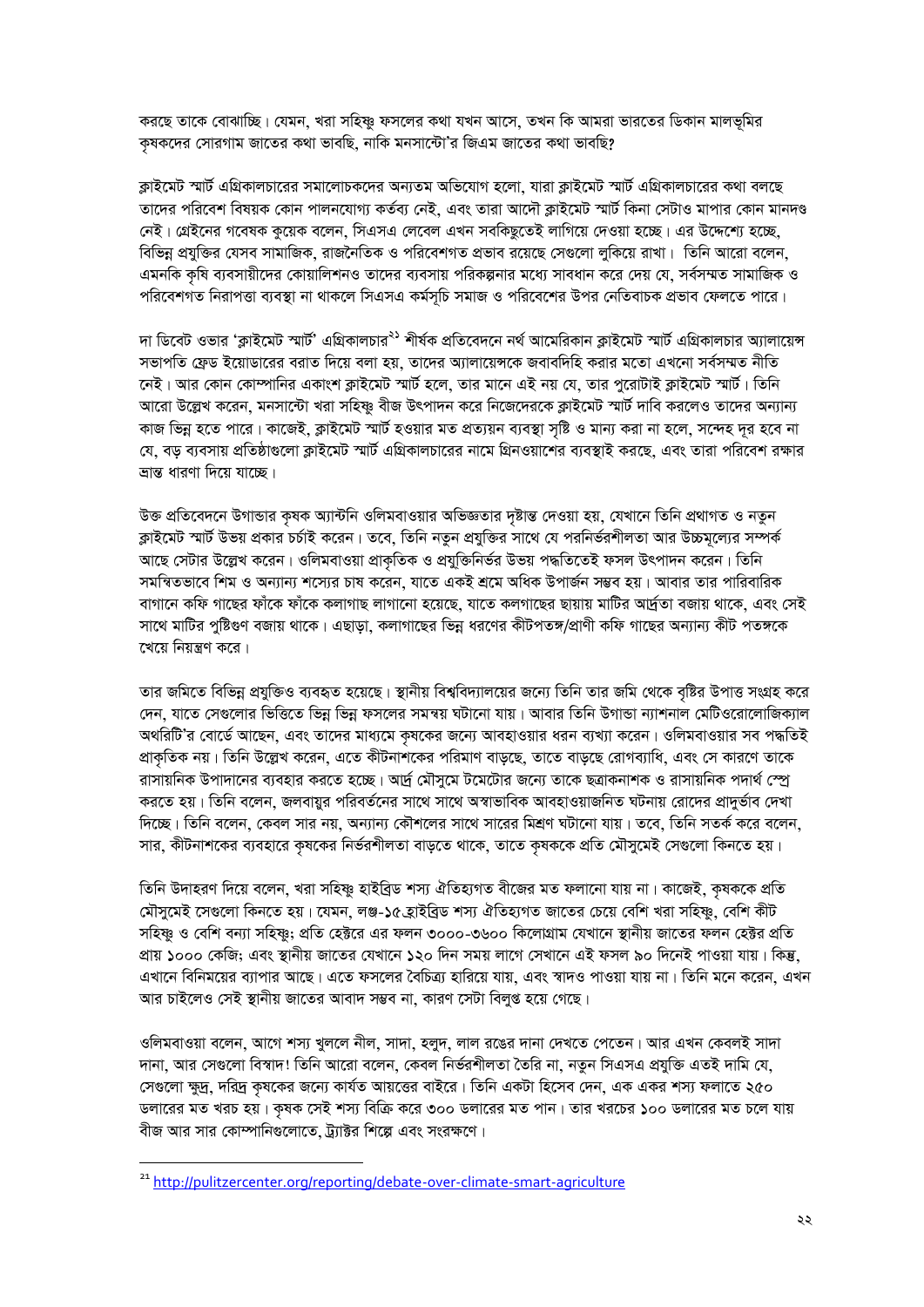করছে তাকে বোঝাচ্ছি। যেমন, খরা সহিষ্ণু ফসলের কথা যখন আসে, তখন কি আমরা ভারতের ডিকান মালভূমির কৃষকদের সোরগাম জাতের কথা ভাবছি, নাকি মনসান্টো'র জিএম জাতের কথা ভাবছি?

ক্লাইমেট স্মার্ট এগ্রিকালচারের সমালোচকদের অন্যতম অভিযোগ হলো, যারা ক্লাইমেট স্মার্ট এগ্রিকালচারের কথা বলছে তাদের পরিবেশ বিষয়ক কোন পালনযোগ্য কর্তব্য নেই, এবং তারা আদৌ ক্লাইমেট স্মার্ট কিনা সেটাও মাপার কোন মানদণ্ড নেই। গ্লেইনের গবেষক কুয়েক বলেন, সিএসএ লেবেল এখন সবকিছুতেই লাগিয়ে দেওয়া হচ্ছে। এর উদ্দেশ্যে হচ্ছে. বিভিন্ন প্রযুক্তির যেসব সামাজিক, রাজনৈতিক ও পরিবেশগত প্রভাব রয়েছে সেগুলো লুকিয়ে রাখা। তিনি আরো বলেন, এমনকি কৃষি ব্যবসায়ীদের কোয়ালিশনও তাদের ব্যবসায় পরিকল্পনার মধ্যে সাবধান করে দেয় যে, সর্বসম্মত সামাজিক ও পরিবেশগত নিরাপত্তা ব্যবস্থা না থাকলে সিএসএ কর্মসূচি সমাজ ও পরিবেশের উপর নেতিবাচক প্রভাব ফেলতে পারে।

দা ডিবেট ওভার 'ক্লাইমেট স্মার্ট' এগ্রিকালচার<sup>২১</sup> শীর্ষক প্রতিবেদনে নর্থ আমেরিকান ক্লাইমেট স্মার্ট এগ্রিকালচার অ্যালায়েন্স সভাপতি ফ্রেড ইয়োডারের বরাত দিয়ে বলা হয়, তাদের অ্যালায়েন্সকে জবাবদিহি করার মতো এখনো সর্বসম্মত নীতি নেই। আর কোন কোম্পানির একাংশ ক্লাইমেট স্মার্ট হলে, তার মানে এই নয় যে, তার পুরোটাই ক্লাইমেট স্মার্ট। তিনি আরো উল্লেখ করেন, মনসান্টো খরা সহিষ্ণু বীজ উৎপাদন করে নিজেদেরকে ক্লাইমেট স্মার্ট দাবি করলেও তাদের অন্যান্য কাজ ভিন্ন হতে পারে। কাজেই, ক্লাইমেট স্মার্ট হওয়ার মত প্রত্যয়ন ব্যবস্থা সৃষ্টি ও মান্য করা না হলে, সন্দেহ দূর হবে না যে, বড় ব্যবসায় প্রতিষ্ঠাগুলো ক্লাইমেট স্মার্ট এগ্রিকালচারের নামে গ্রিনওয়াশের ব্যবস্থাই করছে, এবং তারা পরিবেশ রক্ষার ভ্ৰান্ত ধাৱণা দিয়ে যাচ্ছে।

উক্ত প্রতিবেদনে উগান্ডার কৃষক অ্যান্টনি ওলিমবাওয়ার অভিজ্ঞতার দৃষ্টান্ত দেওয়া হয়, যেখানে তিনি প্রথাগত ও নতুন ক্লাইমেট স্মার্ট উভয় প্রকার চর্চাই করেন। তবে, তিনি নতুন প্রযুক্তির সাথে যে পরনির্ভরশীলতা আর উচ্চমূল্যের সম্পর্ক আছে সেটার উল্লেখ করেন। ওলিমবাওয়া প্রাকৃতিক ও প্রযুক্তিনির্ভর উভয় পদ্ধতিতেই ফসল উৎপাদন করেন। তিনি সমন্বিতভাবে শিম ও অন্যান্য শস্যের চাষ করেন, যাতে একই শ্রমে অধিক উপার্জন সম্ভব হয়। আবার তার পারিবারিক বাগানে কফি গাছের ফাঁকে ফাঁকে কলাগাছ লাগানো হয়েছে, যাতে কলগাছের ছায়ায় মাটির আর্দ্রতা বজায় থাকে, এবং সেই সাথে মাটির পুষ্টিগুণ বজায় থাকে। এছাডা, কলাগাছের ভিন্ন ধরণের কীটপতঙ্গ/প্রাণী কফি গাছের অন্যান্য কীট পতঙ্গকে খেয়ে নিয়ন্ত্রণ করে।

তার জমিতে বিভিন্ন প্রযুক্তিও ব্যবহৃত হয়েছে। স্থানীয় বিশ্ববিদ্যালয়ের জন্যে তিনি তার জমি থেকে বৃষ্টির উপাত্ত সংগ্রহ করে দেন, যাতে সেগুলোর ভিত্তিতে ভিন্ন ভিন্ন ফসলের সমন্বয় ঘটানো যায়। আবার তিনি উগান্ডা ন্যাশনাল মেটিওরোলোজিক্যাল অথরিটি'র বোর্ডে আছেন, এবং তাদের মাধ্যমে কৃষকের জন্যে আবহাওয়ার ধরন ব্যখ্যা করেন। ওলিমবাওয়ার সব পদ্ধতিই প্রাকৃতিক নয়। তিনি উল্লেখ করেন, এতে কীটনাশকের পরিমাণ বাড্ছে, তাতে বাড্ছে রোগব্যাধি, এবং সে কারণে তাকে রাসায়নিক উপাদানের ব্যবহার করতে হচ্ছে। অর্দ্র মৌসুমে টমেটোর জন্যে তাকে ছত্রাকনাশক ও রাসায়নিক পদার্থ স্প্রে করতে হয়। তিনি বলেন, জলবায়ুর পরিবর্তনের সাথে সাথে অস্বাভাবিক আবহাওয়াজনিত ঘটনায় রোদের প্রাদুর্ভাব দেখা দিচ্ছে। তিনি বলেন, কেবল সার নয়, অন্যান্য কৌশলের সাথে সারের মিশ্রণ ঘটানো যায়। তবে, তিনি সতর্ক করে বলেন, সার, কীটনাশকের ব্যবহারে কৃষকের নির্ভরশীলতা বাড়তে থাকে, তাতে কৃষককে প্রতি মৌসুমেই সেগুলো কিনতে হয়।

তিনি উদাহরণ দিয়ে বলেন, খরা সহিষ্ণু হাইব্রিড শস্য ঐতিহ্যগত বীজের মত ফলানো যায় না। কাজেই, কৃষককে প্রতি মৌসুমেই সেগুলো কিনতে হয়। যেমন, লঞ্জ-১৫ হাইব্রিড শস্য ঐতিহ্যগত জাতের চেয়ে বেশি খরা সহিষ্ণু, বেশি কীট সহিষ্ণু ও বেশি বন্যা সহিষ্ণু; প্রতি হেক্টরে এর ফলন ৩০০০-৩৬০০ কিলোগ্রাম যেখানে স্থানীয় জাতের ফলন হেক্টর প্রতি প্ৰায় ১০০০ কেজি; এবং স্থানীয় জাতের যেখানে ১২০ দিন সময় লাগে সেখানে এই ফসল ৯০ দিনেই পাওয়া যায়। কিন্তু, এখানে বিনিময়ের ব্যাপার আছে। এতে ফসলের বৈচিত্র্য হারিয়ে যায়, এবং স্বাদও পাওয়া যায় না। তিনি মনে করেন, এখন আর চাইলেও সেই স্থানীয় জাতের আবাদ সম্ভব না, কারণ সেটা বিলুগু হয়ে গেছে।

ওলিমবাওয়া বলেন, আগে শস্য খুললে নীল, সাদা, হলুদ, লাল রঙের দানা দেখতে পেতেন। আর এখন কেবলই সাদা দানা, আর সেগুলো বিস্বাদ! তিনি আরো বলেন, কেবল নির্ভরশীলতা তৈরি না, নতুন সিএসএ প্রযুক্তি এতই দামি যে, সেগুলো ক্ষুদ্র, দরিদ্র কৃষকের জন্যে কার্যত আয়ত্তের বাইরে। তিনি একটা হিসেব দেন, এক একর শস্য ফলাতে ২৫০ ডলারের মত খরচ হয়। কৃষক সেই শস্য বিক্রি করে ৩০০ ডলারের মত পান। তার খরচের ১০০ ডলারের মত চলে যায় বীজ আর সার কোম্পানিগুলোতে, ট্যাক্টর শিল্পে এবং সংরক্ষণে।

<sup>&</sup>lt;sup>21</sup> http://pulitzercenter.org/reporting/debate-over-climate-smart-agriculture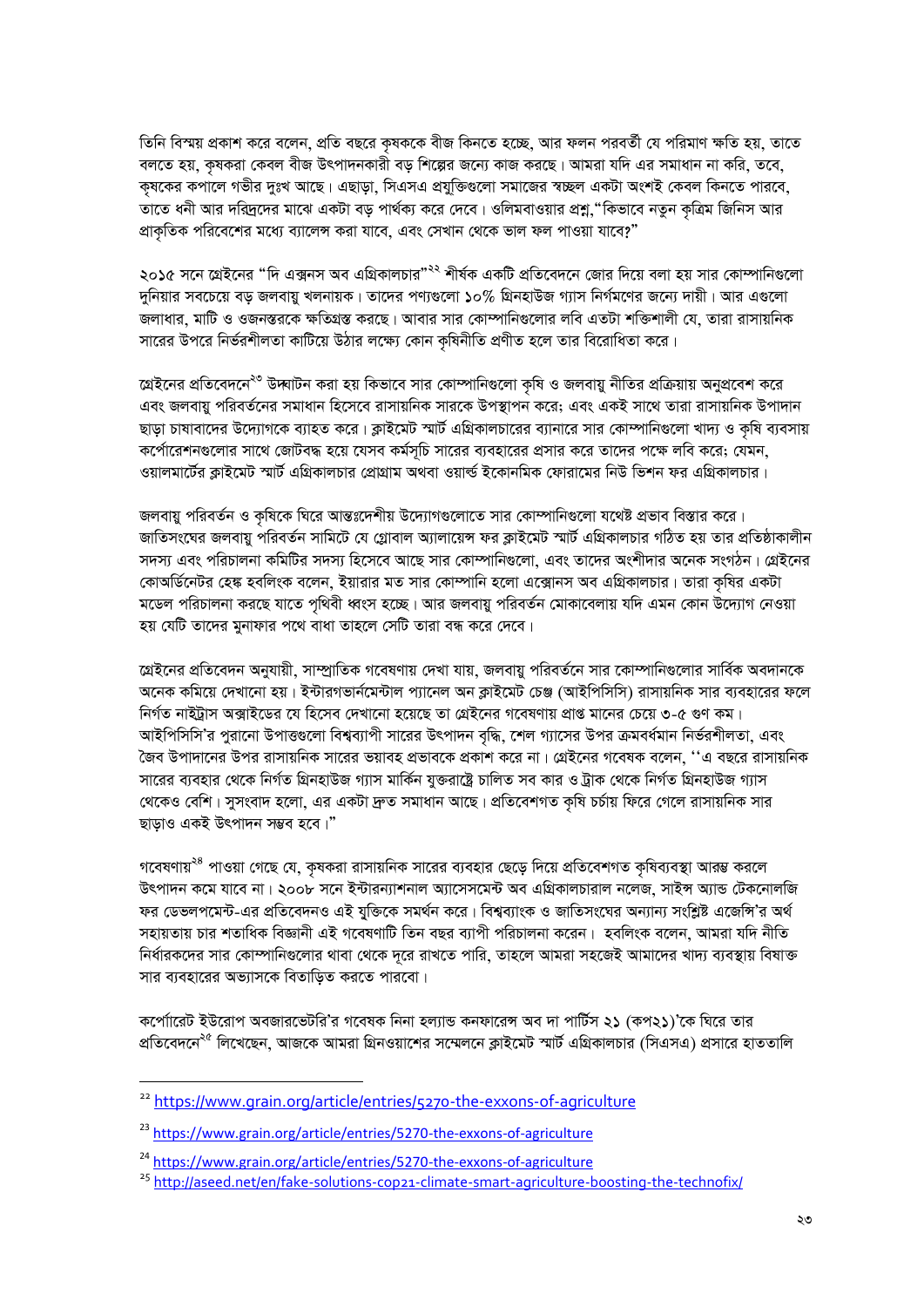তিনি বিস্ময় প্রকাশ করে বলেন, প্রতি বছরে কৃষককে বীজ কিনতে হচ্ছে, আর ফলন পরবর্তী যে পরিমাণ ক্ষতি হয়, তাতে বলতে হয়, কৃষকরা কেবল বীজ উৎপাদনকারী বড় শিল্পের জন্যে কাজ করছে। আমরা যদি এর সমাধান না করি, তবে, কৃষকের কপালে গভীর দুঃখ আছে। এছাড়া, সিএসএ প্রযুক্তিগুলো সমাজের স্বচ্ছল একটা অংশই কেবল কিনতে পারবে, তাতে ধনী আর দরিদ্রদের মাঝে একটা বড় পার্থক্য করে দেবে। ওলিমবাওয়ার প্রশ্ন,"কিভাবে নতুন কৃত্রিম জিনিস আর প্রাকৃতিক পরিবেশের মধ্যে ব্যালেন্স করা যাবে, এবং সেখান থেকে ভাল ফল পাওয়া যাবে?"

২০১৫ সনে গ্রেইনের "দি এক্সনস অব এগ্রিকালচার"<sup>২২</sup> শীর্ষক একটি প্রতিবেদনে জোর দিয়ে বলা হয় সার কোম্পানিগুলো দুনিয়ার সবচেয়ে বড় জলবায়ু খলনায়ক। তাদের পণ্যগুলো ১০% গ্রিনহাউজ গ্যাস নির্গমণের জন্যে দায়ী। আর এগুলো জলাধার, মাটি ও ওজনস্তরকে ক্ষতিগ্রস্ত করছে। আবার সার কোম্পানিগুলোর লবি এতটা শক্তিশালী যে, তারা রাসায়নিক সারের উপরে নির্ভরশীলতা কাটিয়ে উঠার লক্ষ্যে কোন কৃষিনীতি প্রণীত হলে তার বিরোধিতা করে।

গ্রেইনের প্রতিবেদনে<sup>২৩</sup> উদ্ঘাটন করা হয় কিভাবে সার কোম্পানিগুলো কৃষি ও জলবায়ু নীতির প্রক্রিয়ায় অনুপ্রবেশ করে এবং জলবায়ু পরিবর্তনের সমাধান হিসেবে রাসায়নিক সারকে উপস্থাপন করে; এবং একই সাথে তারা রাসায়নিক উপাদান ছাড়া চাষাবাদের উদ্যোগকে ব্যাহত করে। ক্লাইমেট স্মার্ট এগ্রিকালচারের ব্যানারে সার কোম্পানিগুলো খাদ্য ও কৃষি ব্যবসায় কর্পোরেশনগুলোর সাথে জোটবদ্ধ হয়ে যেসব কর্মসূচি সারের ব্যবহারের প্রসার করে তাদের পক্ষে লবি করে; যেমন, ওয়ালমার্টের ক্লাইমেট স্মার্ট এগ্রিকালচার প্রোগ্রাম অথবা ওয়ার্ল্ড ইকোনমিক ফোরামের নিউ ভিশন ফর এগ্রিকালচার।

জলবায়ু পরিবর্তন ও কৃষিকে ঘিরে আন্তঃদেশীয় উদ্যোগগুলোতে সার কোম্পানিগুলো যথেষ্ট প্রভাব বিস্তার করে। জাতিসংঘের জলবায়ু পরিবর্তন সামিটে যে গ্লোবাল অ্যালায়েন্স ফর ক্লাইমেট স্মার্ট এগ্রিকালচার গঠিত হয় তার প্রতিষ্ঠাকালীন সদস্য এবং পরিচালনা কমিটির সদস্য হিসেবে আছে সার কোম্পানিগুলো, এবং তাদের অংশীদার অনেক সংগঠন। গ্রেইনের কোঅর্ডিনেটর হেঙ্ক হবলিংক বলেন, ইয়ারার মত সার কোম্পানি হলো এক্সোনস অব এগ্রিকালচার। তারা কৃষির একটা মডেল পরিচালনা করছে যাতে পৃথিবী ধ্বংস হচ্ছে। আর জলবায়ু পরিবর্তন মোকাবেলায় যদি এমন কোন উদ্যোগ নেওয়া হয় যেটি তাদের মুনাফার পথে বাধা তাহলে সেটি তারা বন্ধ করে দেবে।

গ্রেইনের প্রতিবেদন অনুযায়ী, সাম্প্রাতিক গবেষণায় দেখা যায়, জলবায়ু পরিবর্তনে সার কোম্পানিগুলোর সার্বিক অবদানকে অনেক কমিয়ে দেখানো হয়। ইন্টারগভার্নমেন্টাল প্যানেল অন ক্লাইমেট চেঞ্জ (আইপিসিসি) রাসায়নিক সার ব্যবহারের ফলে নির্গত নাইট্রাস অক্সাইডের যে হিসেব দেখানো হয়েছে তা গ্রেইনের গবেষণায় প্রাপ্ত মানের চেয়ে ৩-৫ গুণ কম। আইপিসিসি'র পুরানো উপাত্তুলো বিশ্বব্যাপী সারের উৎপাদন বৃদ্ধি, শেল গ্যাসের উপর ক্রমবর্ধমান নির্ভরশীলতা, এবং জৈব উপাদানের উপর রাসায়নিক সারের ভয়াবহ প্রভাবকে প্রকাশ করে না। গ্রেইনের গবেষক বলেন, ''এ বছরে রাসায়নিক সারের ব্যবহার থেকে নির্গত গ্রিনহাউজ গ্যাস মার্কিন যুক্তরাষ্ট্রে চালিত সব কার ও ট্রাক থেকে নির্গত গ্রিনহাউজ গ্যাস থেকেও বেশি। সুসংবাদ হলো, এর একটা দ্রুত সমাধান আছে। প্রতিবেশগত কৃষি চর্চায় ফিরে গেলে রাসায়নিক সার ছাড়াও একই উৎপাদন সম্ভব হবে।"

গবেষণায়<sup>২৪</sup> পাওয়া গেছে যে, কৃষকরা রাসায়নিক সারের ব্যবহার ছেড়ে দিয়ে প্রতিবেশগত কৃষিব্যবস্থা আরম্ভ করলে উৎপাদন কমে যাবে না। ২০০৮ সনে ইন্টারন্যাশনাল অ্যাসেসমেন্ট অব এগ্রিকালচারাল নলেজ, সাইন্স অ্যান্ড টেকনোলজি ফর ডেভলপমেন্ট-এর প্রতিবেদনও এই যুক্তিকে সমর্থন করে। বিশ্বব্যাংক ও জাতিসংঘের অন্যান্য সংশ্লিষ্ট এজেন্সি'র অর্থ সহায়তায় চার শতাধিক বিজ্ঞানী এই গবেষণাটি তিন বছর ব্যাপী পরিচালনা করেন। হবলিংক বলেন, আমরা যদি নীতি নির্ধারকদের সার কোম্পানিগুলোর থাবা থেকে দূরে রাখতে পারি, তাহলে আমরা সহজেই আমাদের খাদ্য ব্যবস্থায় বিষাক্ত সার ব্যবহারের অভ্যাসকে বিতাডিত করতে পারবো।

কর্পোারেট ইউরোপ অবজারভেটরি'র গবেষক নিনা হল্যান্ড কনফারেন্স অব দা পার্টিস ২১ (কপ২১)'কে ঘিরে তার প্রতিবেদনে<sup>২৫</sup> লিখেছেন, আজকে আমরা গ্রিনওয়াশের সম্মেলনে ক্লাইমেট স্মার্ট এগ্রিকালচার (সিএসএ) প্রসারে হাততালি

<sup>&</sup>lt;sup>22</sup> https://www.grain.org/article/entries/5270-the-exxons-of-agriculture

<sup>&</sup>lt;sup>23</sup> https://www.grain.org/article/entries/5270-the-exxons-of-agriculture

<sup>&</sup>lt;sup>24</sup> https://www.grain.org/article/entries/5270-the-exxons-of-agriculture

<sup>&</sup>lt;sup>25</sup> http://aseed.net/en/fake-solutions-cop21-climate-smart-agriculture-boosting-the-technofix/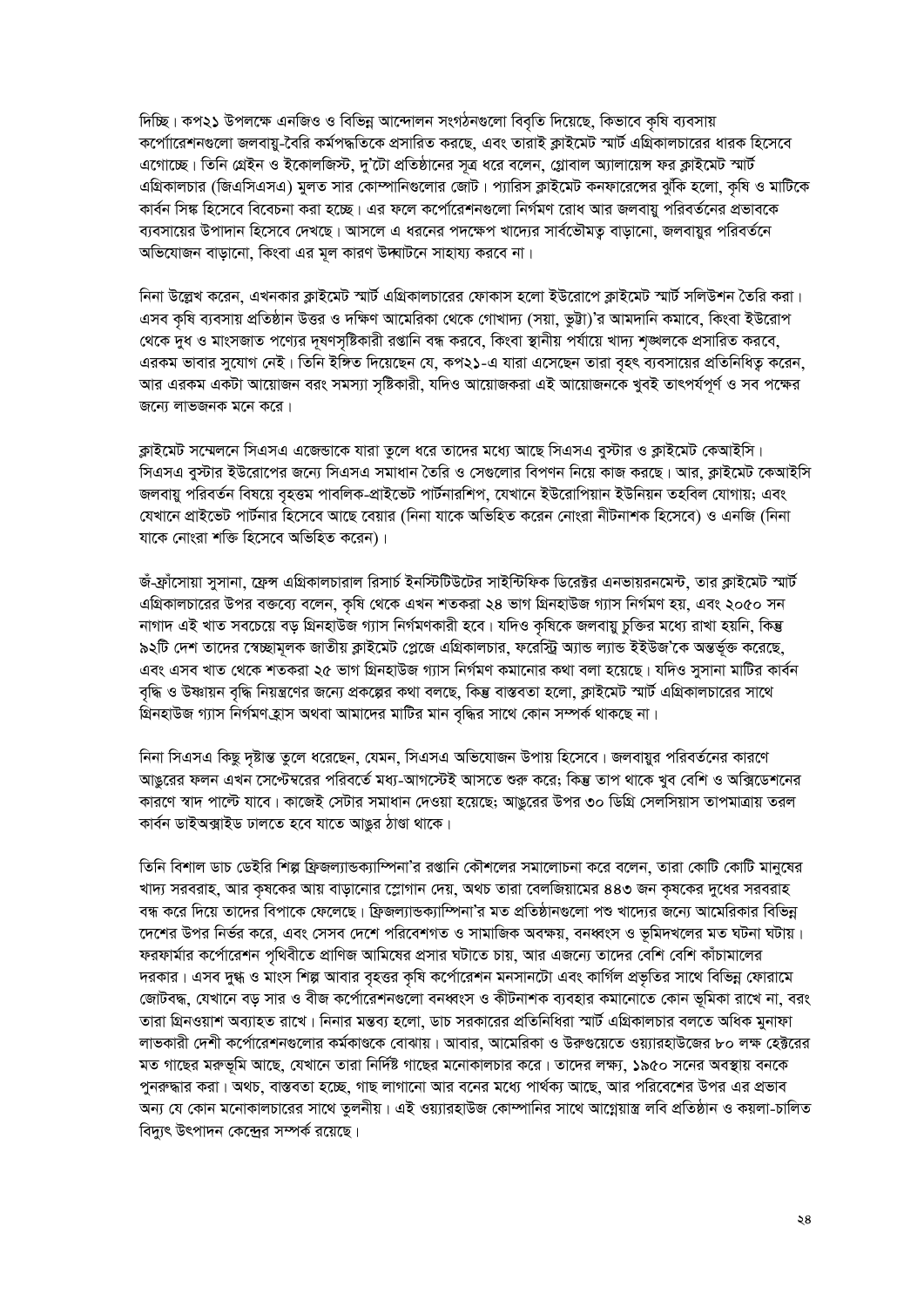দিচ্ছি। কপ২১ উপলক্ষে এনজিও ও বিভিন্ন আন্দোলন সংগঠনগুলো বিবৃতি দিয়েছে, কিভাবে কৃষি ব্যবসায় কপো্যারেশনগুলো জলবায়ু-বৈরি কর্মপদ্ধতিকে প্রসারিত করছে, এবং তারাই ক্লাইমেট স্মার্ট এগ্রিকালচারের ধারক হিসেবে এগোচ্ছে। তিনি গ্রেইন ও ইকোলজিস্ট, দু'টো প্রতিষ্ঠানের সত্র ধরে বলেন, গ্লোবাল অ্যালায়েন্স ফর ক্লাইমেট স্মার্ট এগ্রিকালচার (জিএসিএসএ) মুলত সার কোম্পানিগুলোর জোট। প্যারিস ক্লাইমেট কনফারেঙ্গের ঝুঁকি হলো, কৃষি ও মাটিকে কার্বন সিঙ্ক হিসেবে বিবেচনা করা হচ্ছে। এর ফলে কর্পোরেশনগুলো নির্গমণ রোধ আর জলবায়ু পরিবর্তনের প্রভাবকে ব্যবসায়ের উপাদান হিসেবে দেখছে। আসলে এ ধরনের পদক্ষেপ খাদ্যের সার্বভৌমত বাডানো, জলবায়র পরিবর্তনে অভিযোজন বাড়ানো, কিংবা এর মূল কারণ উদ্ঘাটনে সাহায্য করবে না।

নিনা উল্লেখ করেন, এখনকার ক্লাইমেট স্মার্ট এগ্রিকালচারের ফোকাস হলো ইউরোপে ক্লাইমেট স্মার্ট সলিউশন তৈরি করা। এসব কৃষি ব্যবসায় প্রতিষ্ঠান উত্তর ও দক্ষিণ আমেরিকা থেকে গোখাদ্য (সয়া, ভুট্টা)'র আমদানি কমাবে, কিংবা ইউরোপ থেকে দুধ ও মাংসজাত পণ্যের দূষণসৃষ্টিকারী রপ্তানি বন্ধ করবে, কিংবা স্থানীয় পর্যায়ে খাদ্য শৃঙ্খলকে প্রসারিত করবে, এরকম ভাবার সুযোগ নেই। তিনি ইঙ্গিত দিয়েছেন যে, কপ২১-এ যারা এসেছেন তারা বৃহৎ ব্যবসায়ের প্রতিনিধিত্ব করেন, আর এরকম একটা আয়োজন বরং সমস্যা সৃষ্টিকারী, যদিও আয়োজকরা এই আয়োজনকে খুবই তাৎপর্যপূর্ণ ও সব পক্ষের জন্যে লাভজনক মনে করে।

ক্লাইমেট সম্মেলনে সিএসএ এজেন্ডাকে যারা তলে ধরে তাদের মধ্যে আছে সিএসএ বুস্টার ও ক্লাইমেট কেআইসি। সিএসএ বৃস্টার ইউরোপের জন্যে সিএসএ সমাধান তৈরি ও সেগুলোর বিপণন নিয়ে কাজ করছে। আর, ক্লাইমেট কেআইসি জলবায়ু পরিবর্তন বিষয়ে বৃহত্তম পাবলিক-প্রাইভেট পার্টনারশিপ, যেখানে ইউরোপিয়ান ইউনিয়ন তহবিল যোগায়; এবং যেখানে প্রাইভেট পার্টনার হিসেবে আছে বেয়ার (নিনা যাকে অভিহিত করেন নোংরা নীটনাশক হিসেবে) ও এনজি (নিনা যাকে নোংরা শক্তি হিসেবে অভিহিত করেন)।

জঁ-ফ্রাঁসোয়া সুসানা, ফ্রেন্স এগ্রিকালচারাল রিসার্চ ইনস্টিটিউটের সাইন্টিফিক ডিরেক্টর এনভায়রনমেন্ট, তার ক্লাইমেট স্মার্ট এগ্রিকালচারের উপর বক্তব্যে বলেন, কৃষি থেকে এখন শতকরা ২৪ ভাগ গ্রিনহাউজ গ্যাস নির্গমণ হয়, এবং ২০৫০ সন নাগাদ এই খাত সবচেয়ে বড় গ্রিনহাউজ গ্যাস নির্গমণকারী হবে। যদিও কৃষিকে জলবায়ু চুক্তির মধ্যে রাখা হয়নি, কিন্তু ৯২টি দেশ তাদের স্বেচ্ছামূলক জাতীয় ক্লাইমেট প্লেজে এগ্রিকালচার, ফরেস্ট্রি অ্যান্ড ল্যান্ড ইইউজ'কে অন্তর্ভুক্ত করেছে, এবং এসব খাত থেকে শতকরা ২৫ ভাগ গ্রিনহাউজ গ্যাস নির্গমণ কমানোর কথা বলা হয়েছে। যদিও সুসানা মাটির কার্বন বৃদ্ধি ও উষ্ণায়ন বৃদ্ধি নিয়ন্ত্রণের জন্যে প্রকল্পের কথা বলছে, কিন্তু বাস্তবতা হলো, ক্লাইমেট স্মার্ট এগ্রিকালচারের সাথে গ্রিনহাউজ গ্যাস নির্গমণ হ্রাস অথবা আমাদের মাটির মান বৃদ্ধির সাথে কোন সম্পর্ক থাকছে না।

নিনা সিএসএ কিছু দৃষ্টান্ত তুলে ধরেছেন, যেমন, সিএসএ অভিযোজন উপায় হিসেবে। জলবায়র পরিবর্তনের কারণে আঙরের ফলন এখন সেপ্টেম্বরের পরিবর্তে মধ্য-আগস্টেই আসতে শুরু করে; কিন্তু তাপ থাকে খুব বেশি ও অক্সিডেশনের কারণে স্বাদ পাল্টে যাবে। কাজেই সেটার সমাধান দেওয়া হয়েছে; আঙরের উপর ৩০ ডিগ্রি সেলসিয়াস তাপমাত্রায় তরল কাৰ্বন ডাইঅক্সাইড ঢালতে হবে যাতে আঙুর ঠাণ্ডা থাকে।

তিনি বিশাল ডাচ ডেইরি শিল্প ফ্রিজল্যান্ডক্যাম্পিনা'র রপ্তানি কৌশলের সমালোচনা করে বলেন, তারা কোটি কোটি মানুষের খাদ্য সরবরাহ, আর কৃষকের আয় বাড়ানোর স্লোগান দেয়, অথচ তারা বেলজিয়ামের ৪৪৩ জন কৃষকের দুধের সরবরাহ বন্ধ করে দিয়ে তাদের বিপাকে ফেলেছে। ফ্রিজল্যান্ডক্যাম্পিনা'র মত প্রতিষ্ঠানগুলো পশু খাদ্যের জন্যে আমেরিকার বিভিন দেশের উপর নির্ভর করে, এবং সেসব দেশে পরিবেশগত ও সামাজিক অবক্ষয়, বনধ্বংস ও ভূমিদখলের মত ঘটনা ঘটায়। ফরফার্মার কর্পোরেশন পৃথিবীতে প্রাণিজ আমিষের প্রসার ঘটাতে চায়, আর এজন্যে তাদের বেশি বেশি কাঁচামালের দরকার। এসব দুগ্ধ ও মাংস শিল্প আবার বৃহত্তর কৃষি কর্পোরেশন মনসানটো এবং কার্গিল প্রভৃতির সাথে বিভিন্ন ফোরামে জোটবদ্ধ, যেখানে বড় সার ও বীজ কর্পোরেশনগুলো বনধ্বংস ও কীটনাশক ব্যবহার কমানোতে কোন ভূমিকা রাখে না, বরং তারা গ্রিনওয়াশ অব্যাহত রাখে। নিনার মন্তব্য হলো, ডাচ সরকারের প্রতিনিধিরা স্মার্ট এগ্রিকালচার বলতে অধিক মুনাফা লাভকারী দেশী কর্পোরেশনগুলোর কর্মকাণ্ডকে বোঝায়। আবার, আমেরিকা ও উরুগুয়েতে ওয়্যারহাউজের ৮০ লক্ষ হেক্টরের মত গাছের মরুভূমি আছে, যেখানে তারা নির্দিষ্ট গাছের মনোকালচার করে। তাদের লক্ষ্য, ১৯৫০ সনের অবস্থায় বনকে পুনরুদ্ধার করা। অথচ, বাস্তবতা হচ্ছে, গাছ লাগানো আর বনের মধ্যে পার্থক্য আছে, আর পরিবেশের উপর এর প্রভাব অন্য যে কোন মনোকালচারের সাথে তুলনীয়। এই ওয়্যারহাউজ কোম্পানির সাথে আগ্নেয়াস্ত্র লবি প্রতিষ্ঠান ও কয়লা-চালিত বিদ্যৎ উৎপাদন কেন্দ্রের সম্পর্ক রয়েছে।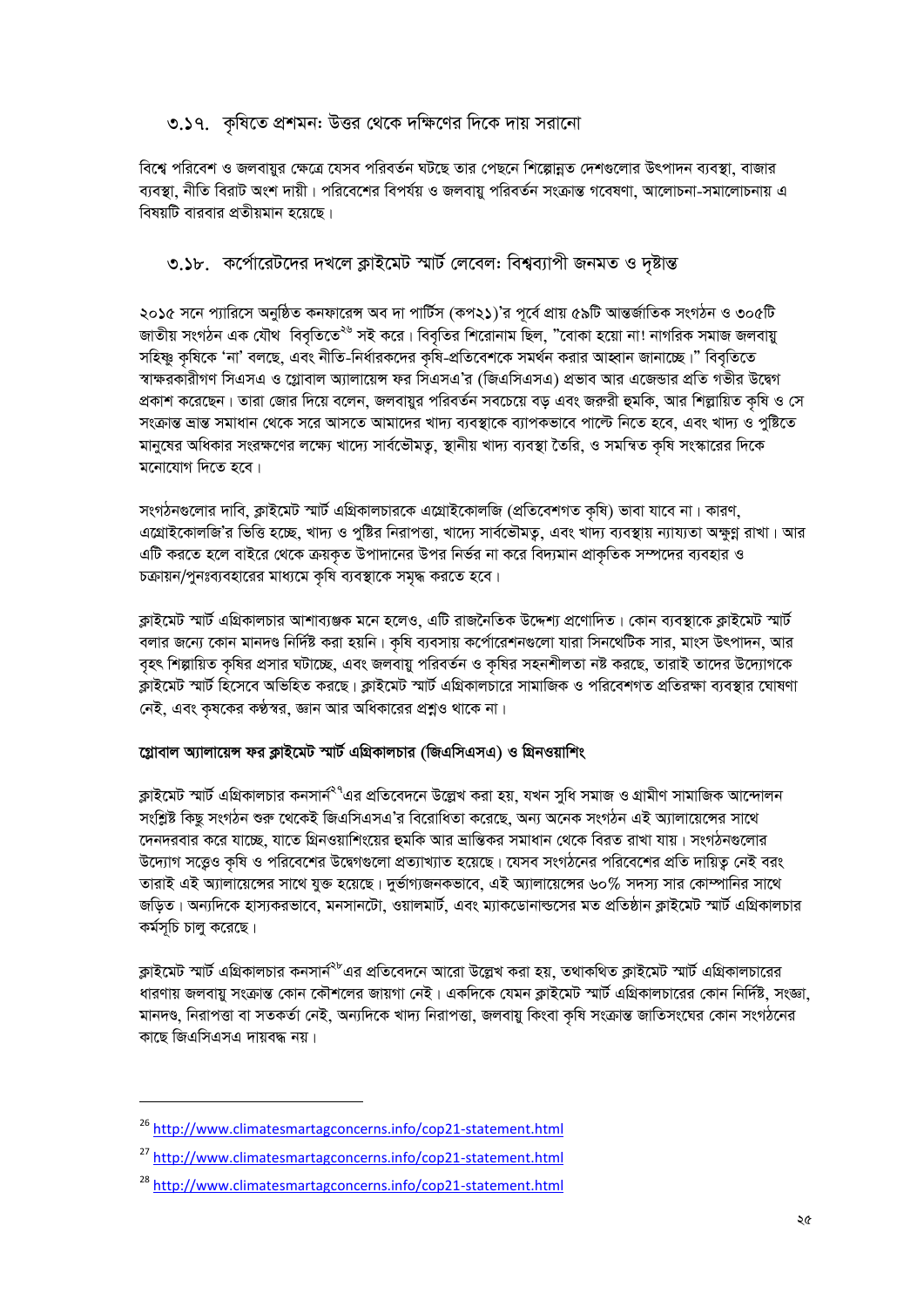### ৩.১৭. কৃষিতে প্রশমন: উত্তর থেকে দক্ষিণের দিকে দায় সরানো

বিশ্বে পরিবেশ ও জলবায়র ক্ষেত্রে যেসব পরিবর্তন ঘটছে তার পেছনে শিল্পোন্নত দেশগুলোর উৎপাদন ব্যবস্থা, বাজার ব্যবস্থা, নীতি বিরাট অংশ দায়ী। পরিবেশের বিপর্যয় ও জলবায়ু পরিবর্তন সংক্রান্ত গবেষণা, আলোচনা-সমালোচনায় এ বিষয়টি বারবার প্রতীয়মান হয়েছে।

### ৩.১৮. কর্পোরেটদের দখলে ক্লাইমেট স্মার্ট লেবেল: বিশ্বব্যাপী জনমত ও দষ্টান্ত

২০১৫ সনে প্যারিসে অনুষ্ঠিত কনফারেন্স অব দা পার্টিস (কপ২১)'র পূর্বে প্রায় ৫৯টি আন্তর্জাতিক সংগঠন ও ৩০৫টি জাতীয় সংগঠন এক যৌথ বিবৃতিতে<sup>২৬</sup> সই করে। বিবৃতির শিরোনাম ছিল, "বোকা হয়ো না! নাগরিক সমাজ জলবায়ু সহিষ্ণু কৃষিকে 'না' বলছে, এবং নীতি-নির্ধারকদের কৃষি-প্রতিবেশকে সমর্থন করার আহ্বান জানাচ্ছে।" বিবৃতিতে স্বাক্ষরকারীগণ সিএসএ ও গ্লোবাল অ্যালায়েন্স ফর সিএসএ'র (জিএসিএসএ) প্রভাব আর এজেন্ডার প্রতি গভীর উদ্বেগ প্রকাশ করেছেন। তারা জোর দিয়ে বলেন, জলবায়ুর পরিবর্তন সবচেয়ে বড় এবং জরুরী হুমকি, আর শিল্লায়িত কৃষি ও সে সংক্রান্ত দ্রান্ত সমাধান থেকে সরে আসতে আমাদের খাদ্য ব্যবস্থাকে ব্যাপকভাবে পাল্টে নিতে হবে, এবং খাদ্য ও পুষ্টিতে মানুষের অধিকার সংরক্ষণের লক্ষ্যে খাদ্যে সার্বভৌমতু, স্থানীয় খাদ্য ব্যবস্থা তৈরি, ও সমন্বিত কৃষি সংস্কারের দিকে মনোযোগ দিতে হবে।

সংগঠনগুলোর দাবি, ক্লাইমেট স্মার্ট এগ্রিকালচারকে এগ্রোইকোলজি (প্রতিবেশগত কৃষি) ভাবা যাবে না। কারণ, এগ্রোইকোলজি'র ভিত্তি হচ্ছে, খাদ্য ও পুষ্টির নিরাপত্তা, খাদ্যে সার্বভৌমত্ব, এবং খাদ্য ব্যবস্থায় ন্যায্যতা অক্ষুণ্ণ রাখা। আর এটি করতে হলে বাইরে থেকে ক্রয়কৃত উপাদানের উপর নির্ভর না করে বিদ্যমান প্রাকৃতিক সম্পদের ব্যবহার ও চক্রায়ন/পুনঃব্যবহারের মাধ্যমে কৃষি ব্যবস্থাকে সমৃদ্ধ করতে হবে।

ক্লাইমেট স্মার্ট এগ্রিকালচার আশাব্যঞ্জক মনে হলেও, এটি রাজনৈতিক উদ্দেশ্য প্রণোদিত। কোন ব্যবস্থাকে ক্লাইমেট স্মার্ট বলার জন্যে কোন মানদণ্ড নির্দিষ্ট করা হয়নি। কৃষি ব্যবসায় কর্পোরেশনগুলো যারা সিনথেটিক সার, মাংস উৎপাদন, আর বৃহৎ শিল্পায়িত কৃষির প্রসার ঘটাচ্ছে, এবং জলবায়ু পরিবর্তন ও কৃষির সহনশীলতা নষ্ট করছে, তারাই তাদের উদ্যোগকে ক্লাইমেট স্মার্ট হিসেবে অভিহিত করছে। ক্লাইমেট স্মার্ট এগ্রিকালচারে সামাজিক ও পরিবেশগত প্রতিরক্ষা ব্যবস্থার ঘোষণা নেই, এবং কৃষকের কণ্ঠস্বর, জ্ঞান আর অধিকারের প্রশ্নও থাকে না।

### গ্লোবাল অ্যালায়েন্স ফর ক্লাইমেট স্মার্ট এগ্রিকালচার (জিএসিএসএ) ও গ্রিনওয়াশিং

ক্লাইমেট স্মার্ট এগ্রিকালচার কনসার্ন<sup>২৭</sup>এর প্রতিবেদনে উল্লেখ করা হয়, যখন সুধি সমাজ ও গ্রামীণ সামাজিক আন্দোলন সংশ্লিষ্ট কিছু সংগঠন শুরু থেকেই জিএসিএসএ'র বিরোধিতা করেছে, অন্য অনেক সংগঠন এই অ্যালায়েঙ্গের সাথে দেনদরবার করে যাচ্ছে, যাতে গ্রিনওয়াশিংয়ের হুমকি আর ভ্রান্তিকর সমাধান থেকে বিরত রাখা যায়। সংগঠনগুলোর উদ্যোগ সত্ত্বেও কৃষি ও পরিবেশের উদ্বেগগুলো প্রত্যাখ্যাত হয়েছে। যেসব সংগঠনের পরিবেশের প্রতি দায়িত্ব নেই বরং তারাই এই অ্যালায়েন্সের সাথে যুক্ত হয়েছে। দুর্ভাগ্যজনকভাবে, এই অ্যালায়েন্সের ৬০% সদস্য সার কোম্পানির সাথে জড়িত। অন্যদিকে হাস্যকরভাবে, মনসানটো, ওয়ালমার্ট, এবং ম্যাকডোনাল্ডসের মত প্রতিষ্ঠান ক্লাইমেট স্মার্ট এগ্রিকালচার কৰ্মসূচি চালু করেছে।

ক্লাইমেট স্মার্ট এগ্রিকালচার কনসার্ন<sup>২৮</sup>এর প্রতিবেদনে আরো উল্লেখ করা হয়, তথাকথিত ক্লাইমেট স্মার্ট এগ্রিকালচারের ধারণায় জলবায়ু সংক্রান্ত কোন কৌশলের জায়গা নেই। একদিকে যেমন ক্লাইমেট স্মার্ট এগ্রিকালচারের কোন নির্দিষ্ট, সংজ্ঞা, মানদণ্ড, নিরাপত্তা বা সতকর্তা নেই, অন্যদিকে খাদ্য নিরাপত্তা, জলবায়ু কিংবা কৃষি সংক্রান্ত জাতিসংঘের কোন সংগঠনের কাছে জিএসিএসএ দায়বদ্ধ নয়।

<sup>&</sup>lt;sup>26</sup> http://www.climatesmartagconcerns.info/cop21-statement.html

<sup>&</sup>lt;sup>27</sup> http://www.climatesmartagconcerns.info/cop21-statement.html

<sup>&</sup>lt;sup>28</sup> http://www.climatesmartagconcerns.info/cop21-statement.html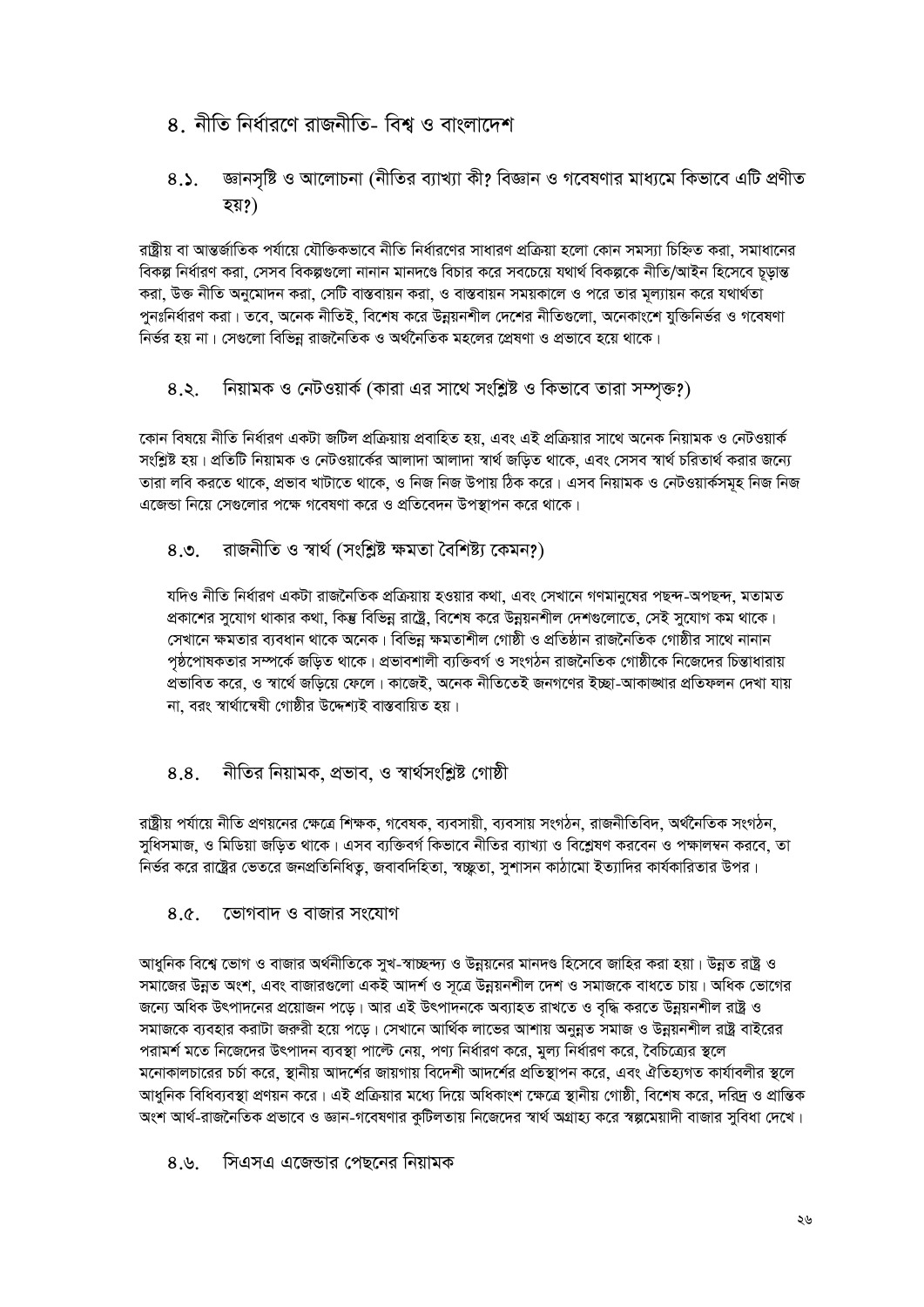- ৪ নীতি নিৰ্ধাৱণে ৱাজনীতি- বিশ্ব ও বাংলাদেশ
- জ্ঞানসৃষ্টি ও আলোচনা (নীতির ব্যাখ্যা কী? বিজ্ঞান ও গবেষণার মাধ্যমে কিভাবে এটি প্রণীত  $8.5.$ হয়?)

রাষ্ট্রীয় বা আন্তর্জাতিক পর্যায়ে যৌক্তিকভাবে নীতি নির্ধারণের সাধারণ প্রক্রিয়া হলো কোন সমস্যা চিহ্নিত করা, সমাধানের বিকল্প নিৰ্ধাৱণ করা, সেসব বিকল্পগুলো নানান মানদণ্ডে বিচার করে সবচেয়ে যথার্থ বিকল্পকে নীতি/আইন হিসেবে চডান্ত করা, উক্ত নীতি অনুমোদন করা, সেটি বাস্তবায়ন করা, ও বাস্তবায়ন সময়কালে ও পরে তার মূল্যায়ন করে যথার্থতা পুনঃনির্ধারণ করা। তবে, অনেক নীতিই, বিশেষ করে উন্নয়নশীল দেশের নীতিগুলো, অনেকাংশে যুক্তিনির্ভর ও গবেষণা নির্ভর হয় না। সেগুলো বিভিন্ন রাজনৈতিক ও অর্থনৈতিক মহলের প্রেষণা ও প্রভাবে হয়ে থাকে।

নিয়ামক ও নেটওয়ার্ক (কারা এর সাথে সংশ্লিষ্ট ও কিভাবে তারা সম্পৃক্ত?)  $8.5$ 

কোন বিষয়ে নীতি নির্ধারণ একটা জটিল প্রক্রিয়ায় প্রবাহিত হয়, এবং এই প্রক্রিয়ার সাথে অনেক নিয়ামক ও নেটওয়ার্ক সংশ্লিষ্ট হয়। প্রতিটি নিয়ামক ও নেটওয়ার্কের আলাদা আলাদা স্বার্থ জড়িত থাকে, এবং সেসব স্বার্থ চরিতার্থ করার জন্যে তারা লবি করতে থাকে, প্রভাব খাটাতে থাকে, ও নিজ নিজ উপায় ঠিক করে। এসব নিয়ামক ও নেটওয়ার্কসমূহ নিজ নিজ এজেন্ডা নিয়ে সেগুলোর পক্ষে গবেষণা করে ও প্রতিবেদন উপস্থাপন করে থাকে।

#### রাজনীতি ও স্বার্থ (সংশ্লিষ্ট ক্ষমতা বৈশিষ্ট্য কেমন?)  $8.9.$

যদিও নীতি নির্ধারণ একটা রাজনৈতিক প্রক্রিয়ায় হওয়ার কথা, এবং সেখানে গণমানুষের পছন্দ-অপছন্দ, মতামত প্রকাশের সুযোগ থাকার কথা, কিন্তু বিভিন্ন রাষ্ট্রে, বিশেষ করে উন্নয়নশীল দেশগুলোতে, সেই সুযোগ কম থাকে। সেখানে ক্ষমতার ব্যবধান থাকে অনেক। বিভিন্ন ক্ষমতাশীল গোষ্ঠী ও প্রতিষ্ঠান রাজনৈতিক গোষ্ঠীর সাথে নানান পষ্ঠপোষকতার সম্পর্কে জড়িত থাকে। প্রভাবশালী ব্যক্তিবর্গ ও সংগঠন রাজনৈতিক গোষ্ঠীকে নিজেদের চিন্তাধারায় প্রভাবিত করে, ও স্বার্থে জড়িয়ে ফেলে। কাজেই, অনেক নীতিতেই জনগণের ইচ্ছা-আকাঙ্গার প্রতিফলন দেখা যায় না, বরং স্বার্থান্বেষী গোষ্ঠীর উদ্দেশ্যই বাস্তবায়িত হয়।

#### নীতির নিয়ামক, প্রভাব, ও স্বার্থসংশ্লিষ্ট গোষ্ঠী 8.8.

রাষ্ট্রীয় পর্যায়ে নীতি প্রণয়নের ক্ষেত্রে শিক্ষক, গবেষক, ব্যবসায়ী, ব্যবসায় সংগঠন, রাজনীতিবিদ, অর্থনৈতিক সংগঠন, সধিসমাজ, ও মিডিয়া জডিত থাকে। এসব ব্যক্তিবর্গ কিভাবে নীতির ব্যাখ্যা ও বিশ্লেষণ করবেন ও পক্ষালম্বন করবে, তা নির্ভর করে রাষ্ট্রের ভেতরে জনপ্রতিনিধিতু, জবাবদিহিতা, স্বচ্ছ্লতা, সুশাসন কাঠামো ইত্যাদির কার্যকারিতার উপর।

#### $8.0<sup>2</sup>$ ভোগবাদ ও বাজার সংযোগ

আধনিক বিশ্বে ভোগ ও বাজার অর্থনীতিকে সখ-স্বাচ্ছন্দ্য ও উন্নয়নের মানদণ্ড হিসেবে জাহির করা হয়া। উন্নত রাষ্ট ও সমাজের উন্নত অংশ, এবং বাজারগুলো একই আদর্শ ও সূত্রে উন্নয়নশীল দেশ ও সমাজকে বাধতে চায়। অধিক ভোগের জন্যে অধিক উৎপাদনের প্রয়োজন পড়ে। আর এই উৎপাদনকে অব্যাহত রাখতে ও বৃদ্ধি করতে উন্নয়নশীল রাষ্ট্র ও সমাজকে ব্যবহার করাটা জরুরী হয়ে পডে। সেখানে আর্থিক লাভের আশায় অনুন্নত সমাজ ও উন্নয়নশীল রাষ্ট্র বাইরের পরামর্শ মতে নিজেদের উৎপাদন ব্যবস্থা পাল্টে নেয়, পণ্য নির্ধারণ করে, মূল্য নির্ধারণ করে, বৈচিত্র্যের স্থলে মনোকালচারের চর্চা করে, স্থানীয় আদর্শের জায়গায় বিদেশী আদর্শের প্রতিস্থাপন করে, এবং ঐতিহ্যগত কার্যাবলীর স্থলে আধুনিক বিধিব্যবস্থা প্রণয়ন করে। এই প্রক্রিয়ার মধ্যে দিয়ে অধিকাংশ ক্ষেত্রে স্থানীয় গোষ্ঠী, বিশেষ করে, দরিদ্র ও প্রান্তিক অংশ আর্থ-রাজনৈতিক প্রভাবে ও জ্ঞান-গবেষণার কটিলতায় নিজেদের স্বার্থ অগ্রাহ্য করে স্বল্পমেয়াদী বাজার সবিধা দেখে।

সিএসএ এজেডার পেছনের নিয়ামক  $8.9.$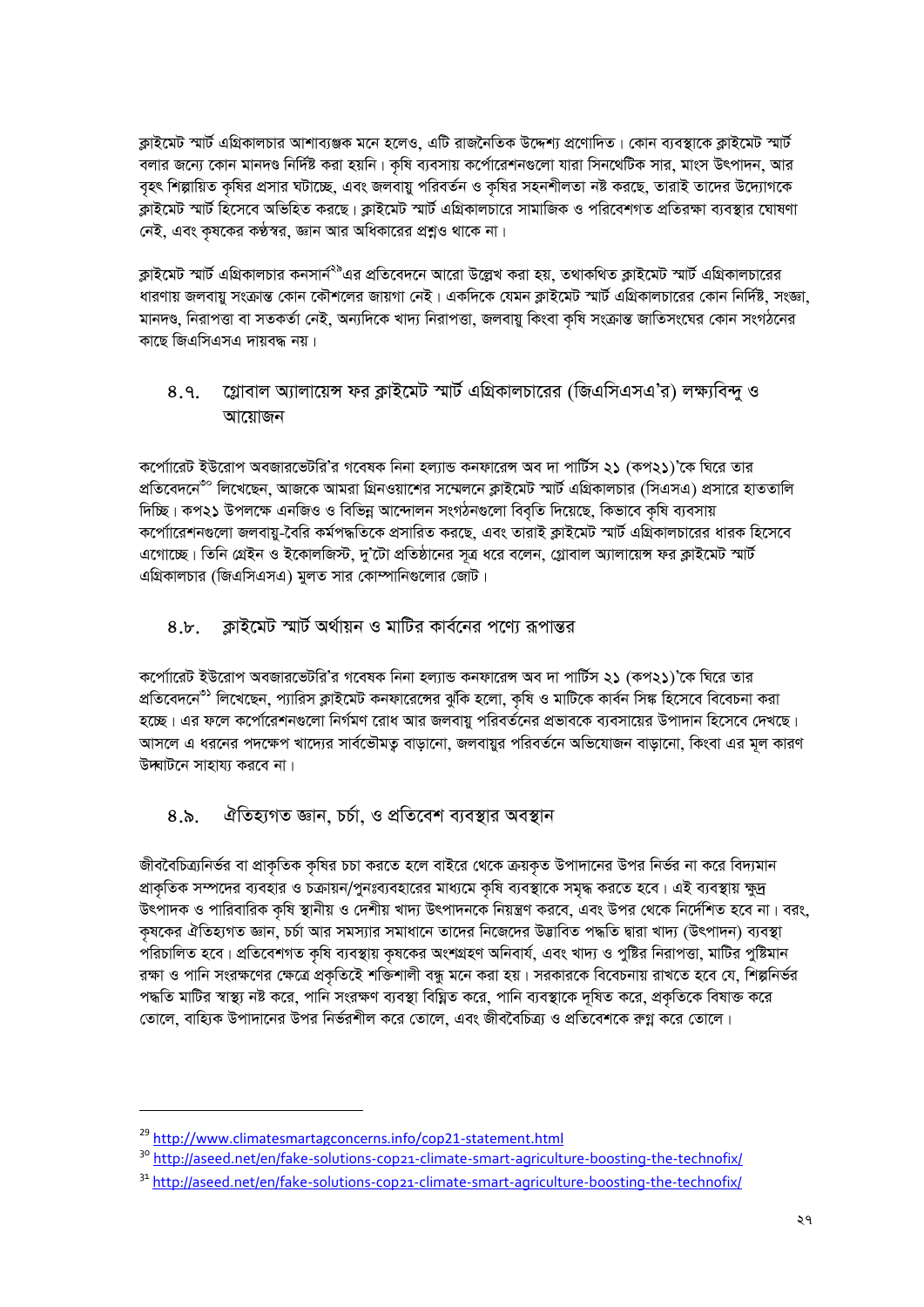ক্লাইমেট স্মার্ট এগ্রিকালচার আশাব্যঞ্জক মনে হলেও, এটি রাজনৈতিক উদ্দেশ্য প্রণোদিত। কোন ব্যবস্থাকে ক্লাইমেট স্মার্ট বলার জন্যে কোন মানদণ্ড নির্দিষ্ট করা হয়নি। কষি ব্যবসায় কর্পোরেশনগুলো যারা সিনথেটিক সার, মাংস উৎপাদন, আর বৃহৎ শিল্পায়িত কৃষির প্রসার ঘটাচ্ছে, এবং জলবায়ু পরিবর্তন ও কৃষির সহনশীলতা নষ্ট করছে, তারাই তাদের উদ্যোগকে ক্লাইমেট স্মার্ট হিসেবে অভিহিত করছে। ক্লাইমেট স্মার্ট এগ্রিকালচারে সামাজিক ও পরিবেশগত প্রতিরক্ষা ব্যবস্থার ঘোষণা নেই, এবং কৃষকের কণ্ঠস্বর, জ্ঞান আর অধিকারের প্রশ্নও থাকে না।

ক্লাইমেট স্মার্ট এগ্রিকালচার কনসার্ন<sup>২৯</sup>এর প্রতিবেদনে আরো উল্লেখ করা হয়, তথাকথিত ক্লাইমেট স্মার্ট এগ্রিকালচারের ধারণায় জলবায়ু সংক্রান্ত কোন কৌশলের জায়গা নেই। একদিকে যেমন ক্লাইমেট স্মার্ট এগ্রিকালচারের কোন নির্দিষ্ট, সংজ্ঞা, মানদণ্ড, নিরাপত্তা বা সতকর্তা নেই, অন্যদিকে খাদ্য নিরাপত্তা, জলবায়ু কিংবা কষি সংক্রান্ত জাতিসংঘের কোন সংগঠনের কাছে জিএসিএসএ দায়বদ্ধ নয়।

#### গ্লোবাল অ্যালায়েন্স ফর ক্লাইমেট স্মার্ট এগ্রিকালচারের (জিএসিএসএ'র) লক্ষ্যবিন্দু ও  $8.9.$ আয়োজন

কর্পোারেট ইউরোপ অবজারভেটরি'র গবেষক নিনা হল্যান্ড কনফারেন্স অব দা পার্টিস ২১ (কপ২১)'কে ঘিরে তার প্রতিবেদনে<sup>৩০</sup> লিখেছেন, আজকে আমরা গ্রিনওয়াশের সম্মেলনে ক্লাইমেট স্মার্ট এগ্রিকালচার (সিএসএ) প্রসারে হাততালি দিচ্ছি। কপ২১ উপলক্ষে এনজিও ও বিভিন্ন আন্দোলন সংগঠনগুলো বিবৃতি দিয়েছে, কিভাবে কৃষি ব্যবসায় কপো্ারেশনগুলো জলবায়ু-বৈরি কর্মপদ্ধতিকে প্রসারিত করছে, এবং তারাই ক্লাইমেট স্মার্ট এগ্রিকালচারের ধারক হিসেবে এগোচ্ছে। তিনি গ্রেইন ও ইকোলজিস্ট, দু'টো প্রতিষ্ঠানের সূত্র ধরে বলেন, গ্লোবাল অ্যালায়েন্স ফর ক্লাইমেট স্মার্ট এগ্রিকালচার (জিএসিএসএ) মূলত সার কোম্পানিগুলোর জোট।

#### ক্রাইমেট স্মার্ট অর্থায়ন ও মাটির কার্বনের পণ্যে রূপান্তর  $8.5<sub>1</sub>$

কর্পোারেট ইউরোপ অবজারভেটরি'র গবেষক নিনা হল্যান্ড কনফারেন্স অব দা পার্টিস ২১ (কপ২১)'কে ঘিরে তার প্রতিবেদনে<sup>৩১</sup> লিখেছেন, প্যারিস ক্লাইমেট কনফারেঙ্গের ঝুঁকি হলো, কৃষি ও মাটিকে কার্বন সিঙ্ক হিসেবে বিবেচনা করা হচ্ছে। এর ফলে কর্পোরেশনগুলো নির্গমণ রোধ আর জলবায়ু পরিবর্তনের প্রভাবকে ব্যবসায়ের উপাদান হিসেবে দেখছে। আসলে এ ধরনের পদক্ষেপ খাদ্যের সার্বভৌমতু বাড়ানো, জলবায়ুর পরিবর্তনে অভিযোজন বাড়ানো, কিংবা এর মূল কারণ উদ্ঘাটনে সাহায্য করবে না।

#### ঐতিহ্যগত জ্ঞান, চৰ্চা, ও প্ৰতিবেশ ব্যবস্থার অবস্থান  $8.\delta.$

জীববৈচিত্র্যনির্ভর বা প্রাকৃতিক কৃষির চচা করতে হলে বাইরে থেকে ক্রয়কৃত উপাদানের উপর নির্ভর না করে বিদ্যমান প্রাকৃতিক সম্পদের ব্যবহার ও চক্রায়ন/পুনঃব্যবহারের মাধ্যমে কৃষি ব্যবস্থাকে সমৃদ্ধ করতে হবে। এই ব্যবস্থায় ক্ষুদ্র উৎপাদক ও পারিবারিক কৃষি স্থানীয় ও দেশীয় খাদ্য উৎপাদনকে নিয়ন্ত্রণ করবে, এবং উপর থেকে নির্দেশিত হবে না। বরং, কৃষকের ঐতিহ্যগত জ্ঞান, চর্চা আর সমস্যার সমাধানে তাদের নিজেদের উদ্ভাবিত পদ্ধতি দ্বারা খাদ্য (উৎপাদন) ব্যবস্থা পরিচালিত হবে। প্রতিবেশগত কৃষি ব্যবস্থায় কৃষকের অংশগ্রহণ অনিবার্য, এবং খাদ্য ও পুষ্টির নিরাপত্তা, মাটির পুষ্টিমান রক্ষা ও পানি সংরক্ষণের ক্ষেত্রে প্রকৃতিইে শক্তিশালী বন্ধু মনে করা হয়। সরকারকে বিবেচনায় রাখতে হবে যে, শিল্পনির্ভর পদ্ধতি মাটির স্বাস্থ্য নষ্ট করে, পানি সংরক্ষণ ব্যবস্থা বিঘ্নিত করে, পানি ব্যবস্থাকে দৃষিত করে, প্রকতিকে বিষাক্ত করে তোলে, বাহ্যিক উপাদানের উপর নির্ভরশীল করে তোলে, এবং জীববৈচিত্র্য ও প্রতিবেশকে রুগ্ন করে তোলে।

<sup>&</sup>lt;sup>29</sup> http://www.climatesmartagconcerns.info/cop21-statement.html

<sup>&</sup>lt;sup>30</sup> http://aseed.net/en/fake-solutions-cop21-climate-smart-agriculture-boosting-the-technofix/

<sup>&</sup>lt;sup>31</sup> http://aseed.net/en/fake-solutions-cop21-climate-smart-agriculture-boosting-the-technofix/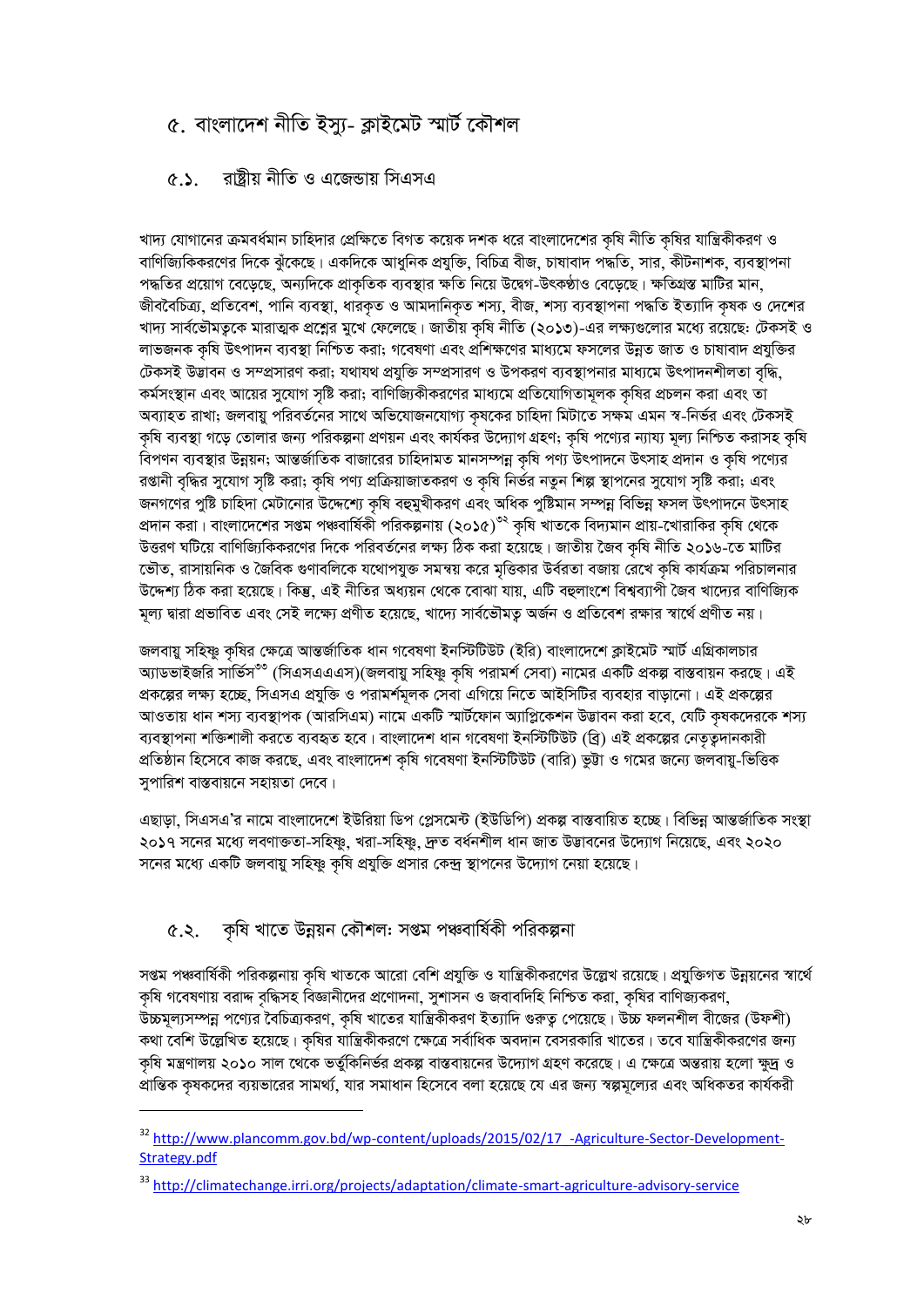## ৫. বাংলাদেশ নীতি ইস্যু- ক্লাইমেট স্মাৰ্ট কৌশল

#### রাষ্টীয় নীতি ও এজেডায় সিএসএ  $(6.5)$

খাদ্য যোগানের ক্রমবর্ধমান চাহিদার প্রেক্ষিতে বিগত কয়েক দশক ধরে বাংলাদেশের কৃষি নীতি কৃষির যান্ত্রিকীকরণ ও বাণিজ্যিকিকরণের দিকে ঝুঁকেছে। একদিকে আধুনিক প্রযুক্তি, বিচিত্র বীজ, চাষাবাদ পদ্ধতি, সার, কীটনাশক, ব্যবস্থাপনা পদ্ধতির প্রয়োগ বেড়েছে, অন্যদিকে প্রাকৃতিক ব্যবস্থার ক্ষতি নিয়ে উদ্বেগ-উৎকণ্ঠাও বেড়েছে। ক্ষতিগ্রস্ত মাটির মান, জীববৈচিত্র্য, প্রতিবেশ, পানি ব্যবস্থা, ধারকৃত ও আমদানিকৃত শস্য, বীজ, শস্য ব্যবস্থাপনা পদ্ধতি ইত্যাদি কৃষক ও দেশের খাদ্য সার্বভৌমত্বকে মারাত্মক প্রশ্নের মুখে ফেলেছে। জাতীয় কৃষি নীতি (২০১৩)-এর লক্ষ্যগুলোর মধ্যে রয়েছে: টেকসই ও লাভজনক কৃষি উৎপাদন ব্যবস্থা নিশ্চিত করা; গবেষণা এবং প্রশিক্ষণের মাধ্যমে ফসলের উন্নত জাত ও চাষাবাদ প্রযুক্তির টেকসই উদ্ভাবন ও সম্প্রসারণ করা; যথাযথ প্রযুক্তি সম্প্রসারণ ও উপকরণ ব্যবস্থাপনার মাধ্যমে উৎপাদনশীলতা বৃদ্ধি, কর্মসংস্থান এবং আয়ের সুযোগ সৃষ্টি করা; বাণিজ্যিকীকরণের মাধ্যমে প্রতিযোগিতামূলক কৃষির প্রচলন করা এবং তা অব্যাহত রাখা; জলবায়ু পরিবর্তনের সাথে অভিযোজনযোগ্য কৃষকের চাহিদা মিটাতে সক্ষম এমন স্ব-নির্ভর এবং টেকসই কৃষি ব্যবস্থা গড়ে তোলার জন্য পরিকল্পনা প্রণয়ন এবং কার্যকর উদ্যোগ গ্রহণ; কৃষি পণ্যের ন্যায্য মূল্য নিশ্চিত করাসহ কৃষি বিপণন ব্যবস্থার উন্নয়ন; আন্তর্জাতিক বাজারের চাহিদামত মানসম্পন্ন কৃষি পণ্য উৎপাদনে উৎসাহ প্রদান ও কৃষি পণ্যের রপ্তানী বৃদ্ধির সুযোগ সৃষ্টি করা; কৃষি পণ্য প্রক্রিয়াজাতকরণ ও কৃষি নির্ভর নতুন শিল্প স্থাপনের সুযোগ সৃষ্টি করা; এবং জনগণের পুষ্টি চাহিদা মেটানোর উদ্দেশ্যে কৃষি বহুমুখীকরণ এবং অধিক পুষ্টিমান সম্পন্ন বিভিন্ন ফসল উৎপাদনে উৎসাহ প্রদান করা। বাংলাদেশের সগুম পঞ্চবার্ষিকী পরিকল্পনায় (২০১৫)<sup>৩২</sup> কৃষি খাতকে বিদ্যমান প্রায়-খোরাকির কৃষি থেকে উত্তরণ ঘটিয়ে বাণিজ্যিকিকরণের দিকে পরিবর্তনের লক্ষ্য ঠিক করা হয়েছে। জাতীয় জৈব কৃষি নীতি ২০১৬-তে মাটির ভৌত, রাসায়নিক ও জৈবিক গুণাবলিকে যথোপযুক্ত সমন্বয় করে মত্তিকার উর্বরতা বজায় রেখে কষি কার্যক্রম পরিচালনার উদ্দেশ্য ঠিক করা হয়েছে। কিন্তু, এই নীতির অধ্যয়ন থেকে বোঝা যায়, এটি বহুলাংশে বিশ্বব্যাপী জৈব খাদ্যের বাণিজ্যিক মূল্য দ্বারা প্রভাবিত এবং সেই লক্ষ্যে প্রণীত হয়েছে, খাদ্যে সার্বভৌমত্ব অর্জন ও প্রতিবেশ রক্ষার স্বার্থে প্রণীত নয়।

জলবায়ু সহিষ্ণু কৃষির ক্ষেত্রে আন্তর্জাতিক ধান গবেষণা ইনস্টিটিউট (ইরি) বাংলাদেশে ক্লাইমেট স্মার্ট এগ্রিকালচার অ্যাডভাইজরি সার্ভিস<sup>৩৩</sup> (সিএসএএএস)(জলবায়ু সহিষ্ণু কষি পরামর্শ সেবা) নামের একটি প্রকল্প বাস্তবায়ন করছে। এই প্রকল্পের লক্ষ্য হচ্ছে, সিএসএ প্রযুক্তি ও পরামর্শমূলক সেবা এগিয়ে নিতে আইসিটির ব্যবহার বাড়ানো। এই প্রকল্পের আওতায় ধান শস্য ব্যবস্থাপক (আরসিএম) নামে একটি স্মার্টফোন অ্যাপ্লিকেশন উদ্ভাবন করা হবে, যেটি কৃষকদেরকে শস্য ব্যবস্থাপনা শক্তিশালী করতে ব্যবহৃত হবে। বাংলাদেশ ধান গবেষণা ইনস্টিটিউট (ব্রি) এই প্রকল্পের নেতৃত্বদানকারী প্রতিষ্ঠান হিসেবে কাজ করছে, এবং বাংলাদেশ কৃষি গবেষণা ইনস্টিটিউট (বারি) ভুট্টা ও গমের জন্যে জলবায়ু-ভিত্তিক সপারিশ বাস্তবায়নে সহায়তা দেবে।

এছাড়া, সিএসএ'র নামে বাংলাদেশে ইউরিয়া ডিপ প্লেসমেন্ট (ইউডিপি) প্রকল্প বাস্তবায়িত হচ্ছে। বিভিন্ন আন্তর্জাতিক সংস্থা ২০১৭ সনের মধ্যে লবণাক্ততা-সহিষ্ণু, খরা-সহিষ্ণু, দ্রুত বর্ধনশীল ধান জাত উদ্ভাবনের উদ্যোগ নিয়েছে. এবং ২০২০ সনের মধ্যে একটি জলবায়ু সহিষ্ণু কৃষি প্রযুক্তি প্রসার কেন্দ্র স্থাপনের উদ্যোগ নেয়া হয়েছে।

### ৫.২. কৃষি খাতে উন্নয়ন কৌশল: সপ্তম পঞ্চবাৰ্ষিকী পরিকল্পনা

সগুম পঞ্চবার্ষিকী পরিকল্পনায় কৃষি খাতকে আরো বেশি প্রযুক্তি ও যান্ত্রিকীকরণের উল্লেখ রয়েছে। প্রযুক্তিগত উন্নয়নের স্বার্থে কৃষি গবেষণায় বরাদ্দ বৃদ্ধিসহ বিজ্ঞানীদের প্রণোদনা, সুশাসন ও জবাবদিহি নিশ্চিত করা, কৃষির বাণিজ্যকরণ, উচ্চমূল্যসম্পন্ন পণ্যের বৈচিত্র্যকরণ, কৃষি খাতের যান্ত্রিকীকরণ ইত্যাদি গুরুত্ব পেয়েছে। উচ্চ ফলনশীল বীজের (উফশী) কথা বেশি উল্লেখিত হয়েছে। কৃষির যান্ত্রিকীকরণে ক্ষেত্রে সর্বাধিক অবদান বেসরকারি খাতের। তবে যান্ত্রিকীকরণের জন্য কৃষি মন্ত্রণালয় ২০১০ সাল থেকে ভর্তুকিনির্ভর প্রকল্প বাস্তবায়নের উদ্যোগ গ্রহণ করেছে। এ ক্ষেত্রে অন্তরায় হলো ক্ষুদ্র ও প্রান্তিক কৃষকদের ব্যয়ভারের সামর্থ্য, যার সমাধান হিসেবে বলা হয়েছে যে এর জন্য স্বল্পমূল্যের এবং অধিকতর কার্যকরী

<sup>&</sup>lt;sup>32</sup> http://www.plancomm.gov.bd/wp-content/uploads/2015/02/17\_-Agriculture-Sector-Development-Strategy.pdf

<sup>33</sup> http://climatechange.irri.org/projects/adaptation/climate-smart-agriculture-advisory-service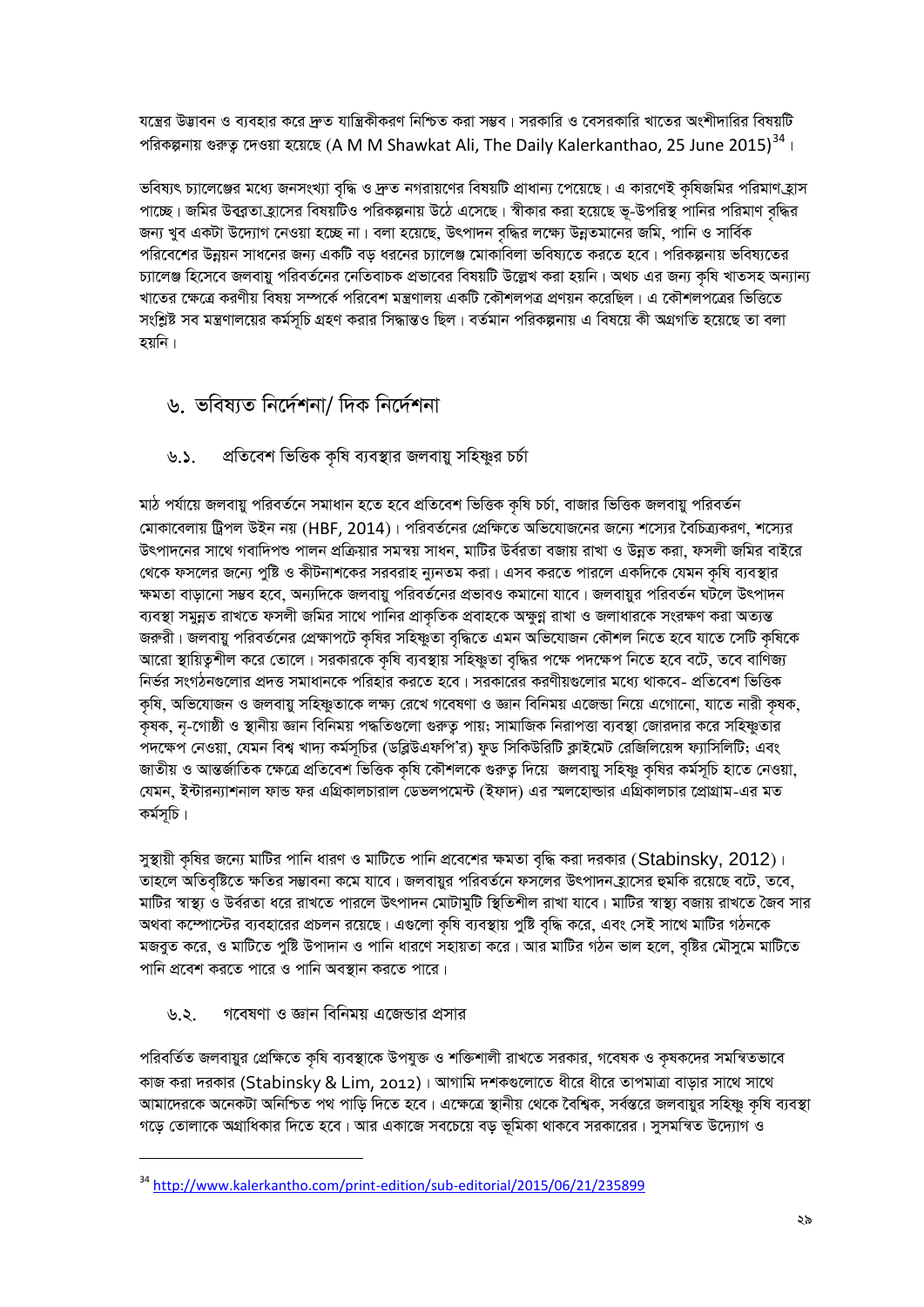যন্ত্রের উদ্ভাবন ও ব্যবহার করে দ্রুত যান্ত্রিকীকরণ নিশ্চিত করা সম্ভব। সরকারি ও বেসরকারি খাতের অংশীদারির বিষয়টি পরিকল্পনায় গুরুত্ব দেওয়া হয়েছে (A M M Shawkat Ali, The Daily Kalerkanthao, 25 June 2015) $^{34}$ ।

ভবিষ্যৎ চ্যালেঞ্জের মধ্যে জনসংখ্যা বৃদ্ধি ও দ্রুত নগরায়ণের বিষয়টি প্রাধান্য পেয়েছে। এ কারণেই কৃষিজমির পরিমাণ হ্রাস পাচ্ছে। জমির উব্রুতা হ্রাসের বিষয়টিও পরিকল্পনায় উঠে এসেছে। স্বীকার করা হয়েছে ভূ-উপরিস্থ পানির পরিমাণ বৃদ্ধির জন্য খুব একটা উদ্যোগ নেওয়া হচ্ছে না। বলা হয়েছে, উৎপাদন বদ্ধির লক্ষ্যে উন্নতমানের জমি, পানি ও সার্বিক পরিবেশের উন্নয়ন সাধনের জন্য একটি বড ধরনের চ্যালেঞ্জ মোকাবিলা ভবিষ্যতে করতে হবে। পরিকল্পনায় ভবিষ্যতের চ্যালেঞ্জ হিসেবে জলবায়ু পরিবর্তনের নেতিবাচক প্রভাবের বিষয়টি উল্লেখ করা হয়নি। অথচ এর জন্য কৃষি খাতসহ অন্যান্য খাতের ক্ষেত্রে করণীয় বিষয় সম্পর্কে পরিবেশ মন্ত্রণালয় একটি কৌশলপত্র প্রণয়ন করেছিল। এ কৌশলপত্রের ভিত্তিতে সংশ্লিষ্ট সব মন্ত্রণালয়ের কর্মসচি গ্রহণ করার সিদ্ধান্তও ছিল। বর্তমান পরিকল্পনায় এ বিষয়ে কী অগ্রগতি হয়েছে তা বলা হয়নি।

# ৬ ভবিষ্যত নিৰ্দেশনা/ দিক নিৰ্দেশনা

#### প্রতিবেশ ভিত্তিক কৃষি ব্যবস্থার জলবায়ু সহিষ্ণুর চর্চা  $20$

মাঠ পর্যায়ে জলবায়ু পরিবর্তনে সমাধান হতে হবে প্রতিবেশ ভিত্তিক কৃষি চর্চা, বাজার ভিত্তিক জলবায়ু পরিবর্তন মোকাবেলায় ট্রিপল উইন নয় (HBF, 2014)। পরিবর্তনের প্রেক্ষিতে অভিযোজনের জন্যে শস্যের বৈচিত্র্যকরণ, শস্যের উৎপাদনের সাথে গবাদিপশু পালন প্রক্রিয়ার সমন্বয় সাধন, মাটির উর্বরতা বজায় রাখা ও উন্নত করা, ফসলী জমির বাইরে থেকে ফসলের জন্যে পুষ্টি ও কীটনাশকের সরবরাহ ন্যুনতম করা। এসব করতে পারলে একদিকে যেমন কৃষি ব্যবস্থার ক্ষমতা বাড়ানো সম্ভব হবে, অন্যদিকে জলবায়ু পরিবর্তনের প্রভাবও কমানো যাবে। জলবায়ুর পরিবর্তন ঘটলে উৎপাদন ব্যবস্থা সমুন্নত রাখতে ফসলী জমির সাথে পানির প্রাকৃতিক প্রবাহকে অক্ষুণ্ণ রাখা ও জলাধারকে সংরক্ষণ করা অত্যন্ত জরুরী। জলবায়ু পরিবর্তনের প্রেক্ষাপটে কৃষির সহিষ্ণুতা বৃদ্ধিতে এমন অভিযোজন কৌশল নিতে হবে যাতে সেটি কৃষিকে আরো স্থায়িত্বশীল করে তোলে। সরকারকে কৃষি ব্যবস্থায় সহিষ্ণুতা বৃদ্ধির পক্ষে পদক্ষেপ নিতে হবে বটে, তবে বাণিজ্য নির্ভর সংগঠনগুলোর প্রদত্ত সমাধানকে পরিহার করতে হবে। সরকারের করণীয়গুলোর মধ্যে থাকবে- প্রতিবেশ ভিত্তিক কষি, অভিযোজন ও জলবায়ু সহিষ্ণুতাকে লক্ষ্য রেখে গবেষণা ও জ্ঞান বিনিময় এজেন্ডা নিয়ে এগোনো, যাতে নারী কষক, ক্ষক, নৃ-গোষ্ঠী ও স্থানীয় জ্ঞান বিনিময় পদ্ধতিগুলো গুরুতু পায়; সামাজিক নিরাপত্তা ব্যবস্থা জোরদার করে সহিষ্ণুতার পদক্ষেপ নেওয়া, যেমন বিশ্ব খাদ্য কর্মসূচির (ডব্লিউএফপি'র) ফুড সিকিউরিটি ক্লাইমেট রেজিলিয়েন্স ফ্যাসিলিটি; এবং জাতীয় ও আন্তর্জাতিক ক্ষেত্রে প্রতিবেশ ভিত্তিক কৃষি কৌশলকে গুরুত্ব দিয়ে জলবায়ু সহিষ্ণু কৃষির কর্মসূচি হাতে নেওয়া, যেমন, ইন্টারন্যাশনাল ফান্ড ফর এগ্রিকালচারাল ডেভলপমেন্ট (ইফাদ) এর স্মলহোল্ডার এগ্রিকালচার প্রোগ্রাম-এর মত কৰ্মসূচি।

সুস্থায়ী কৃষির জন্যে মাটির পানি ধারণ ও মাটিতে পানি প্রবেশের ক্ষমতা বৃদ্ধি করা দরকার (Stabinsky, 2012)। তাহলে অতিবৃষ্টিতে ক্ষতির সম্ভাবনা কমে যাবে। জলবায়ুর পরিবর্তনে ফসলের উৎপাদন হাসের হুমকি রয়েছে বটে, তবে, মাটির স্বাস্থ্য ও উর্বরতা ধরে রাখতে পারলে উৎপাদন মোটামুটি স্থিতিশীল রাখা যাবে। মাটির স্বাস্থ্য বজায় রাখতে জৈব সার অথবা কম্পোস্টের ব্যবহারের প্রচলন রয়েছে। এগুলো কৃষি ব্যবস্থায় পুষ্টি বৃদ্ধি করে, এবং সেই সাথে মাটির গঠনকে মজবত করে, ও মাটিতে পৃষ্টি উপাদান ও পানি ধারণে সহায়তা করে। আর মাটির গঠন ভাল হলে, বষ্টির মৌসমে মাটিতে পানি প্রবেশ করতে পারে ও পানি অবস্থান করতে পারে।

#### গবেষণা ও জ্ঞান বিনিময় এজেন্ডার প্রসার ৬.২.

পরিবর্তিত জলবায়ুর প্রেক্ষিতে কৃষি ব্যবস্থাকে উপযুক্ত ও শক্তিশালী রাখতে সরকার, গবেষক ও কৃষকদের সমন্বিতভাবে কাজ করা দরকার (Stabinsky & Lim, 2012)। আগামি দশকগুলোতে ধীরে ধীরে তাপমাত্রা বাড়ার সাথে সাথে আমাদেরকে অনেকটা অনিশ্চিত পথ পাড়ি দিতে হবে। এক্ষেত্রে স্থানীয় থেকে বৈশ্বিক, সর্বস্তরে জলবায়ুর সহিষ্ণু কৃষি ব্যবস্থা গড়ে তোলাকে অগ্রাধিকার দিতে হবে। আর একাজে সবচেয়ে বড় ভূমিকা থাকবে সরকারের। সুসমন্বিত উদ্যোগ ও

<sup>&</sup>lt;sup>34</sup> http://www.kalerkantho.com/print-edition/sub-editorial/2015/06/21/235899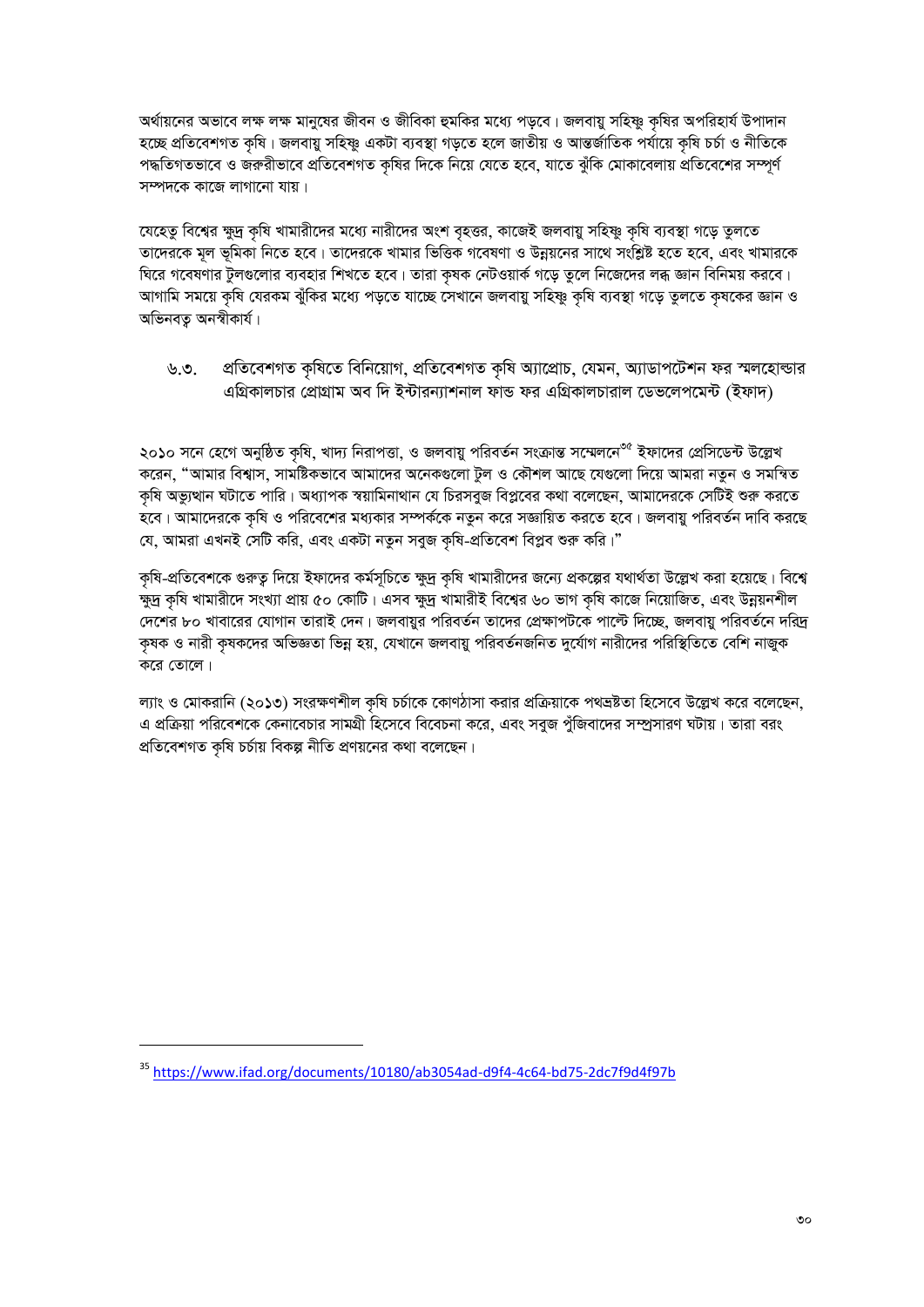অর্থায়নের অভাবে লক্ষ লক্ষ মানুষের জীবন ও জীবিকা হুমকির মধ্যে পড়বে। জলবায়ু সহিষ্ণু কৃষির অপরিহার্য উপাদান হচ্ছে প্ৰতিবেশগত কৃষি। জলবায়ু সহিষ্ণু একটা ব্যবস্থা গড়তে হলে জাতীয় ও আন্তৰ্জাতিক পৰ্যায়ে কৃষি চৰ্চা ও নীতিকে পদ্ধতিগতভাবে ও জরুরীভাবে প্রতিবেশগত কষির দিকে নিয়ে যেতে হবে, যাতে ঝঁকি মোকাবেলায় প্রতিবেশের সম্পূর্ণ সম্পদকে কাজে লাগানো যায়।

যেহেতু বিশ্বের ক্ষুদ্র কৃষি খামারীদের মধ্যে নারীদের অংশ বৃহত্তর, কাজেই জলবায়ু সহিষ্ণু কৃষি ব্যবস্থা গড়ে তুলতে তাদেরকে মূল ভূমিকা নিতে হবে। তাদেরকে খামার ভিত্তিক গবেষণা ও উন্নয়নের সাথে সংশ্লিষ্ট হতে হবে, এবং খামারকে ঘিরে গবেষণার টুলগুলোর ব্যবহার শিখতে হবে। তারা কৃষক নেটওয়ার্ক গড়ে তুলে নিজেদের লব্ধ জ্ঞান বিনিময় করবে। আগামি সময়ে কৃষি যেরকম ঝুঁকির মধ্যে পড়তে যাচ্ছে সেখানে জলবায়ু সহিষ্ণু কৃষি ব্যবস্থা গড়ে তুলতে কৃষকের জ্ঞান ও অভিনবত অনস্বীকাৰ্য।

প্ৰতিবেশগত কৃষিতে বিনিয়োগ, প্ৰতিবেশগত কৃষি অ্যাপ্ৰোচ, যেমন, অ্যাডাপটেশন ফর স্মলহোল্ডার ৬.৩. এগ্রিকালচার প্রোগ্রাম অব দি ইন্টারন্যাশনাল ফান্ড ফর এগ্রিকালচারাল ডেভলেপমেন্ট (ইফাদ)

২০১০ সনে হেগে অনুষ্ঠিত কৃষি, খাদ্য নিরাপত্তা, ও জলবায়ু পরিবর্তন সংক্রান্ত সম্মেলনে<sup>৩৫</sup> ইফাদের প্রেসিডেন্ট উল্লেখ করেন, "আমার বিশ্বাস, সামষ্টিকভাবে আমাদের অনেকগুলো টুল ও কৌশল আছে যেগুলো দিয়ে আমরা নতুন ও সমন্বিত কৃষি অভ্যুত্থান ঘটাতে পারি। অধ্যাপক স্বয়ামিনাথান যে চিরসবুজ বিপ্লবের কথা বলেছেন, আমাদেরকে সেটিই শুরু করতে হবে। আমাদেরকে কৃষি ও পরিবেশের মধ্যকার সম্পর্ককে নতুন করে সজ্ঞায়িত করতে হবে। জলবায়ু পরিবর্তন দাবি করছে যে, আমরা এখনই সেটি করি, এবং একটা নতুন সবুজ কৃষি-প্রতিবেশ বিপ্লব শুরু করি।"

কৃষি-প্রতিবেশকে গুরুত্ব দিয়ে ইফাদের কর্মসূচিতে ক্ষুদ্র কৃষি খামারীদের জন্যে প্রকল্পের যথার্থতা উল্লেখ করা হয়েছে। বিশ্বে ক্ষুদ্র কৃষি খামারীদে সংখ্যা প্রায় ৫০ কোটি। এসব ক্ষুদ্র খামারীই বিশ্বের ৬০ ভাগ কৃষি কাজে নিয়োজিত, এবং উন্নয়নশীল দেশের ৮০ খাবারের যোগান তারাই দেন। জলবায়র পরিবর্তন তাদের প্রেক্ষাপটকে পাল্টে দিচ্ছে, জলবায় পরিবর্তনে দরিদ্র কৃষক ও নারী কৃষকদের অভিজ্ঞতা ভিন্ন হয়, যেখানে জলবায়ু পরিবর্তনজনিত দুর্যোগ নারীদের পরিস্থিতিতে বেশি নাজুক করে তোলে।

ল্যাং ও মোকরানি (২০১৩) সংরক্ষণশীল কৃষি চর্চাকে কোণঠাসা করার প্রক্রিয়াকে পথভ্রষ্টতা হিসেবে উল্লেখ করে বলেছেন, এ প্রক্রিয়া পরিবেশকে কেনাবেচার সামগ্রী হিসেবে বিবেচনা করে, এবং সবুজ পুঁজিবাদের সম্প্রসারণ ঘটায়। তারা বরং প্রতিবেশগত কৃষি চর্চায় বিকল্প নীতি প্রণয়নের কথা বলেছেন।

<sup>&</sup>lt;sup>35</sup> https://www.ifad.org/documents/10180/ab3054ad-d9f4-4c64-bd75-2dc7f9d4f97b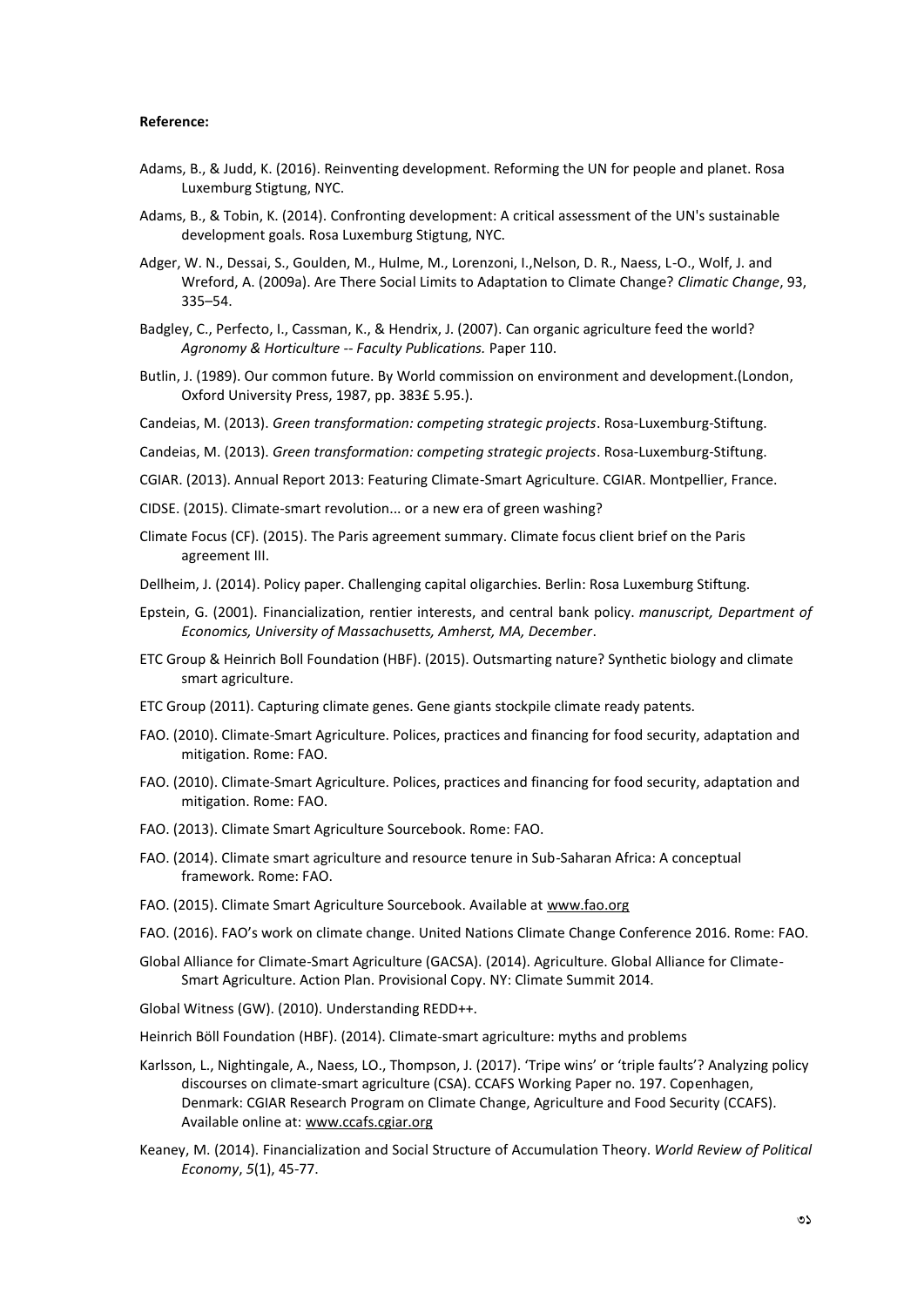### **Reference:**

- Adams, B., & Judd, K. (2016). Reinventing development. Reforming the UN for people and planet. Rosa Luxemburg Stigtung, NYC.
- Adams, B., & Tobin, K. (2014). Confronting development: A critical assessment of the UN's sustainable development goals. Rosa Luxemburg Stigtung, NYC.
- Adger, W. N., Dessai, S., Goulden, M., Hulme, M., Lorenzoni, I.,Nelson, D. R., Naess, L-O., Wolf, J. and Wreford, A. (2009a). Are There Social Limits to Adaptation to Climate Change? *Climatic Change*, 93, 335–54.
- Badgley, C., Perfecto, I., Cassman, K., & Hendrix, J. (2007). Can organic agriculture feed the world? *Agronomy & Horticulture -- Faculty Publications.* Paper 110.
- Butlin, J. (1989). Our common future. By World commission on environment and development.(London, Oxford University Press, 1987, pp. 383£ 5.95.).
- Candeias, M. (2013). *Green transformation: competing strategic projects*. Rosa-Luxemburg-Stiftung.
- Candeias, M. (2013). *Green transformation: competing strategic projects*. Rosa-Luxemburg-Stiftung.
- CGIAR. (2013). Annual Report 2013: Featuring Climate-Smart Agriculture. CGIAR. Montpellier, France.
- CIDSE. (2015). Climate-smart revolution... or a new era of green washing?
- Climate Focus (CF). (2015). The Paris agreement summary. Climate focus client brief on the Paris agreement III.
- Dellheim, J. (2014). Policy paper. Challenging capital oligarchies. Berlin: Rosa Luxemburg Stiftung.
- Epstein, G. (2001). Financialization, rentier interests, and central bank policy. *manuscript, Department of Economics, University of Massachusetts, Amherst, MA, December*.
- ETC Group & Heinrich Boll Foundation (HBF). (2015). Outsmarting nature? Synthetic biology and climate smart agriculture.
- ETC Group (2011). Capturing climate genes. Gene giants stockpile climate ready patents.
- FAO. (2010). Climate-Smart Agriculture. Polices, practices and financing for food security, adaptation and mitigation. Rome: FAO.
- FAO. (2010). Climate-Smart Agriculture. Polices, practices and financing for food security, adaptation and mitigation. Rome: FAO.
- FAO. (2013). Climate Smart Agriculture Sourcebook. Rome: FAO.
- FAO. (2014). Climate smart agriculture and resource tenure in Sub-Saharan Africa: A conceptual framework. Rome: FAO.
- FAO. (2015). Climate Smart Agriculture Sourcebook. Available at www.fao.org
- FAO. (2016). FAO's work on climate change. United Nations Climate Change Conference 2016. Rome: FAO.
- Global Alliance for Climate-Smart Agriculture (GACSA). (2014). Agriculture. Global Alliance for Climate- Smart Agriculture. Action Plan. Provisional Copy. NY: Climate Summit 2014.
- Global Witness (GW). (2010). Understanding REDD++.
- Heinrich Böll Foundation (HBF). (2014). Climate-smart agriculture: myths and problems
- Karlsson, L., Nightingale, A., Naess, LO., Thompson, J. (2017). 'Tripe wins' or 'triple faults'? Analyzing policy discourses on climate-smart agriculture (CSA). CCAFS Working Paper no. 197. Copenhagen, Denmark: CGIAR Research Program on Climate Change, Agriculture and Food Security (CCAFS). Available online at: www.ccafs.cgiar.org
- Keaney, M. (2014). Financialization and Social Structure of Accumulation Theory. *World Review of Political Economy*, *5*(1), 45-77.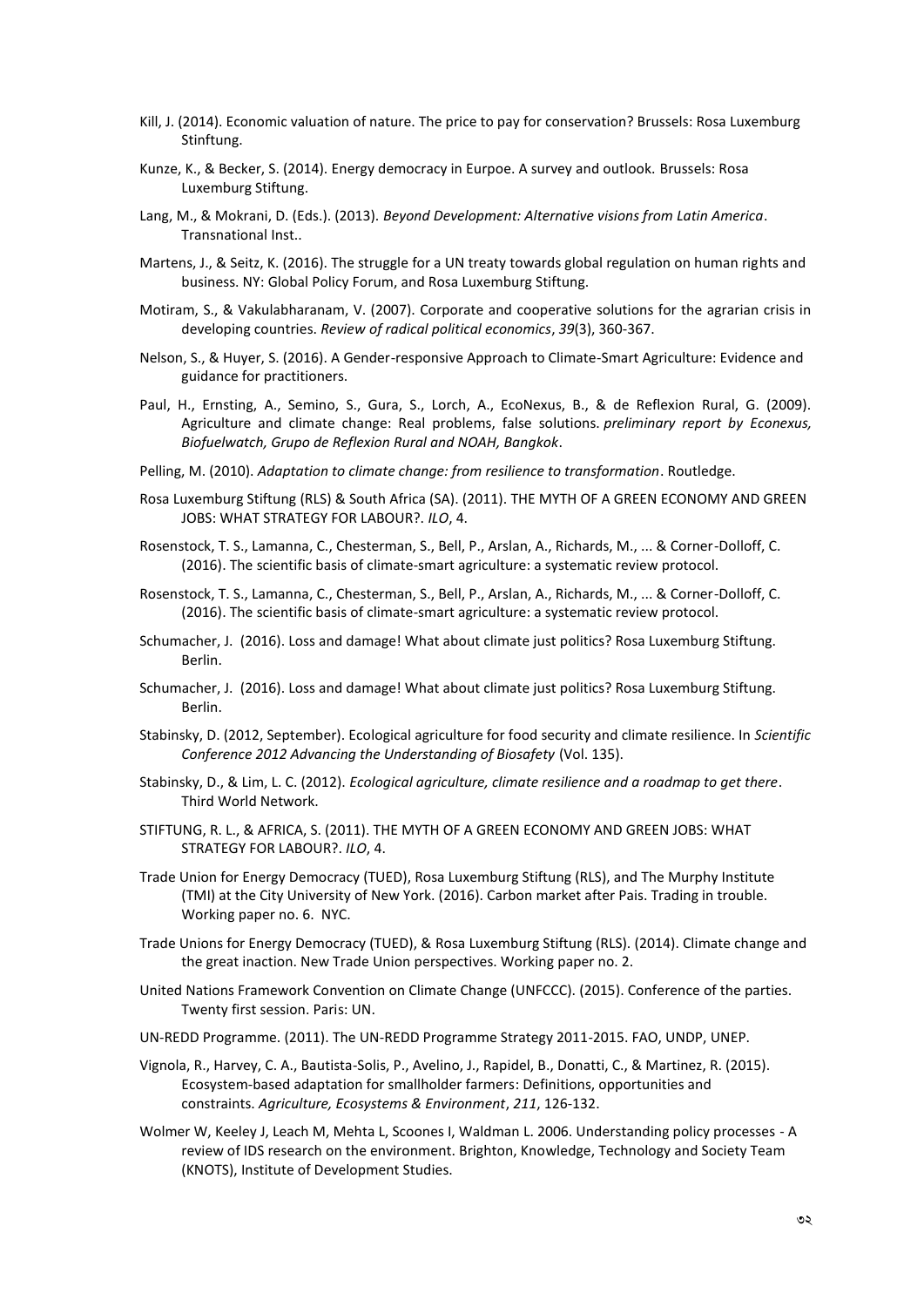- Kill, J. (2014). Economic valuation of nature. The price to pay for conservation? Brussels: Rosa Luxemburg Stinftung.
- Kunze, K., & Becker, S. (2014). Energy democracy in Eurpoe. A survey and outlook. Brussels: Rosa Luxemburg Stiftung.
- Lang, M., & Mokrani, D. (Eds.). (2013). *Beyond Development: Alternative visions from Latin America*. Transnational Inst..
- Martens, J., & Seitz, K. (2016). The struggle for a UN treaty towards global regulation on human rights and business. NY: Global Policy Forum, and Rosa Luxemburg Stiftung.
- Motiram, S., & Vakulabharanam, V. (2007). Corporate and cooperative solutions for the agrarian crisis in developing countries. *Review of radical political economics*, *39*(3), 360-367.
- Nelson, S., & Huyer, S. (2016). A Gender-responsive Approach to Climate-Smart Agriculture: Evidence and guidance for practitioners.
- Paul, H., Ernsting, A., Semino, S., Gura, S., Lorch, A., EcoNexus, B., & de Reflexion Rural, G. (2009). Agriculture and climate change: Real problems, false solutions. *preliminary report by Econexus, Biofuelwatch, Grupo de Reflexion Rural and NOAH, Bangkok*.
- Pelling, M. (2010). *Adaptation to climate change: from resilience to transformation*. Routledge.
- Rosa Luxemburg Stiftung (RLS) & South Africa (SA). (2011). THE MYTH OF A GREEN ECONOMY AND GREEN JOBS: WHAT STRATEGY FOR LABOUR?. *ILO*, 4.
- Rosenstock, T. S., Lamanna, C., Chesterman, S., Bell, P., Arslan, A., Richards, M., ... & Corner-Dolloff, C. (2016). The scientific basis of climate-smart agriculture: a systematic review protocol.
- Rosenstock, T. S., Lamanna, C., Chesterman, S., Bell, P., Arslan, A., Richards, M., ... & Corner-Dolloff, C. (2016). The scientific basis of climate-smart agriculture: a systematic review protocol.
- Schumacher, J. (2016). Loss and damage! What about climate just politics? Rosa Luxemburg Stiftung. Berlin.
- Schumacher, J. (2016). Loss and damage! What about climate just politics? Rosa Luxemburg Stiftung. Berlin.
- Stabinsky, D. (2012, September). Ecological agriculture for food security and climate resilience. In *Scientific Conference 2012 Advancing the Understanding of Biosafety* (Vol. 135).
- Stabinsky, D., & Lim, L. C. (2012). *Ecological agriculture, climate resilience and a roadmap to get there*. Third World Network.
- STIFTUNG, R. L., & AFRICA, S. (2011). THE MYTH OF A GREEN ECONOMY AND GREEN JOBS: WHAT STRATEGY FOR LABOUR?. *ILO*, 4.
- Trade Union for Energy Democracy (TUED), Rosa Luxemburg Stiftung (RLS), and The Murphy Institute (TMI) at the City University of New York. (2016). Carbon market after Pais. Trading in trouble. Working paper no. 6. NYC.
- Trade Unions for Energy Democracy (TUED), & Rosa Luxemburg Stiftung (RLS). (2014). Climate change and the great inaction. New Trade Union perspectives. Working paper no. 2.
- United Nations Framework Convention on Climate Change (UNFCCC). (2015). Conference of the parties. Twenty first session. Paris: UN.
- UN-REDD Programme. (2011). The UN-REDD Programme Strategy 2011-2015. FAO, UNDP, UNEP.
- Vignola, R., Harvey, C. A., Bautista-Solis, P., Avelino, J., Rapidel, B., Donatti, C., & Martinez, R. (2015). Ecosystem-based adaptation for smallholder farmers: Definitions, opportunities and constraints. *Agriculture, Ecosystems & Environment*, *211*, 126-132.
- Wolmer W, Keeley J, Leach M, Mehta L, Scoones I, Waldman L. 2006. Understanding policy processes -A review of IDS research on the environment. Brighton, Knowledge, Technology and Society Team (KNOTS), Institute of Development Studies.